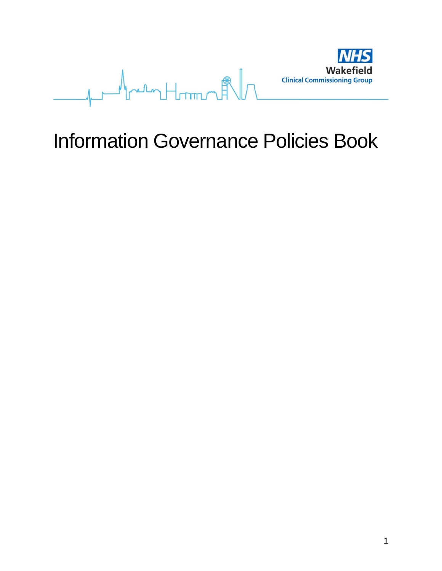

# Information Governance Policies Book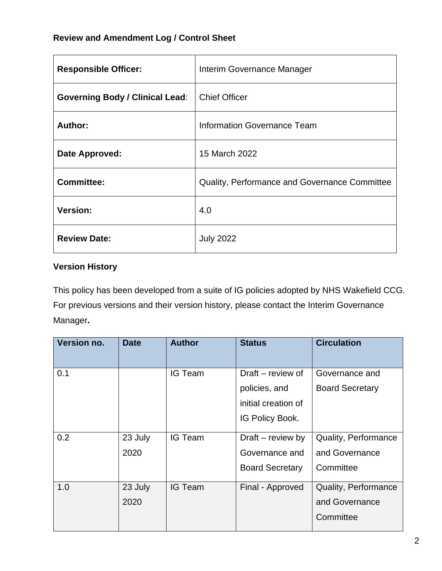# **Review and Amendment Log / Control Sheet**

| <b>Responsible Officer:</b>            | Interim Governance Manager                    |
|----------------------------------------|-----------------------------------------------|
| <b>Governing Body / Clinical Lead:</b> | <b>Chief Officer</b>                          |
| Author:                                | Information Governance Team                   |
| Date Approved:                         | 15 March 2022                                 |
| <b>Committee:</b>                      | Quality, Performance and Governance Committee |
| <b>Version:</b>                        | 4.0                                           |
| <b>Review Date:</b>                    | <b>July 2022</b>                              |

# **Version History**

This policy has been developed from a suite of IG policies adopted by NHS Wakefield CCG. For previous versions and their version history, please contact the Interim Governance Manager**.**

| Version no. | <b>Date</b> | <b>Author</b>  | <b>Status</b>          | <b>Circulation</b>     |
|-------------|-------------|----------------|------------------------|------------------------|
| 0.1         |             | <b>IG Team</b> | Draft – review of      | Governance and         |
|             |             |                | policies, and          | <b>Board Secretary</b> |
|             |             |                | initial creation of    |                        |
|             |             |                | IG Policy Book.        |                        |
| 0.2         | 23 July     | <b>IG Team</b> | Draft – review by      | Quality, Performance   |
|             | 2020        |                | Governance and         | and Governance         |
|             |             |                | <b>Board Secretary</b> | Committee              |
| 1.0         | 23 July     | <b>IG Team</b> | Final - Approved       | Quality, Performance   |
|             | 2020        |                |                        | and Governance         |
|             |             |                |                        | Committee              |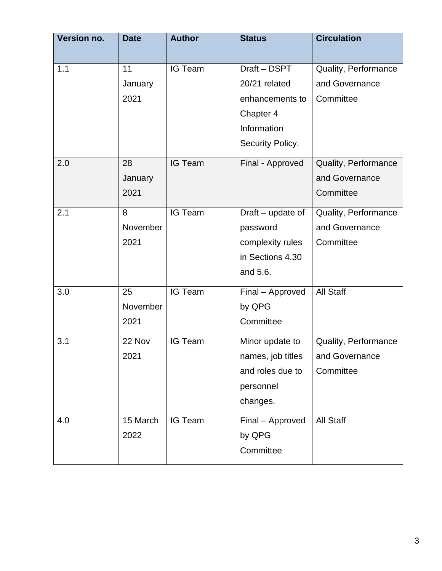| <b>Version no.</b> | <b>Date</b> | <b>Author</b>  | <b>Status</b>     | <b>Circulation</b>   |
|--------------------|-------------|----------------|-------------------|----------------------|
|                    |             |                |                   |                      |
| 1.1                | 11          | <b>IG Team</b> | Draft - DSPT      | Quality, Performance |
|                    | January     |                | 20/21 related     | and Governance       |
|                    | 2021        |                | enhancements to   | Committee            |
|                    |             |                | Chapter 4         |                      |
|                    |             |                | Information       |                      |
|                    |             |                | Security Policy.  |                      |
| 2.0                | 28          | <b>IG Team</b> | Final - Approved  | Quality, Performance |
|                    | January     |                |                   | and Governance       |
|                    | 2021        |                |                   | Committee            |
| 2.1                | 8           | <b>IG Team</b> | Draft - update of | Quality, Performance |
|                    | November    |                | password          | and Governance       |
|                    | 2021        |                | complexity rules  | Committee            |
|                    |             |                | in Sections 4.30  |                      |
|                    |             |                | and 5.6.          |                      |
| 3.0                | 25          | <b>IG Team</b> | Final - Approved  | <b>All Staff</b>     |
|                    | November    |                | by QPG            |                      |
|                    | 2021        |                | Committee         |                      |
| 3.1                | 22 Nov      | <b>IG Team</b> | Minor update to   | Quality, Performance |
|                    | 2021        |                | names, job titles | and Governance       |
|                    |             |                | and roles due to  | Committee            |
|                    |             |                | personnel         |                      |
|                    |             |                | changes.          |                      |
| 4.0                | 15 March    | <b>IG Team</b> | Final - Approved  | <b>All Staff</b>     |
|                    | 2022        |                | by QPG            |                      |
|                    |             |                | Committee         |                      |
|                    |             |                |                   |                      |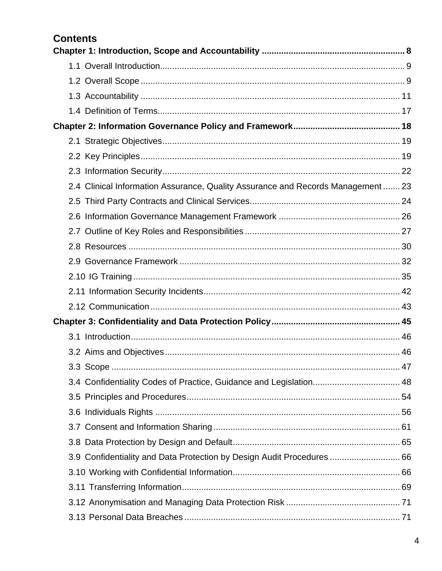# **Contents**

| 2.4 Clinical Information Assurance, Quality Assurance and Records Management  23 |    |
|----------------------------------------------------------------------------------|----|
|                                                                                  |    |
|                                                                                  |    |
|                                                                                  |    |
|                                                                                  |    |
|                                                                                  |    |
|                                                                                  |    |
|                                                                                  |    |
|                                                                                  |    |
|                                                                                  |    |
|                                                                                  |    |
|                                                                                  |    |
| 3.3 Scope                                                                        | 47 |
| 3.4 Confidentiality Codes of Practice, Guidance and Legislation 48               |    |
|                                                                                  |    |
|                                                                                  |    |
|                                                                                  |    |
|                                                                                  |    |
| 3.9 Confidentiality and Data Protection by Design Audit Procedures  66           |    |
|                                                                                  |    |
|                                                                                  |    |
|                                                                                  |    |
|                                                                                  |    |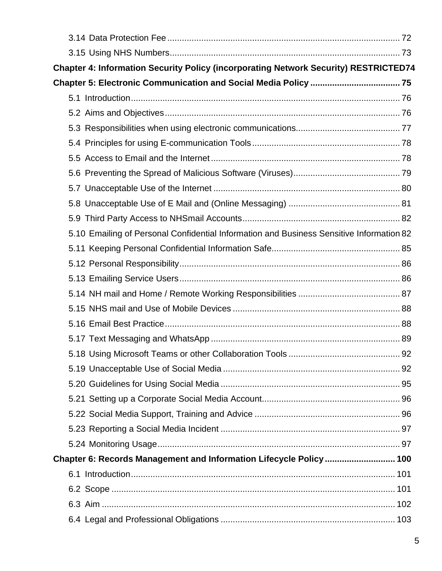| Chapter 4: Information Security Policy (incorporating Network Security) RESTRICTED74     |  |
|------------------------------------------------------------------------------------------|--|
|                                                                                          |  |
|                                                                                          |  |
|                                                                                          |  |
|                                                                                          |  |
|                                                                                          |  |
|                                                                                          |  |
|                                                                                          |  |
|                                                                                          |  |
|                                                                                          |  |
|                                                                                          |  |
| 5.10 Emailing of Personal Confidential Information and Business Sensitive Information 82 |  |
|                                                                                          |  |
|                                                                                          |  |
|                                                                                          |  |
|                                                                                          |  |
|                                                                                          |  |
|                                                                                          |  |
|                                                                                          |  |
|                                                                                          |  |
|                                                                                          |  |
|                                                                                          |  |
|                                                                                          |  |
|                                                                                          |  |
|                                                                                          |  |
|                                                                                          |  |
| Chapter 6: Records Management and Information Lifecycle Policy 100                       |  |
|                                                                                          |  |
|                                                                                          |  |
|                                                                                          |  |
|                                                                                          |  |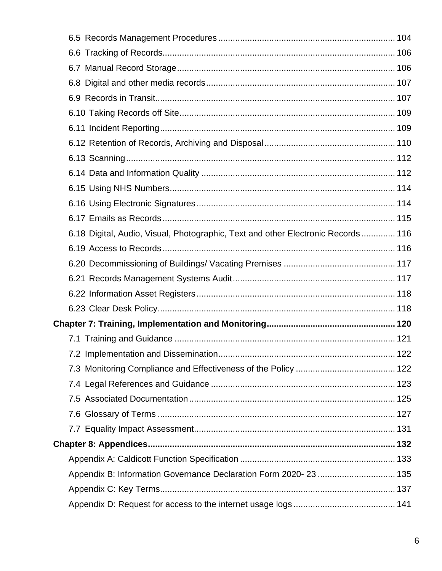| 6.18 Digital, Audio, Visual, Photographic, Text and other Electronic Records 116 |  |
|----------------------------------------------------------------------------------|--|
|                                                                                  |  |
|                                                                                  |  |
|                                                                                  |  |
|                                                                                  |  |
|                                                                                  |  |
|                                                                                  |  |
|                                                                                  |  |
|                                                                                  |  |
|                                                                                  |  |
|                                                                                  |  |
|                                                                                  |  |
|                                                                                  |  |
|                                                                                  |  |
|                                                                                  |  |
|                                                                                  |  |
| Appendix B: Information Governance Declaration Form 2020-23  135                 |  |
|                                                                                  |  |
|                                                                                  |  |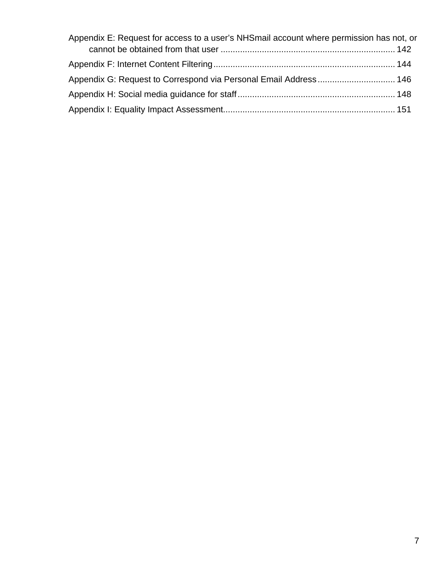| Appendix E: Request for access to a user's NHSmail account where permission has not, or |  |
|-----------------------------------------------------------------------------------------|--|
|                                                                                         |  |
|                                                                                         |  |
| Appendix G: Request to Correspond via Personal Email Address 146                        |  |
|                                                                                         |  |
|                                                                                         |  |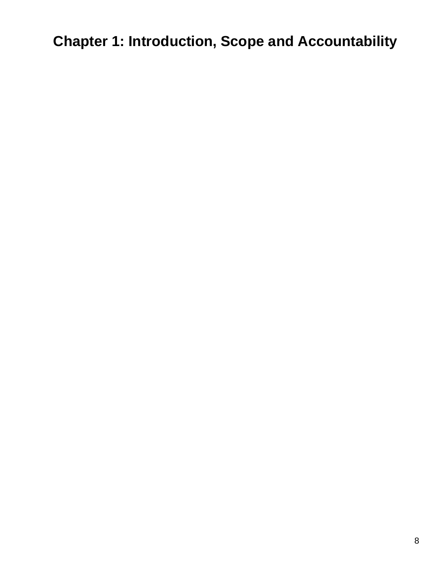<span id="page-7-0"></span>**Chapter 1: Introduction, Scope and Accountability**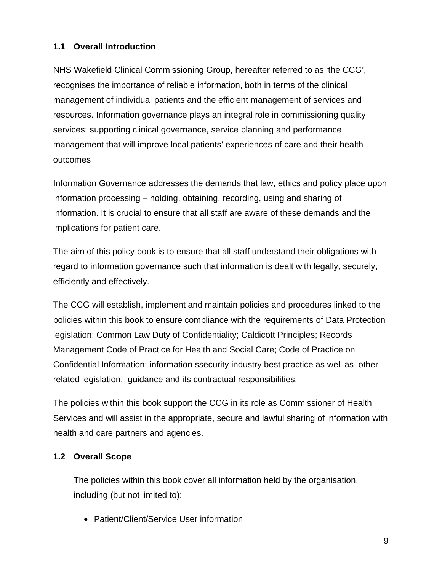# <span id="page-8-0"></span>**1.1 Overall Introduction**

NHS Wakefield Clinical Commissioning Group, hereafter referred to as 'the CCG', recognises the importance of reliable information, both in terms of the clinical management of individual patients and the efficient management of services and resources. Information governance plays an integral role in commissioning quality services; supporting clinical governance, service planning and performance management that will improve local patients' experiences of care and their health outcomes

Information Governance addresses the demands that law, ethics and policy place upon information processing – holding, obtaining, recording, using and sharing of information. It is crucial to ensure that all staff are aware of these demands and the implications for patient care.

The aim of this policy book is to ensure that all staff understand their obligations with regard to information governance such that information is dealt with legally, securely, efficiently and effectively.

The CCG will establish, implement and maintain policies and procedures linked to the policies within this book to ensure compliance with the requirements of Data Protection legislation; Common Law Duty of Confidentiality; Caldicott Principles; Records Management Code of Practice for Health and Social Care; Code of Practice on Confidential Information; information ssecurity industry best practice as well as other related legislation, guidance and its contractual responsibilities.

The policies within this book support the CCG in its role as Commissioner of Health Services and will assist in the appropriate, secure and lawful sharing of information with health and care partners and agencies.

# <span id="page-8-1"></span>**1.2 Overall Scope**

The policies within this book cover all information held by the organisation, including (but not limited to):

• Patient/Client/Service User information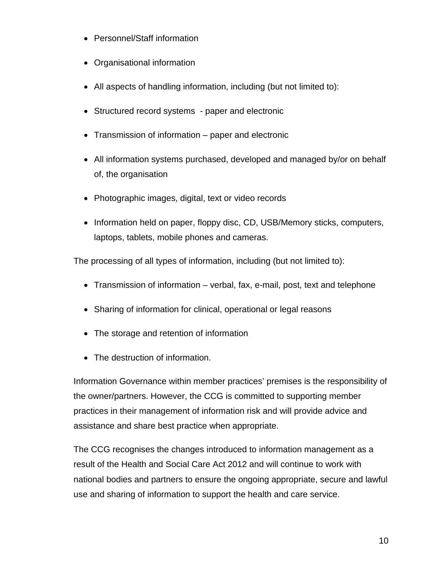- Personnel/Staff information
- Organisational information
- All aspects of handling information, including (but not limited to):
- Structured record systems paper and electronic
- Transmission of information paper and electronic
- All information systems purchased, developed and managed by/or on behalf of, the organisation
- Photographic images, digital, text or video records
- Information held on paper, floppy disc, CD, USB/Memory sticks, computers, laptops, tablets, mobile phones and cameras.

The processing of all types of information, including (but not limited to):

- Transmission of information verbal, fax, e-mail, post, text and telephone
- Sharing of information for clinical, operational or legal reasons
- The storage and retention of information
- The destruction of information.

Information Governance within member practices' premises is the responsibility of the owner/partners. However, the CCG is committed to supporting member practices in their management of information risk and will provide advice and assistance and share best practice when appropriate.

The CCG recognises the changes introduced to information management as a result of the Health and Social Care Act 2012 and will continue to work with national bodies and partners to ensure the ongoing appropriate, secure and lawful use and sharing of information to support the health and care service.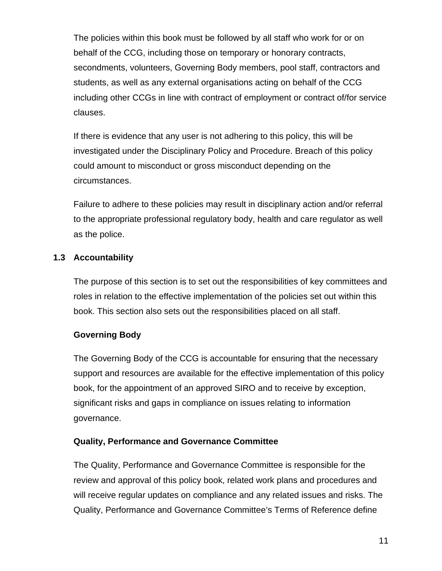The policies within this book must be followed by all staff who work for or on behalf of the CCG, including those on temporary or honorary contracts, secondments, volunteers, Governing Body members, pool staff, contractors and students, as well as any external organisations acting on behalf of the CCG including other CCGs in line with contract of employment or contract of/for service clauses.

If there is evidence that any user is not adhering to this policy, this will be investigated under the Disciplinary Policy and Procedure. Breach of this policy could amount to misconduct or gross misconduct depending on the circumstances.

Failure to adhere to these policies may result in disciplinary action and/or referral to the appropriate professional regulatory body, health and care regulator as well as the police.

# <span id="page-10-1"></span><span id="page-10-0"></span>**1.3 Accountability**

The purpose of this section is to set out the responsibilities of key committees and roles in relation to the effective implementation of the policies set out within this book. This section also sets out the responsibilities placed on all staff.

# **Governing Body**

The Governing Body of the CCG is accountable for ensuring that the necessary support and resources are available for the effective implementation of this policy book, for the appointment of an approved SIRO and to receive by exception, significant risks and gaps in compliance on issues relating to information governance.

# **Quality, Performance and Governance Committee**

The Quality, Performance and Governance Committee is responsible for the review and approval of this policy book, related work plans and procedures and will receive regular updates on compliance and any related issues and risks. The Quality, Performance and Governance Committee's Terms of Reference define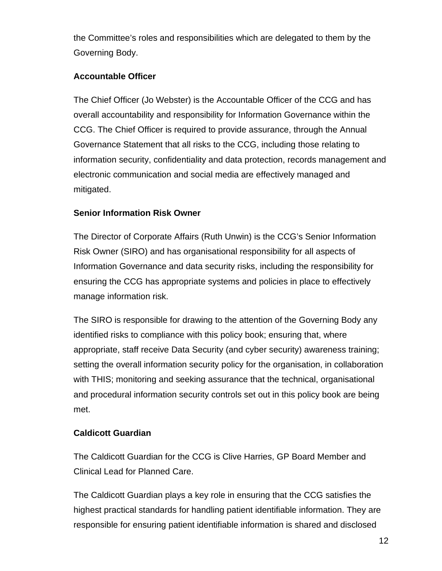the Committee's roles and responsibilities which are delegated to them by the Governing Body.

# **Accountable Officer**

The Chief Officer (Jo Webster) is the Accountable Officer of the CCG and has overall accountability and responsibility for Information Governance within the CCG. The Chief Officer is required to provide assurance, through the Annual Governance Statement that all risks to the CCG, including those relating to information security, confidentiality and data protection, records management and electronic communication and social media are effectively managed and mitigated.

# **Senior Information Risk Owner**

The Director of Corporate Affairs (Ruth Unwin) is the CCG's Senior Information Risk Owner (SIRO) and has organisational responsibility for all aspects of Information Governance and data security risks, including the responsibility for ensuring the CCG has appropriate systems and policies in place to effectively manage information risk.

The SIRO is responsible for drawing to the attention of the Governing Body any identified risks to compliance with this policy book; ensuring that, where appropriate, staff receive Data Security (and cyber security) awareness training; setting the overall information security policy for the organisation, in collaboration with THIS; monitoring and seeking assurance that the technical, organisational and procedural information security controls set out in this policy book are being met.

# **Caldicott Guardian**

The Caldicott Guardian for the CCG is Clive Harries, GP Board Member and Clinical Lead for Planned Care.

The Caldicott Guardian plays a key role in ensuring that the CCG satisfies the highest practical standards for handling patient identifiable information. They are responsible for ensuring patient identifiable information is shared and disclosed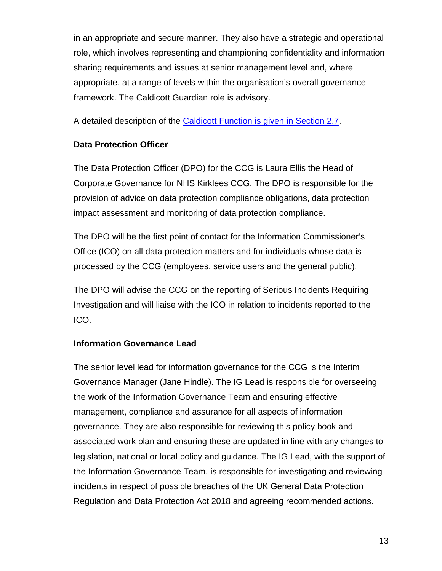in an appropriate and secure manner. They also have a strategic and operational role, which involves representing and championing confidentiality and information sharing requirements and issues at senior management level and, where appropriate, at a range of levels within the organisation's overall governance framework. The Caldicott Guardian role is advisory.

A detailed description of the [Caldicott Function is given in Section 2.7.](#page-26-1)

### **Data Protection Officer**

The Data Protection Officer (DPO) for the CCG is Laura Ellis the Head of Corporate Governance for NHS Kirklees CCG. The DPO is responsible for the provision of advice on data protection compliance obligations, data protection impact assessment and monitoring of data protection compliance.

The DPO will be the first point of contact for the Information Commissioner's Office (ICO) on all data protection matters and for individuals whose data is processed by the CCG (employees, service users and the general public).

The DPO will advise the CCG on the reporting of Serious Incidents Requiring Investigation and will liaise with the ICO in relation to incidents reported to the ICO.

### **Information Governance Lead**

The senior level lead for information governance for the CCG is the Interim Governance Manager (Jane Hindle). The IG Lead is responsible for overseeing the work of the Information Governance Team and ensuring effective management, compliance and assurance for all aspects of information governance. They are also responsible for reviewing this policy book and associated work plan and ensuring these are updated in line with any changes to legislation, national or local policy and guidance. The IG Lead, with the support of the Information Governance Team, is responsible for investigating and reviewing incidents in respect of possible breaches of the UK General Data Protection Regulation and Data Protection Act 2018 and agreeing recommended actions.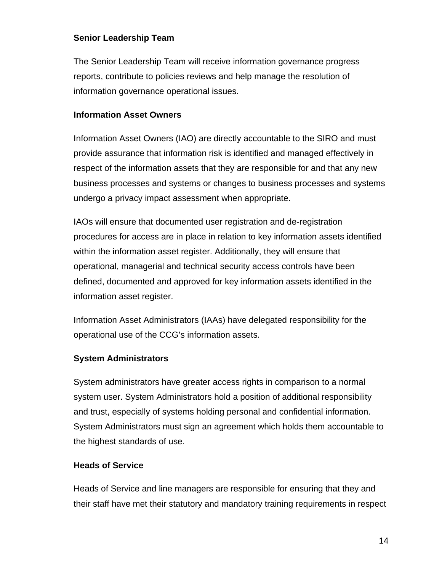### **Senior Leadership Team**

The Senior Leadership Team will receive information governance progress reports, contribute to policies reviews and help manage the resolution of information governance operational issues.

### **Information Asset Owners**

Information Asset Owners (IAO) are directly accountable to the SIRO and must provide assurance that information risk is identified and managed effectively in respect of the information assets that they are responsible for and that any new business processes and systems or changes to business processes and systems undergo a privacy impact assessment when appropriate.

IAOs will ensure that documented user registration and de-registration procedures for access are in place in relation to key information assets identified within the information asset register. Additionally, they will ensure that operational, managerial and technical security access controls have been defined, documented and approved for key information assets identified in the information asset register.

Information Asset Administrators (IAAs) have delegated responsibility for the operational use of the CCG's information assets.

# **System Administrators**

System administrators have greater access rights in comparison to a normal system user. System Administrators hold a position of additional responsibility and trust, especially of systems holding personal and confidential information. System Administrators must sign an agreement which holds them accountable to the highest standards of use.

### **Heads of Service**

Heads of Service and line managers are responsible for ensuring that they and their staff have met their statutory and mandatory training requirements in respect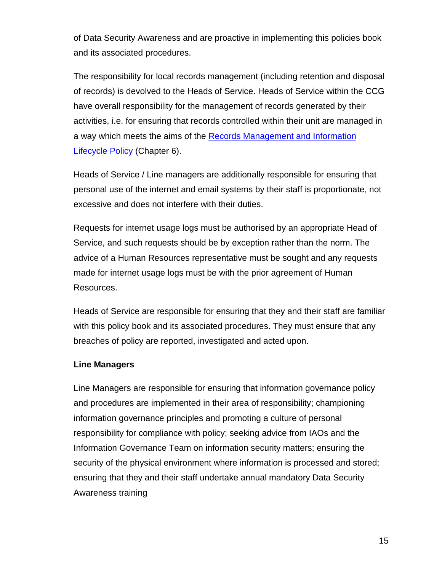of Data Security Awareness and are proactive in implementing this policies book and its associated procedures.

The responsibility for local records management (including retention and disposal of records) is devolved to the Heads of Service. Heads of Service within the CCG have overall responsibility for the management of records generated by their activities, i.e. for ensuring that records controlled within their unit are managed in a way which meets the aims of the Records Management and Information [Lifecycle Policy](#page-99-0) (Chapter 6).

Heads of Service / Line managers are additionally responsible for ensuring that personal use of the internet and email systems by their staff is proportionate, not excessive and does not interfere with their duties.

Requests for internet usage logs must be authorised by an appropriate Head of Service, and such requests should be by exception rather than the norm. The advice of a Human Resources representative must be sought and any requests made for internet usage logs must be with the prior agreement of Human Resources.

Heads of Service are responsible for ensuring that they and their staff are familiar with this policy book and its associated procedures. They must ensure that any breaches of policy are reported, investigated and acted upon.

### **Line Managers**

Line Managers are responsible for ensuring that information governance policy and procedures are implemented in their area of responsibility; championing information governance principles and promoting a culture of personal responsibility for compliance with policy; seeking advice from IAOs and the Information Governance Team on information security matters; ensuring the security of the physical environment where information is processed and stored; ensuring that they and their staff undertake annual mandatory Data Security Awareness training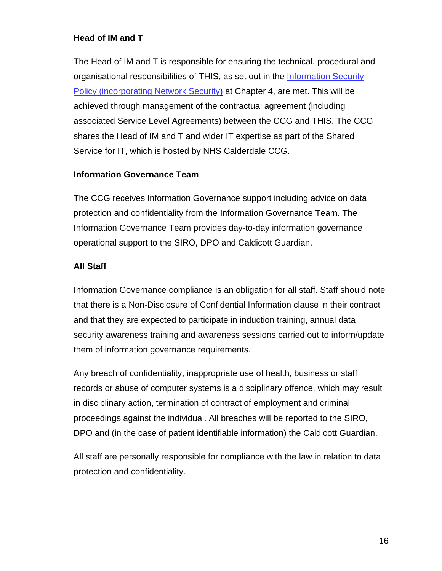### **Head of IM and T**

The Head of IM and T is responsible for ensuring the technical, procedural and organisational responsibilities of THIS, as set out in the [Information Security](#page-72-1)  [Policy \(incorporating Network Security\)](#page-72-1) at Chapter 4, are met. This will be achieved through management of the contractual agreement (including associated Service Level Agreements) between the CCG and THIS. The CCG shares the Head of IM and T and wider IT expertise as part of the Shared Service for IT, which is hosted by NHS Calderdale CCG.

### **Information Governance Team**

The CCG receives Information Governance support including advice on data protection and confidentiality from the Information Governance Team. The Information Governance Team provides day-to-day information governance operational support to the SIRO, DPO and Caldicott Guardian.

### **All Staff**

Information Governance compliance is an obligation for all staff. Staff should note that there is a Non-Disclosure of Confidential Information clause in their contract and that they are expected to participate in induction training, annual data security awareness training and awareness sessions carried out to inform/update them of information governance requirements.

Any breach of confidentiality, inappropriate use of health, business or staff records or abuse of computer systems is a disciplinary offence, which may result in disciplinary action, termination of contract of employment and criminal proceedings against the individual. All breaches will be reported to the SIRO, DPO and (in the case of patient identifiable information) the Caldicott Guardian.

All staff are personally responsible for compliance with the law in relation to data protection and confidentiality.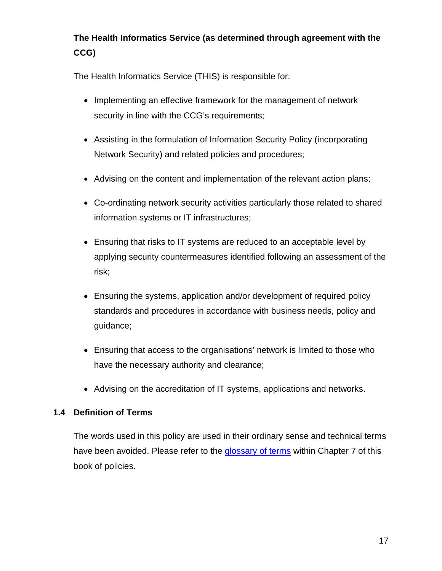# **The Health Informatics Service (as determined through agreement with the CCG)**

The Health Informatics Service (THIS) is responsible for:

- Implementing an effective framework for the management of network security in line with the CCG's requirements;
- Assisting in the formulation of Information Security Policy (incorporating Network Security) and related policies and procedures;
- Advising on the content and implementation of the relevant action plans;
- Co-ordinating network security activities particularly those related to shared information systems or IT infrastructures;
- Ensuring that risks to IT systems are reduced to an acceptable level by applying security countermeasures identified following an assessment of the risk;
- Ensuring the systems, application and/or development of required policy standards and procedures in accordance with business needs, policy and guidance;
- Ensuring that access to the organisations' network is limited to those who have the necessary authority and clearance;
- Advising on the accreditation of IT systems, applications and networks.

### <span id="page-16-0"></span>**1.4 Definition of Terms**

The words used in this policy are used in their ordinary sense and technical terms have been avoided. Please refer to the [glossary of terms](#page-126-1) within Chapter 7 of this book of policies.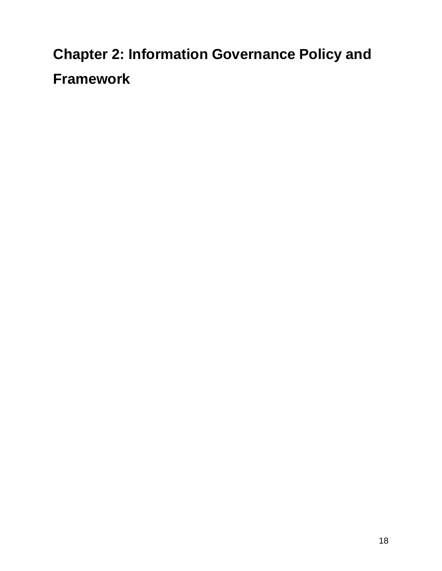<span id="page-17-0"></span>**Chapter 2: Information Governance Policy and Framework**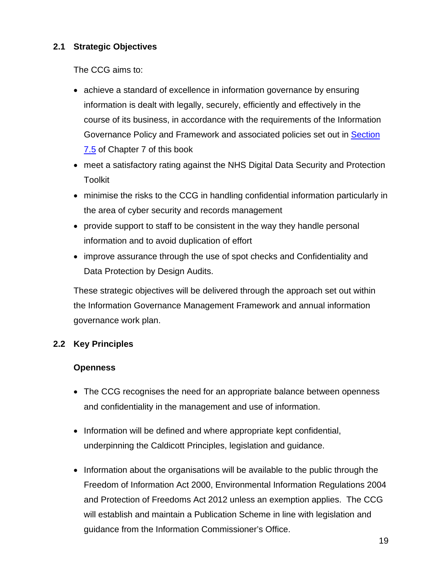# <span id="page-18-0"></span>**2.1 Strategic Objectives**

The CCG aims to:

- achieve a standard of excellence in information governance by ensuring information is dealt with legally, securely, efficiently and effectively in the course of its business, in accordance with the requirements of the Information Governance Policy and Framework and associated policies set out in [Section](#page-124-1)  [7.5](#page-124-1) of Chapter 7 of this book
- meet a satisfactory rating against the NHS Digital Data Security and Protection Toolkit
- minimise the risks to the CCG in handling confidential information particularly in the area of cyber security and records management
- provide support to staff to be consistent in the way they handle personal information and to avoid duplication of effort
- improve assurance through the use of spot checks and Confidentiality and Data Protection by Design Audits.

These strategic objectives will be delivered through the approach set out within the Information Governance Management Framework and annual information governance work plan.

# <span id="page-18-1"></span>**2.2 Key Principles**

# **Openness**

- The CCG recognises the need for an appropriate balance between openness and confidentiality in the management and use of information.
- Information will be defined and where appropriate kept confidential, underpinning the Caldicott Principles, legislation and guidance.
- Information about the organisations will be available to the public through the Freedom of Information Act 2000, Environmental Information Regulations 2004 and Protection of Freedoms Act 2012 unless an exemption applies. The CCG will establish and maintain a Publication Scheme in line with legislation and guidance from the Information Commissioner's Office.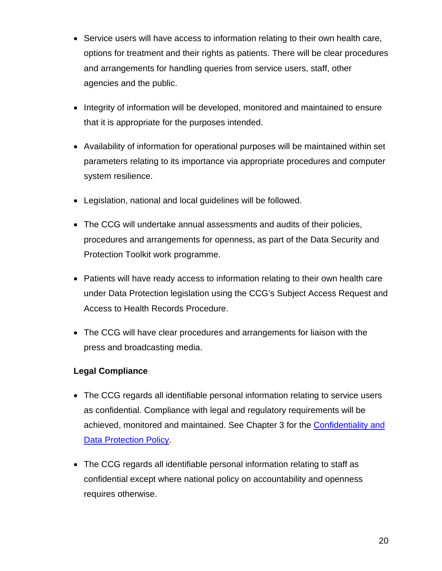- Service users will have access to information relating to their own health care, options for treatment and their rights as patients. There will be clear procedures and arrangements for handling queries from service users, staff, other agencies and the public.
- Integrity of information will be developed, monitored and maintained to ensure that it is appropriate for the purposes intended.
- Availability of information for operational purposes will be maintained within set parameters relating to its importance via appropriate procedures and computer system resilience.
- Legislation, national and local guidelines will be followed.
- The CCG will undertake annual assessments and audits of their policies, procedures and arrangements for openness, as part of the Data Security and Protection Toolkit work programme.
- Patients will have ready access to information relating to their own health care under Data Protection legislation using the CCG's Subject Access Request and Access to Health Records Procedure.
- The CCG will have clear procedures and arrangements for liaison with the press and broadcasting media.

# **Legal Compliance**

- The CCG regards all identifiable personal information relating to service users as confidential. Compliance with legal and regulatory requirements will be achieved, monitored and maintained. See Chapter 3 for the [Confidentiality and](#page-44-0)  [Data Protection Policy.](#page-44-0)
- The CCG regards all identifiable personal information relating to staff as confidential except where national policy on accountability and openness requires otherwise.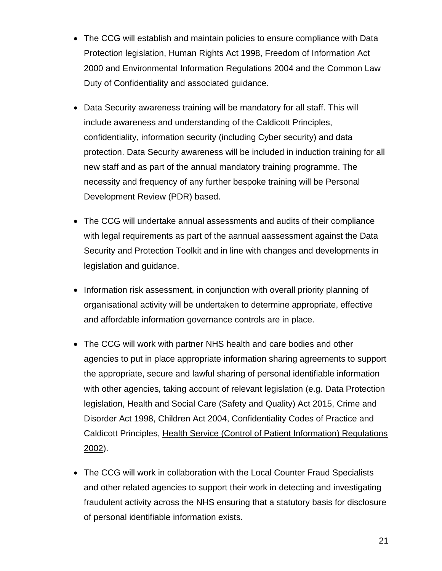- The CCG will establish and maintain policies to ensure compliance with Data Protection legislation, Human Rights Act 1998, Freedom of Information Act 2000 and Environmental Information Regulations 2004 and the Common Law Duty of Confidentiality and associated guidance.
- Data Security awareness training will be mandatory for all staff. This will include awareness and understanding of the Caldicott Principles, confidentiality, information security (including Cyber security) and data protection. Data Security awareness will be included in induction training for all new staff and as part of the annual mandatory training programme. The necessity and frequency of any further bespoke training will be Personal Development Review (PDR) based.
- The CCG will undertake annual assessments and audits of their compliance with legal requirements as part of the aannual aassessment against the Data Security and Protection Toolkit and in line with changes and developments in legislation and guidance.
- Information risk assessment, in conjunction with overall priority planning of organisational activity will be undertaken to determine appropriate, effective and affordable information governance controls are in place.
- The CCG will work with partner NHS health and care bodies and other agencies to put in place appropriate information sharing agreements to support the appropriate, secure and lawful sharing of personal identifiable information with other agencies, taking account of relevant legislation (e.g. Data Protection legislation, Health and Social Care (Safety and Quality) Act 2015, Crime and Disorder Act 1998, Children Act 2004, Confidentiality Codes of Practice and Caldicott Principles, Health Service (Control of Patient Information) Regulations 2002).
- The CCG will work in collaboration with the Local Counter Fraud Specialists and other related agencies to support their work in detecting and investigating fraudulent activity across the NHS ensuring that a statutory basis for disclosure of personal identifiable information exists.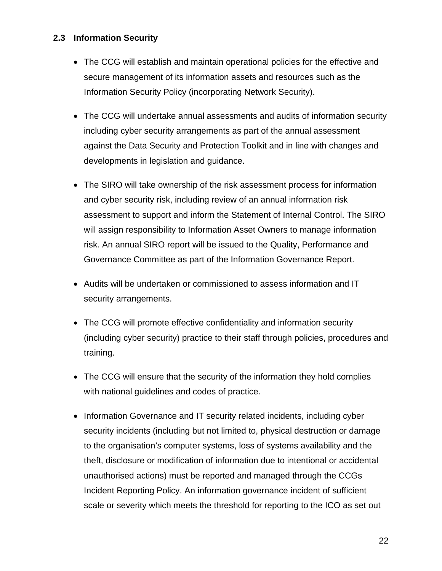# <span id="page-21-0"></span>**2.3 Information Security**

- The CCG will establish and maintain operational policies for the effective and secure management of its information assets and resources such as the Information Security Policy (incorporating Network Security).
- The CCG will undertake annual assessments and audits of information security including cyber security arrangements as part of the annual assessment against the Data Security and Protection Toolkit and in line with changes and developments in legislation and guidance.
- The SIRO will take ownership of the risk assessment process for information and cyber security risk, including review of an annual information risk assessment to support and inform the Statement of Internal Control. The SIRO will assign responsibility to Information Asset Owners to manage information risk. An annual SIRO report will be issued to the Quality, Performance and Governance Committee as part of the Information Governance Report.
- Audits will be undertaken or commissioned to assess information and IT security arrangements.
- The CCG will promote effective confidentiality and information security (including cyber security) practice to their staff through policies, procedures and training.
- The CCG will ensure that the security of the information they hold complies with national guidelines and codes of practice.
- Information Governance and IT security related incidents, including cyber security incidents (including but not limited to, physical destruction or damage to the organisation's computer systems, loss of systems availability and the theft, disclosure or modification of information due to intentional or accidental unauthorised actions) must be reported and managed through the CCGs Incident Reporting Policy. An information governance incident of sufficient scale or severity which meets the threshold for reporting to the ICO as set out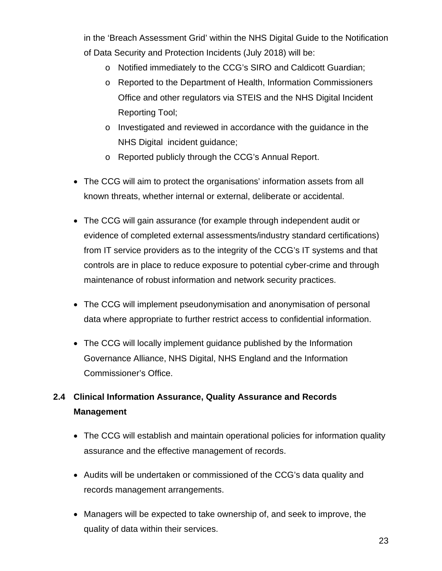in the 'Breach Assessment Grid' within the NHS Digital Guide to the Notification of Data Security and Protection Incidents (July 2018) will be:

- o Notified immediately to the CCG's SIRO and Caldicott Guardian;
- o Reported to the Department of Health, Information Commissioners Office and other regulators via STEIS and the NHS Digital Incident Reporting Tool;
- o Investigated and reviewed in accordance with the guidance in the NHS Digital incident guidance;
- o Reported publicly through the CCG's Annual Report.
- The CCG will aim to protect the organisations' information assets from all known threats, whether internal or external, deliberate or accidental.
- The CCG will gain assurance (for example through independent audit or evidence of completed external assessments/industry standard certifications) from IT service providers as to the integrity of the CCG's IT systems and that controls are in place to reduce exposure to potential cyber-crime and through maintenance of robust information and network security practices.
- The CCG will implement pseudonymisation and anonymisation of personal data where appropriate to further restrict access to confidential information.
- The CCG will locally implement guidance published by the Information Governance Alliance, NHS Digital, NHS England and the Information Commissioner's Office.

# <span id="page-22-0"></span>**2.4 Clinical Information Assurance, Quality Assurance and Records Management**

- The CCG will establish and maintain operational policies for information quality assurance and the effective management of records.
- Audits will be undertaken or commissioned of the CCG's data quality and records management arrangements.
- Managers will be expected to take ownership of, and seek to improve, the quality of data within their services.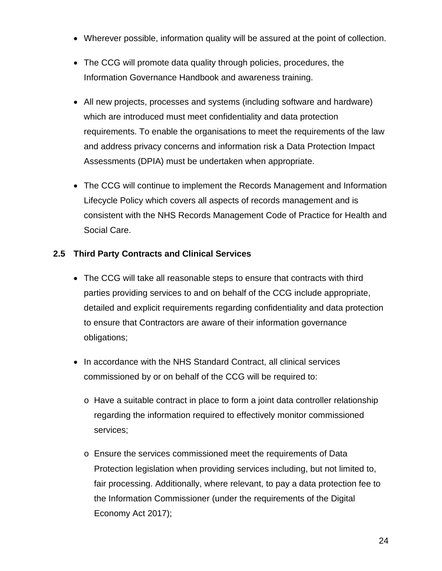- Wherever possible, information quality will be assured at the point of collection.
- The CCG will promote data quality through policies, procedures, the Information Governance Handbook and awareness training.
- All new projects, processes and systems (including software and hardware) which are introduced must meet confidentiality and data protection requirements. To enable the organisations to meet the requirements of the law and address privacy concerns and information risk a Data Protection Impact Assessments (DPIA) must be undertaken when appropriate.
- The CCG will continue to implement the Records Management and Information Lifecycle Policy which covers all aspects of records management and is consistent with the NHS Records Management Code of Practice for Health and Social Care.

# <span id="page-23-0"></span>**2.5 Third Party Contracts and Clinical Services**

- The CCG will take all reasonable steps to ensure that contracts with third parties providing services to and on behalf of the CCG include appropriate, detailed and explicit requirements regarding confidentiality and data protection to ensure that Contractors are aware of their information governance obligations;
- In accordance with the NHS Standard Contract, all clinical services commissioned by or on behalf of the CCG will be required to:
	- o Have a suitable contract in place to form a joint data controller relationship regarding the information required to effectively monitor commissioned services;
	- o Ensure the services commissioned meet the requirements of Data Protection legislation when providing services including, but not limited to, fair processing. Additionally, where relevant, to pay a data protection fee to the Information Commissioner (under the requirements of the Digital Economy Act 2017);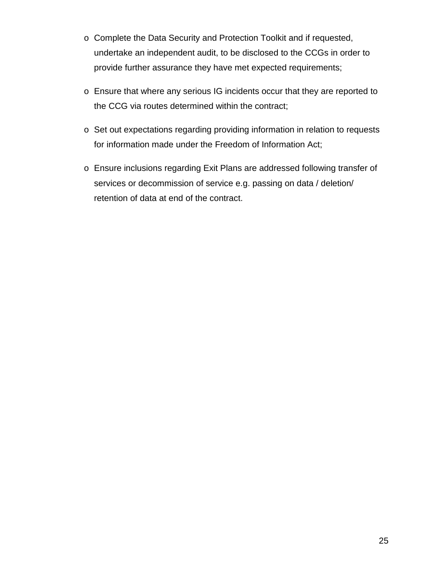- o Complete the Data Security and Protection Toolkit and if requested, undertake an independent audit, to be disclosed to the CCGs in order to provide further assurance they have met expected requirements;
- o Ensure that where any serious IG incidents occur that they are reported to the CCG via routes determined within the contract;
- o Set out expectations regarding providing information in relation to requests for information made under the Freedom of Information Act;
- o Ensure inclusions regarding Exit Plans are addressed following transfer of services or decommission of service e.g. passing on data / deletion/ retention of data at end of the contract.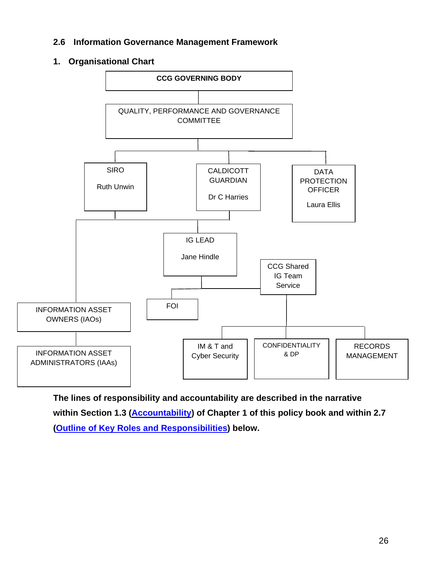### <span id="page-25-0"></span>**2.6 Information Governance Management Framework**

### **1. Organisational Chart**



**The lines of responsibility and accountability are described in the narrative within Section 1.3 [\(Accountability\)](#page-10-1) of Chapter 1 of this policy book and within 2.7 [\(Outline of Key Roles and Responsibilities\)](#page-26-1) below.**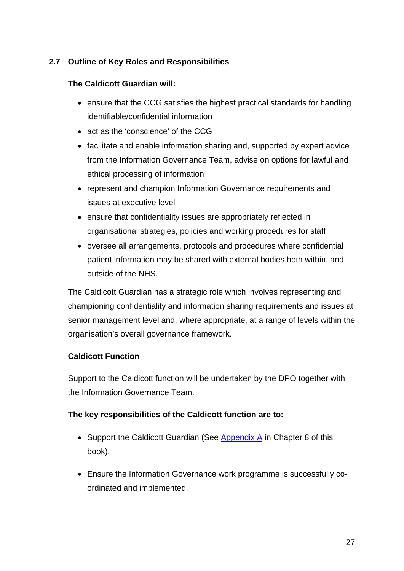# <span id="page-26-1"></span><span id="page-26-0"></span>**2.7 Outline of Key Roles and Responsibilities**

### **The Caldicott Guardian will:**

- ensure that the CCG satisfies the highest practical standards for handling identifiable/confidential information
- act as the 'conscience' of the CCG
- facilitate and enable information sharing and, supported by expert advice from the Information Governance Team, advise on options for lawful and ethical processing of information
- represent and champion Information Governance requirements and issues at executive level
- ensure that confidentiality issues are appropriately reflected in organisational strategies, policies and working procedures for staff
- oversee all arrangements, protocols and procedures where confidential patient information may be shared with external bodies both within, and outside of the NHS.

The Caldicott Guardian has a strategic role which involves representing and championing confidentiality and information sharing requirements and issues at senior management level and, where appropriate, at a range of levels within the organisation's overall governance framework.

# **Caldicott Function**

Support to the Caldicott function will be undertaken by the DPO together with the Information Governance Team.

# **The key responsibilities of the Caldicott function are to:**

- Support the Caldicott Guardian (See [Appendix A](#page-131-1) in Chapter 8 of this book).
- Ensure the Information Governance work programme is successfully coordinated and implemented.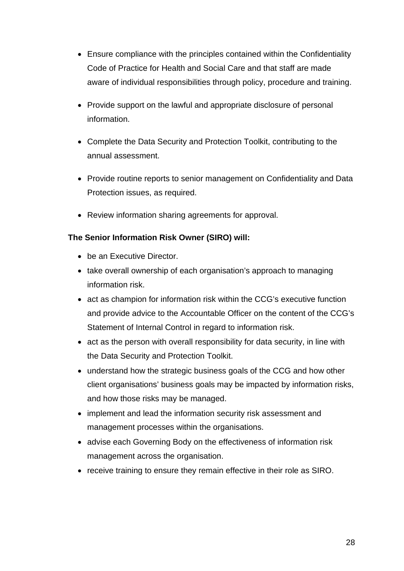- Ensure compliance with the principles contained within the Confidentiality Code of Practice for Health and Social Care and that staff are made aware of individual responsibilities through policy, procedure and training.
- Provide support on the lawful and appropriate disclosure of personal information.
- Complete the Data Security and Protection Toolkit, contributing to the annual assessment.
- Provide routine reports to senior management on Confidentiality and Data Protection issues, as required.
- Review information sharing agreements for approval.

# **The Senior Information Risk Owner (SIRO) will:**

- be an Executive Director.
- take overall ownership of each organisation's approach to managing information risk.
- act as champion for information risk within the CCG's executive function and provide advice to the Accountable Officer on the content of the CCG's Statement of Internal Control in regard to information risk.
- act as the person with overall responsibility for data security, in line with the Data Security and Protection Toolkit.
- understand how the strategic business goals of the CCG and how other client organisations' business goals may be impacted by information risks, and how those risks may be managed.
- implement and lead the information security risk assessment and management processes within the organisations.
- advise each Governing Body on the effectiveness of information risk management across the organisation.
- receive training to ensure they remain effective in their role as SIRO.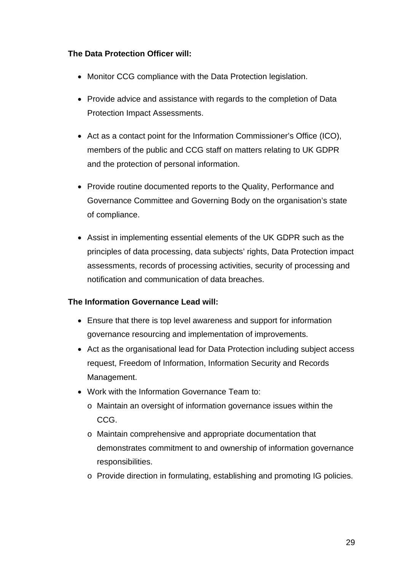# **The Data Protection Officer will:**

- Monitor CCG compliance with the Data Protection legislation.
- Provide advice and assistance with regards to the completion of Data Protection Impact Assessments.
- Act as a contact point for the Information Commissioner's Office (ICO), members of the public and CCG staff on matters relating to UK GDPR and the protection of personal information.
- Provide routine documented reports to the Quality, Performance and Governance Committee and Governing Body on the organisation's state of compliance.
- Assist in implementing essential elements of the UK GDPR such as the principles of data processing, data subjects' rights, Data Protection impact assessments, records of processing activities, security of processing and notification and communication of data breaches.

# **The Information Governance Lead will:**

- Ensure that there is top level awareness and support for information governance resourcing and implementation of improvements.
- Act as the organisational lead for Data Protection including subject access request, Freedom of Information, Information Security and Records Management.
- Work with the Information Governance Team to:
	- o Maintain an oversight of information governance issues within the CCG.
	- o Maintain comprehensive and appropriate documentation that demonstrates commitment to and ownership of information governance responsibilities.
	- o Provide direction in formulating, establishing and promoting IG policies.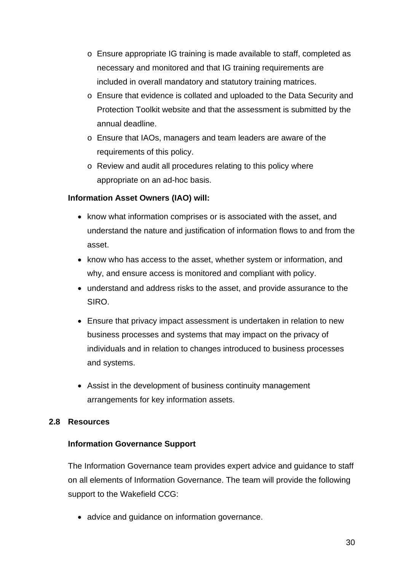- o Ensure appropriate IG training is made available to staff, completed as necessary and monitored and that IG training requirements are included in overall mandatory and statutory training matrices.
- o Ensure that evidence is collated and uploaded to the Data Security and Protection Toolkit website and that the assessment is submitted by the annual deadline.
- o Ensure that IAOs, managers and team leaders are aware of the requirements of this policy.
- o Review and audit all procedures relating to this policy where appropriate on an ad-hoc basis.

# **Information Asset Owners (IAO) will:**

- know what information comprises or is associated with the asset, and understand the nature and justification of information flows to and from the asset.
- know who has access to the asset, whether system or information, and why, and ensure access is monitored and compliant with policy.
- understand and address risks to the asset, and provide assurance to the SIRO.
- Ensure that privacy impact assessment is undertaken in relation to new business processes and systems that may impact on the privacy of individuals and in relation to changes introduced to business processes and systems.
- <span id="page-29-0"></span>• Assist in the development of business continuity management arrangements for key information assets.

### **2.8 Resources**

### **Information Governance Support**

The Information Governance team provides expert advice and guidance to staff on all elements of Information Governance. The team will provide the following support to the Wakefield CCG:

• advice and quidance on information governance.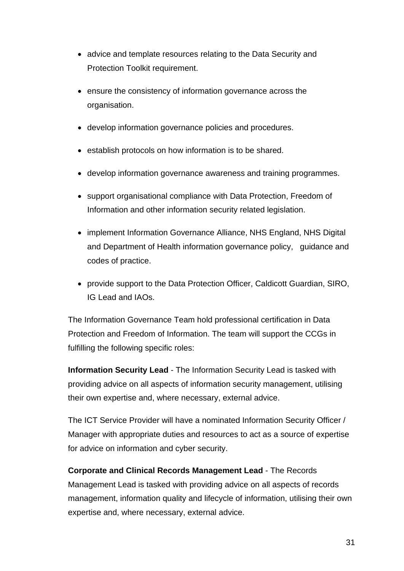- advice and template resources relating to the Data Security and Protection Toolkit requirement.
- ensure the consistency of information governance across the organisation.
- develop information governance policies and procedures.
- establish protocols on how information is to be shared.
- develop information governance awareness and training programmes.
- support organisational compliance with Data Protection, Freedom of Information and other information security related legislation.
- implement Information Governance Alliance, NHS England, NHS Digital and Department of Health information governance policy, guidance and codes of practice.
- provide support to the Data Protection Officer, Caldicott Guardian, SIRO, IG Lead and IAOs.

The Information Governance Team hold professional certification in Data Protection and Freedom of Information. The team will support the CCGs in fulfilling the following specific roles:

**Information Security Lead** - The Information Security Lead is tasked with providing advice on all aspects of information security management, utilising their own expertise and, where necessary, external advice.

The ICT Service Provider will have a nominated Information Security Officer / Manager with appropriate duties and resources to act as a source of expertise for advice on information and cyber security.

**Corporate and Clinical Records Management Lead** - The Records Management Lead is tasked with providing advice on all aspects of records management, information quality and lifecycle of information, utilising their own expertise and, where necessary, external advice.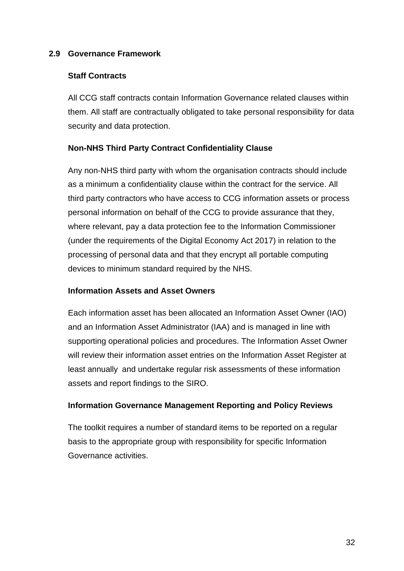### <span id="page-31-0"></span>**2.9 Governance Framework**

### **Staff Contracts**

All CCG staff contracts contain Information Governance related clauses within them. All staff are contractually obligated to take personal responsibility for data security and data protection.

### **Non-NHS Third Party Contract Confidentiality Clause**

Any non-NHS third party with whom the organisation contracts should include as a minimum a confidentiality clause within the contract for the service. All third party contractors who have access to CCG information assets or process personal information on behalf of the CCG to provide assurance that they, where relevant, pay a data protection fee to the Information Commissioner (under the requirements of the Digital Economy Act 2017) in relation to the processing of personal data and that they encrypt all portable computing devices to minimum standard required by the NHS.

### **Information Assets and Asset Owners**

Each information asset has been allocated an Information Asset Owner (IAO) and an Information Asset Administrator (IAA) and is managed in line with supporting operational policies and procedures. The Information Asset Owner will review their information asset entries on the Information Asset Register at least annually and undertake regular risk assessments of these information assets and report findings to the SIRO.

### **Information Governance Management Reporting and Policy Reviews**

The toolkit requires a number of standard items to be reported on a regular basis to the appropriate group with responsibility for specific Information Governance activities.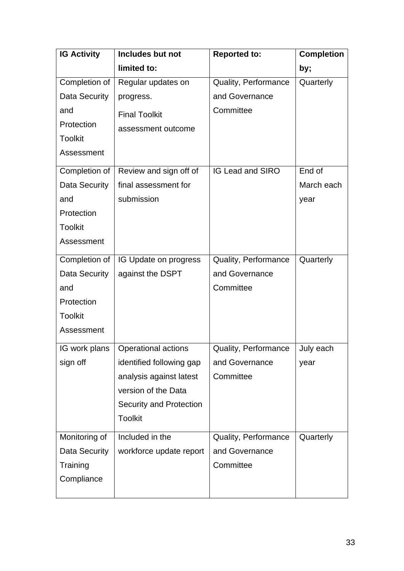| <b>IG Activity</b>   | Includes but not               | <b>Reported to:</b>         | <b>Completion</b> |
|----------------------|--------------------------------|-----------------------------|-------------------|
|                      | limited to:                    |                             | by;               |
| Completion of        | Regular updates on             | Quality, Performance        | Quarterly         |
| Data Security        | progress.                      | and Governance              |                   |
| and                  | <b>Final Toolkit</b>           | Committee                   |                   |
| Protection           | assessment outcome             |                             |                   |
| <b>Toolkit</b>       |                                |                             |                   |
| Assessment           |                                |                             |                   |
| Completion of        | Review and sign off of         | <b>IG Lead and SIRO</b>     | End of            |
| Data Security        | final assessment for           |                             | March each        |
| and                  | submission                     |                             | year              |
| Protection           |                                |                             |                   |
| <b>Toolkit</b>       |                                |                             |                   |
| Assessment           |                                |                             |                   |
| Completion of        | IG Update on progress          | Quality, Performance        | Quarterly         |
| Data Security        | against the DSPT               | and Governance              |                   |
| and                  |                                | Committee                   |                   |
| Protection           |                                |                             |                   |
| <b>Toolkit</b>       |                                |                             |                   |
| Assessment           |                                |                             |                   |
| IG work plans        | Operational actions            | <b>Quality, Performance</b> | July each         |
| sign off             | identified following gap       | and Governance              | year              |
|                      | analysis against latest        | Committee                   |                   |
|                      | version of the Data            |                             |                   |
|                      | <b>Security and Protection</b> |                             |                   |
|                      | <b>Toolkit</b>                 |                             |                   |
| Monitoring of        | Included in the                | Quality, Performance        | Quarterly         |
| <b>Data Security</b> | workforce update report        | and Governance              |                   |
| Training             |                                | Committee                   |                   |
| Compliance           |                                |                             |                   |
|                      |                                |                             |                   |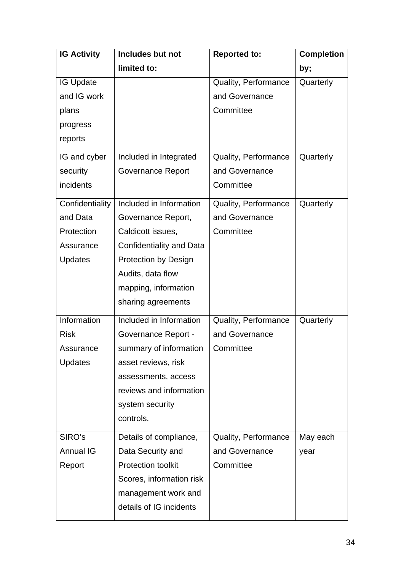| <b>IG Activity</b> | Includes but not            | <b>Reported to:</b>  | <b>Completion</b> |
|--------------------|-----------------------------|----------------------|-------------------|
|                    | limited to:                 |                      | by;               |
| <b>IG Update</b>   |                             | Quality, Performance | Quarterly         |
| and IG work        |                             | and Governance       |                   |
| plans              |                             | Committee            |                   |
| progress           |                             |                      |                   |
| reports            |                             |                      |                   |
| IG and cyber       | Included in Integrated      | Quality, Performance | Quarterly         |
| security           | <b>Governance Report</b>    | and Governance       |                   |
| incidents          |                             | Committee            |                   |
| Confidentiality    | Included in Information     | Quality, Performance | Quarterly         |
| and Data           | Governance Report,          | and Governance       |                   |
| Protection         | Caldicott issues,           | Committee            |                   |
| Assurance          | Confidentiality and Data    |                      |                   |
| Updates            | <b>Protection by Design</b> |                      |                   |
|                    | Audits, data flow           |                      |                   |
|                    | mapping, information        |                      |                   |
|                    | sharing agreements          |                      |                   |
| Information        | Included in Information     | Quality, Performance | Quarterly         |
| <b>Risk</b>        | <b>Governance Report -</b>  | and Governance       |                   |
| Assurance          | summary of information      | Committee            |                   |
| <b>Updates</b>     | asset reviews, risk         |                      |                   |
|                    | assessments, access         |                      |                   |
|                    | reviews and information     |                      |                   |
|                    | system security             |                      |                   |
|                    | controls.                   |                      |                   |
| SIRO's             | Details of compliance,      | Quality, Performance | May each          |
| <b>Annual IG</b>   | Data Security and           | and Governance       | year              |
| Report             | <b>Protection toolkit</b>   | Committee            |                   |
|                    | Scores, information risk    |                      |                   |
|                    | management work and         |                      |                   |
|                    | details of IG incidents     |                      |                   |
|                    |                             |                      |                   |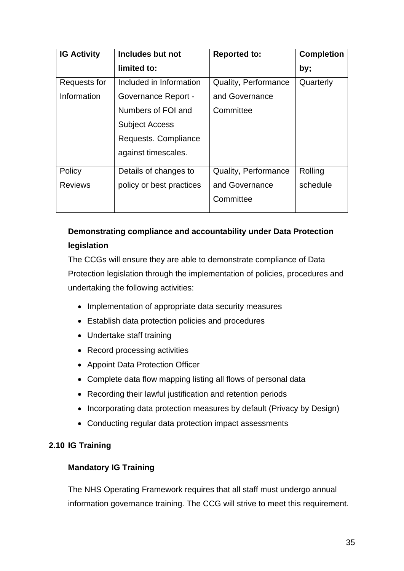| <b>IG Activity</b> | Includes but not           | <b>Reported to:</b>         | <b>Completion</b> |
|--------------------|----------------------------|-----------------------------|-------------------|
|                    | limited to:                |                             | by;               |
| Requests for       | Included in Information    | <b>Quality, Performance</b> | Quarterly         |
| Information        | <b>Governance Report -</b> | and Governance              |                   |
|                    | Numbers of FOI and         | Committee                   |                   |
|                    | <b>Subject Access</b>      |                             |                   |
|                    | Requests. Compliance       |                             |                   |
|                    | against timescales.        |                             |                   |
| Policy             | Details of changes to      | <b>Quality, Performance</b> | Rolling           |
| <b>Reviews</b>     | policy or best practices   | and Governance              | schedule          |
|                    |                            | Committee                   |                   |

# **Demonstrating compliance and accountability under Data Protection legislation**

The CCGs will ensure they are able to demonstrate compliance of Data Protection legislation through the implementation of policies, procedures and undertaking the following activities:

- Implementation of appropriate data security measures
- Establish data protection policies and procedures
- Undertake staff training
- Record processing activities
- Appoint Data Protection Officer
- Complete data flow mapping listing all flows of personal data
- Recording their lawful justification and retention periods
- <span id="page-34-0"></span>• Incorporating data protection measures by default (Privacy by Design)
- Conducting regular data protection impact assessments

# **2.10 IG Training**

# **Mandatory IG Training**

The NHS Operating Framework requires that all staff must undergo annual information governance training. The CCG will strive to meet this requirement.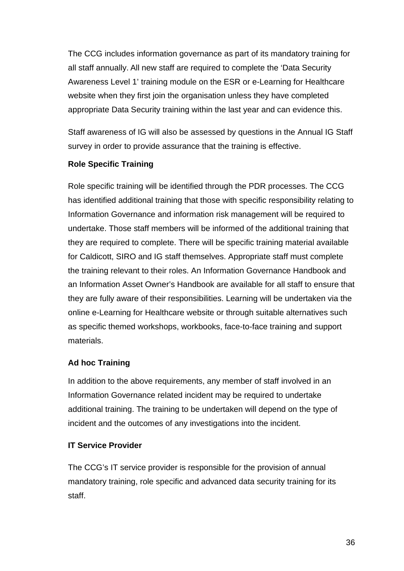The CCG includes information governance as part of its mandatory training for all staff annually. All new staff are required to complete the 'Data Security Awareness Level 1' training module on the ESR or e-Learning for Healthcare website when they first join the organisation unless they have completed appropriate Data Security training within the last year and can evidence this.

Staff awareness of IG will also be assessed by questions in the Annual IG Staff survey in order to provide assurance that the training is effective.

# **Role Specific Training**

Role specific training will be identified through the PDR processes. The CCG has identified additional training that those with specific responsibility relating to Information Governance and information risk management will be required to undertake. Those staff members will be informed of the additional training that they are required to complete. There will be specific training material available for Caldicott, SIRO and IG staff themselves. Appropriate staff must complete the training relevant to their roles. An Information Governance Handbook and an Information Asset Owner's Handbook are available for all staff to ensure that they are fully aware of their responsibilities. Learning will be undertaken via the online e-Learning for Healthcare website or through suitable alternatives such as specific themed workshops, workbooks, face-to-face training and support materials.

# **Ad hoc Training**

In addition to the above requirements, any member of staff involved in an Information Governance related incident may be required to undertake additional training. The training to be undertaken will depend on the type of incident and the outcomes of any investigations into the incident.

# **IT Service Provider**

The CCG's IT service provider is responsible for the provision of annual mandatory training, role specific and advanced data security training for its staff.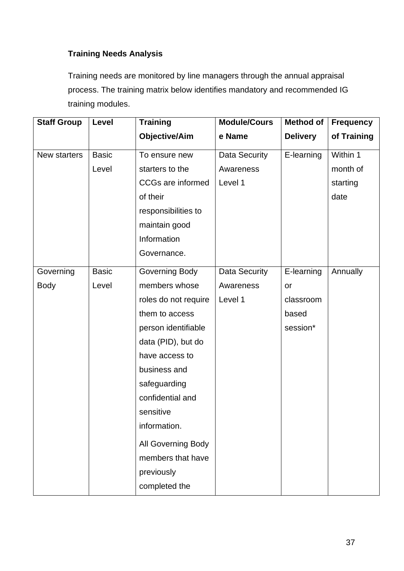# **Training Needs Analysis**

Training needs are monitored by line managers through the annual appraisal process. The training matrix below identifies mandatory and recommended IG training modules.

| <b>Staff Group</b> | Level        | <b>Training</b>          | <b>Module/Cours</b>  | <b>Method of</b> | <b>Frequency</b> |
|--------------------|--------------|--------------------------|----------------------|------------------|------------------|
|                    |              | <b>Objective/Aim</b>     | e Name               | <b>Delivery</b>  | of Training      |
| New starters       | <b>Basic</b> | To ensure new            | <b>Data Security</b> | E-learning       | Within 1         |
|                    | Level        | starters to the          | Awareness            |                  | month of         |
|                    |              | <b>CCGs are informed</b> | Level 1              |                  | starting         |
|                    |              | of their                 |                      |                  | date             |
|                    |              | responsibilities to      |                      |                  |                  |
|                    |              | maintain good            |                      |                  |                  |
|                    |              | Information              |                      |                  |                  |
|                    |              | Governance.              |                      |                  |                  |
| Governing          | <b>Basic</b> | Governing Body           | Data Security        | E-learning       | Annually         |
| <b>Body</b>        | Level        | members whose            | Awareness            | or               |                  |
|                    |              | roles do not require     | Level 1              | classroom        |                  |
|                    |              | them to access           |                      | based            |                  |
|                    |              | person identifiable      |                      | session*         |                  |
|                    |              | data (PID), but do       |                      |                  |                  |
|                    |              | have access to           |                      |                  |                  |
|                    |              | business and             |                      |                  |                  |
|                    |              | safeguarding             |                      |                  |                  |
|                    |              | confidential and         |                      |                  |                  |
|                    |              | sensitive                |                      |                  |                  |
|                    |              | information.             |                      |                  |                  |
|                    |              | All Governing Body       |                      |                  |                  |
|                    |              | members that have        |                      |                  |                  |
|                    |              | previously               |                      |                  |                  |
|                    |              | completed the            |                      |                  |                  |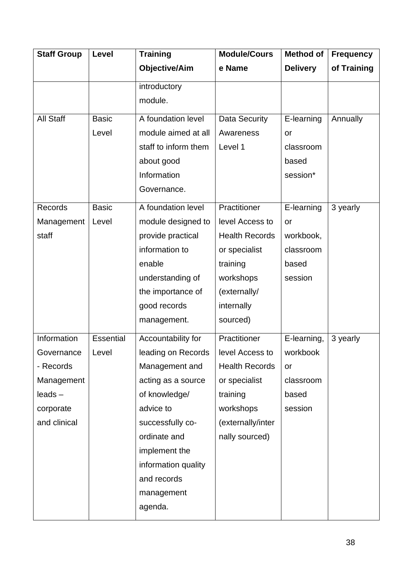| <b>Staff Group</b> | Level        | <b>Training</b>      | <b>Module/Cours</b>   | <b>Method of</b> | <b>Frequency</b> |
|--------------------|--------------|----------------------|-----------------------|------------------|------------------|
|                    |              | <b>Objective/Aim</b> | e Name                | <b>Delivery</b>  | of Training      |
|                    |              | introductory         |                       |                  |                  |
|                    |              | module.              |                       |                  |                  |
| <b>All Staff</b>   | <b>Basic</b> | A foundation level   | Data Security         | E-learning       | Annually         |
|                    | Level        | module aimed at all  | Awareness             | or               |                  |
|                    |              | staff to inform them | Level 1               | classroom        |                  |
|                    |              | about good           |                       | based            |                  |
|                    |              | Information          |                       | session*         |                  |
|                    |              | Governance.          |                       |                  |                  |
| Records            | <b>Basic</b> | A foundation level   | Practitioner          | E-learning       | 3 yearly         |
| Management         | Level        | module designed to   | level Access to       | or               |                  |
| staff              |              | provide practical    | <b>Health Records</b> | workbook,        |                  |
|                    |              | information to       | or specialist         | classroom        |                  |
|                    |              | enable               | training              | based            |                  |
|                    |              | understanding of     | workshops             | session          |                  |
|                    |              | the importance of    | (externally/          |                  |                  |
|                    |              | good records         | internally            |                  |                  |
|                    |              | management.          | sourced)              |                  |                  |
| Information        | Essential    | Accountability for   | Practitioner          | E-learning,      | 3 yearly         |
| Governance         | Level        | leading on Records   | level Access to       | workbook         |                  |
| - Records          |              | Management and       | <b>Health Records</b> | or               |                  |
| Management         |              | acting as a source   | or specialist         | classroom        |                  |
| $leads -$          |              | of knowledge/        | training              | based            |                  |
| corporate          |              | advice to            | workshops             | session          |                  |
| and clinical       |              | successfully co-     | (externally/inter     |                  |                  |
|                    |              | ordinate and         | nally sourced)        |                  |                  |
|                    |              | implement the        |                       |                  |                  |
|                    |              | information quality  |                       |                  |                  |
|                    |              | and records          |                       |                  |                  |
|                    |              | management           |                       |                  |                  |
|                    |              | agenda.              |                       |                  |                  |
|                    |              |                      |                       |                  |                  |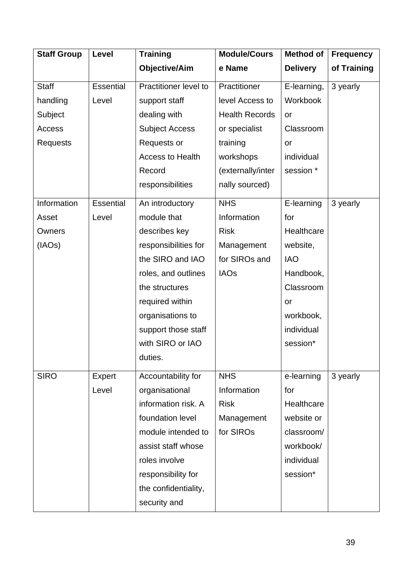| <b>Staff Group</b> | Level            | <b>Training</b>         | <b>Module/Cours</b>   | <b>Method of</b> | <b>Frequency</b> |
|--------------------|------------------|-------------------------|-----------------------|------------------|------------------|
|                    |                  | <b>Objective/Aim</b>    | e Name                | <b>Delivery</b>  | of Training      |
| <b>Staff</b>       | <b>Essential</b> | Practitioner level to   | Practitioner          | E-learning,      | 3 yearly         |
| handling           | Level            | support staff           | level Access to       | Workbook         |                  |
| Subject            |                  | dealing with            | <b>Health Records</b> | or               |                  |
| Access             |                  | <b>Subject Access</b>   | or specialist         | Classroom        |                  |
| Requests           |                  | Requests or             | training              | <b>or</b>        |                  |
|                    |                  | <b>Access to Health</b> | workshops             | individual       |                  |
|                    |                  | Record                  | (externally/inter     | session *        |                  |
|                    |                  | responsibilities        | nally sourced)        |                  |                  |
| Information        | Essential        | An introductory         | <b>NHS</b>            | E-learning       | 3 yearly         |
| Asset              | Level            | module that             | Information           | for              |                  |
| Owners             |                  | describes key           | <b>Risk</b>           | Healthcare       |                  |
| (IAOs)             |                  | responsibilities for    | Management            | website,         |                  |
|                    |                  | the SIRO and IAO        | for SIROs and         | <b>IAO</b>       |                  |
|                    |                  | roles, and outlines     | <b>IAOs</b>           | Handbook,        |                  |
|                    |                  | the structures          |                       | Classroom        |                  |
|                    |                  | required within         |                       | or               |                  |
|                    |                  | organisations to        |                       | workbook,        |                  |
|                    |                  | support those staff     |                       | individual       |                  |
|                    |                  | with SIRO or IAO        |                       | session*         |                  |
|                    |                  | duties.                 |                       |                  |                  |
| <b>SIRO</b>        | Expert           | Accountability for      | <b>NHS</b>            | e-learning       | 3 yearly         |
|                    | Level            | organisational          | Information           | for              |                  |
|                    |                  | information risk. A     | <b>Risk</b>           | Healthcare       |                  |
|                    |                  | foundation level        | Management            | website or       |                  |
|                    |                  | module intended to      | for SIROs             | classroom/       |                  |
|                    |                  | assist staff whose      |                       | workbook/        |                  |
|                    |                  | roles involve           |                       | individual       |                  |
|                    |                  | responsibility for      |                       | session*         |                  |
|                    |                  | the confidentiality,    |                       |                  |                  |
|                    |                  | security and            |                       |                  |                  |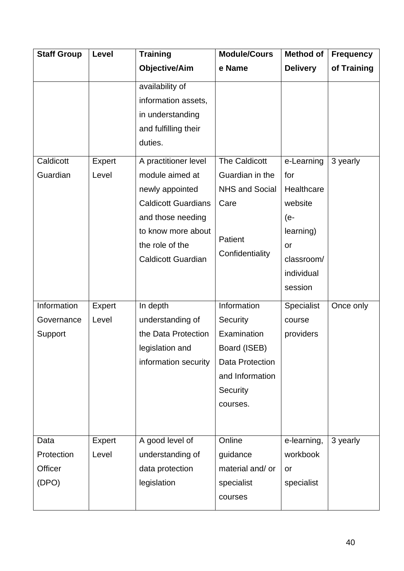| <b>Staff Group</b> | Level  | <b>Training</b>            | <b>Module/Cours</b>    | <b>Method of</b> | <b>Frequency</b> |
|--------------------|--------|----------------------------|------------------------|------------------|------------------|
|                    |        | <b>Objective/Aim</b>       | e Name                 | <b>Delivery</b>  | of Training      |
|                    |        | availability of            |                        |                  |                  |
|                    |        | information assets,        |                        |                  |                  |
|                    |        | in understanding           |                        |                  |                  |
|                    |        | and fulfilling their       |                        |                  |                  |
|                    |        | duties.                    |                        |                  |                  |
| Caldicott          | Expert | A practitioner level       | <b>The Caldicott</b>   | e-Learning       | 3 yearly         |
| Guardian           | Level  | module aimed at            | Guardian in the        | for              |                  |
|                    |        | newly appointed            | <b>NHS and Social</b>  | Healthcare       |                  |
|                    |        | <b>Caldicott Guardians</b> | Care                   | website          |                  |
|                    |        | and those needing          |                        | (e-              |                  |
|                    |        | to know more about         |                        | learning)        |                  |
|                    |        | the role of the            | Patient                | or               |                  |
|                    |        | <b>Caldicott Guardian</b>  | Confidentiality        | classroom/       |                  |
|                    |        |                            |                        | individual       |                  |
|                    |        |                            |                        | session          |                  |
| Information        | Expert | In depth                   | Information            | Specialist       | Once only        |
| Governance         | Level  | understanding of           | Security               | course           |                  |
| Support            |        | the Data Protection        | Examination            | providers        |                  |
|                    |        | legislation and            | Board (ISEB)           |                  |                  |
|                    |        | information security       | <b>Data Protection</b> |                  |                  |
|                    |        |                            | and Information        |                  |                  |
|                    |        |                            | Security               |                  |                  |
|                    |        |                            | courses.               |                  |                  |
|                    |        |                            |                        |                  |                  |
| Data               | Expert | A good level of            | Online                 | e-learning,      | 3 yearly         |
| Protection         | Level  | understanding of           | guidance               | workbook         |                  |
| Officer            |        | data protection            | material and/ or       | or               |                  |
| (DPO)              |        | legislation                | specialist             | specialist       |                  |
|                    |        |                            | courses                |                  |                  |
|                    |        |                            |                        |                  |                  |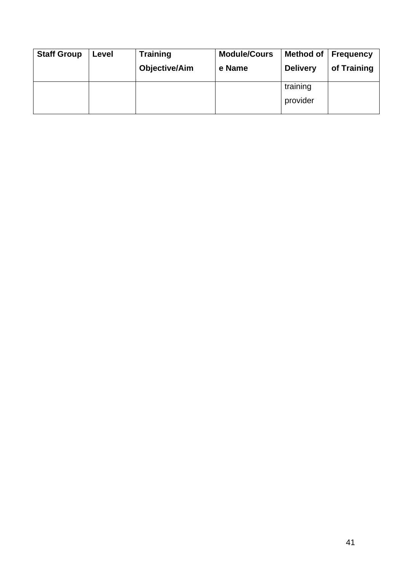| <b>Staff Group</b> | Level | <b>Training</b><br><b>Objective/Aim</b> | <b>Module/Cours</b><br>e Name | <b>Method of</b><br><b>Delivery</b> | <b>Frequency</b><br>of Training |
|--------------------|-------|-----------------------------------------|-------------------------------|-------------------------------------|---------------------------------|
|                    |       |                                         |                               | training<br>provider                |                                 |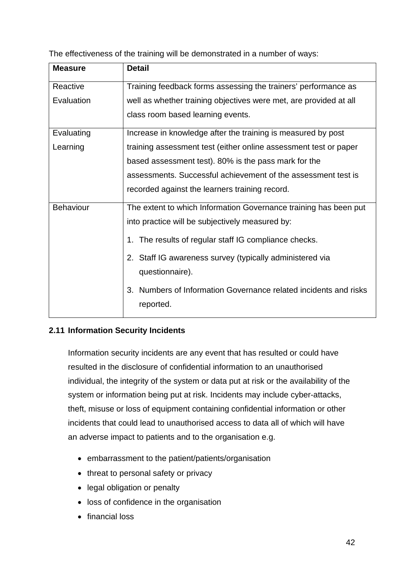The effectiveness of the training will be demonstrated in a number of ways:

| <b>Measure</b>   | <b>Detail</b>                                                       |
|------------------|---------------------------------------------------------------------|
| Reactive         | Training feedback forms assessing the trainers' performance as      |
| Evaluation       | well as whether training objectives were met, are provided at all   |
|                  | class room based learning events.                                   |
| Evaluating       | Increase in knowledge after the training is measured by post        |
| Learning         | training assessment test (either online assessment test or paper    |
|                  | based assessment test). 80% is the pass mark for the                |
|                  | assessments. Successful achievement of the assessment test is       |
|                  | recorded against the learners training record.                      |
| <b>Behaviour</b> | The extent to which Information Governance training has been put    |
|                  | into practice will be subjectively measured by:                     |
|                  | 1. The results of regular staff IG compliance checks.               |
|                  | 2. Staff IG awareness survey (typically administered via            |
|                  | questionnaire).                                                     |
|                  | Numbers of Information Governance related incidents and risks<br>3. |
|                  | reported.                                                           |

# **2.11 Information Security Incidents**

Information security incidents are any event that has resulted or could have resulted in the disclosure of confidential information to an unauthorised individual, the integrity of the system or data put at risk or the availability of the system or information being put at risk. Incidents may include cyber-attacks, theft, misuse or loss of equipment containing confidential information or other incidents that could lead to unauthorised access to data all of which will have an adverse impact to patients and to the organisation e.g.

- embarrassment to the patient/patients/organisation
- threat to personal safety or privacy
- legal obligation or penalty
- loss of confidence in the organisation
- financial loss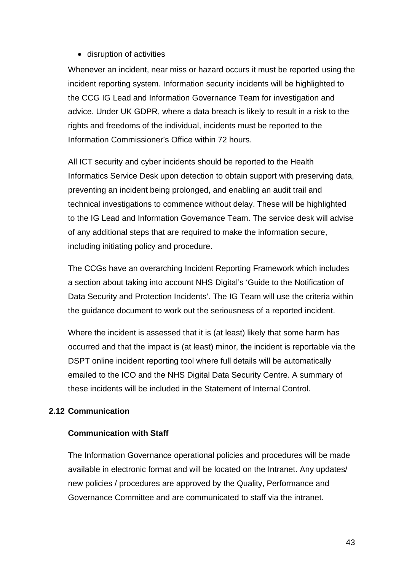# • disruption of activities

Whenever an incident, near miss or hazard occurs it must be reported using the incident reporting system. Information security incidents will be highlighted to the CCG IG Lead and Information Governance Team for investigation and advice. Under UK GDPR, where a data breach is likely to result in a risk to the rights and freedoms of the individual, incidents must be reported to the Information Commissioner's Office within 72 hours.

All ICT security and cyber incidents should be reported to the Health Informatics Service Desk upon detection to obtain support with preserving data, preventing an incident being prolonged, and enabling an audit trail and technical investigations to commence without delay. These will be highlighted to the IG Lead and Information Governance Team. The service desk will advise of any additional steps that are required to make the information secure, including initiating policy and procedure.

The CCGs have an overarching Incident Reporting Framework which includes a section about taking into account NHS Digital's 'Guide to the Notification of Data Security and Protection Incidents'. The IG Team will use the criteria within the guidance document to work out the seriousness of a reported incident.

Where the incident is assessed that it is (at least) likely that some harm has occurred and that the impact is (at least) minor, the incident is reportable via the DSPT online incident reporting tool where full details will be automatically emailed to the ICO and the NHS Digital Data Security Centre. A summary of these incidents will be included in the Statement of Internal Control.

# **2.12 Communication**

#### **Communication with Staff**

The Information Governance operational policies and procedures will be made available in electronic format and will be located on the Intranet. Any updates/ new policies / procedures are approved by the Quality, Performance and Governance Committee and are communicated to staff via the intranet.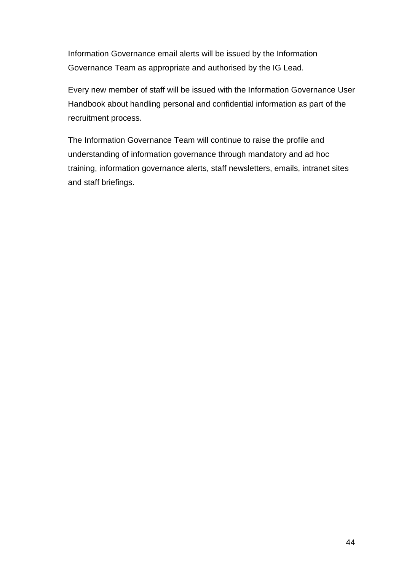Information Governance email alerts will be issued by the Information Governance Team as appropriate and authorised by the IG Lead.

Every new member of staff will be issued with the Information Governance User Handbook about handling personal and confidential information as part of the recruitment process.

The Information Governance Team will continue to raise the profile and understanding of information governance through mandatory and ad hoc training, information governance alerts, staff newsletters, emails, intranet sites and staff briefings.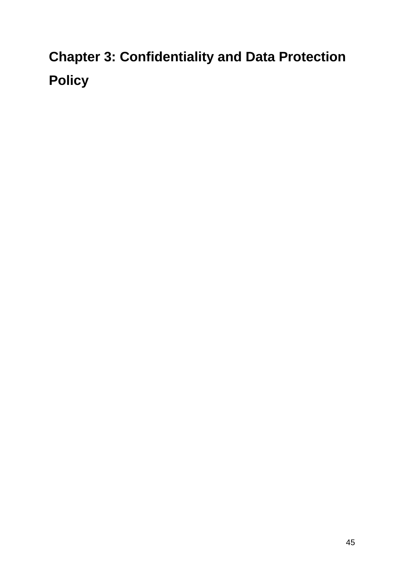# **Chapter 3: Confidentiality and Data Protection Policy**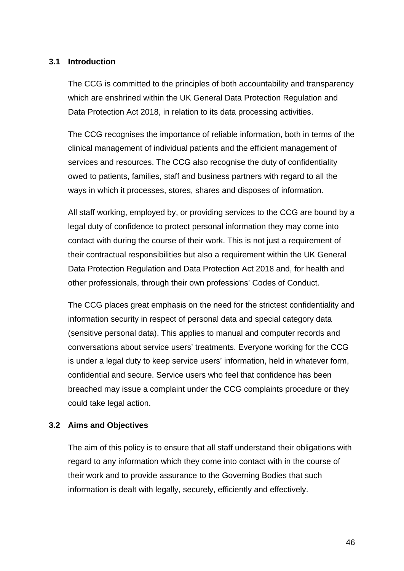# **3.1 Introduction**

The CCG is committed to the principles of both accountability and transparency which are enshrined within the UK General Data Protection Regulation and Data Protection Act 2018, in relation to its data processing activities.

The CCG recognises the importance of reliable information, both in terms of the clinical management of individual patients and the efficient management of services and resources. The CCG also recognise the duty of confidentiality owed to patients, families, staff and business partners with regard to all the ways in which it processes, stores, shares and disposes of information.

All staff working, employed by, or providing services to the CCG are bound by a legal duty of confidence to protect personal information they may come into contact with during the course of their work. This is not just a requirement of their contractual responsibilities but also a requirement within the UK General Data Protection Regulation and Data Protection Act 2018 and, for health and other professionals, through their own professions' Codes of Conduct.

The CCG places great emphasis on the need for the strictest confidentiality and information security in respect of personal data and special category data (sensitive personal data). This applies to manual and computer records and conversations about service users' treatments. Everyone working for the CCG is under a legal duty to keep service users' information, held in whatever form, confidential and secure. Service users who feel that confidence has been breached may issue a complaint under the CCG complaints procedure or they could take legal action.

#### **3.2 Aims and Objectives**

The aim of this policy is to ensure that all staff understand their obligations with regard to any information which they come into contact with in the course of their work and to provide assurance to the Governing Bodies that such information is dealt with legally, securely, efficiently and effectively.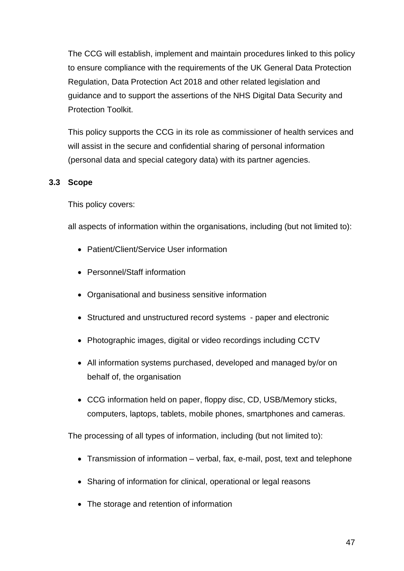The CCG will establish, implement and maintain procedures linked to this policy to ensure compliance with the requirements of the UK General Data Protection Regulation, Data Protection Act 2018 and other related legislation and guidance and to support the assertions of the NHS Digital Data Security and Protection Toolkit.

This policy supports the CCG in its role as commissioner of health services and will assist in the secure and confidential sharing of personal information (personal data and special category data) with its partner agencies.

# **3.3 Scope**

This policy covers:

all aspects of information within the organisations, including (but not limited to):

- Patient/Client/Service User information
- Personnel/Staff information
- Organisational and business sensitive information
- Structured and unstructured record systems paper and electronic
- Photographic images, digital or video recordings including CCTV
- All information systems purchased, developed and managed by/or on behalf of, the organisation
- CCG information held on paper, floppy disc, CD, USB/Memory sticks, computers, laptops, tablets, mobile phones, smartphones and cameras.

The processing of all types of information, including (but not limited to):

- Transmission of information verbal, fax, e-mail, post, text and telephone
- Sharing of information for clinical, operational or legal reasons
- The storage and retention of information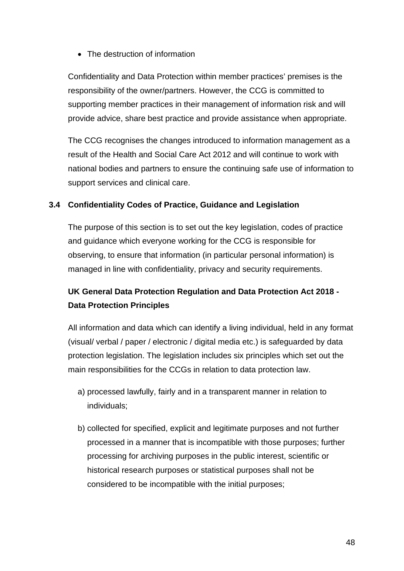• The destruction of information

Confidentiality and Data Protection within member practices' premises is the responsibility of the owner/partners. However, the CCG is committed to supporting member practices in their management of information risk and will provide advice, share best practice and provide assistance when appropriate.

The CCG recognises the changes introduced to information management as a result of the Health and Social Care Act 2012 and will continue to work with national bodies and partners to ensure the continuing safe use of information to support services and clinical care.

# **3.4 Confidentiality Codes of Practice, Guidance and Legislation**

The purpose of this section is to set out the key legislation, codes of practice and guidance which everyone working for the CCG is responsible for observing, to ensure that information (in particular personal information) is managed in line with confidentiality, privacy and security requirements.

# **UK General Data Protection Regulation and Data Protection Act 2018 - Data Protection Principles**

All information and data which can identify a living individual, held in any format (visual/ verbal / paper / electronic / digital media etc.) is safeguarded by data protection legislation. The legislation includes six principles which set out the main responsibilities for the CCGs in relation to data protection law.

- a) processed lawfully, fairly and in a transparent manner in relation to individuals;
- b) collected for specified, explicit and legitimate purposes and not further processed in a manner that is incompatible with those purposes; further processing for archiving purposes in the public interest, scientific or historical research purposes or statistical purposes shall not be considered to be incompatible with the initial purposes;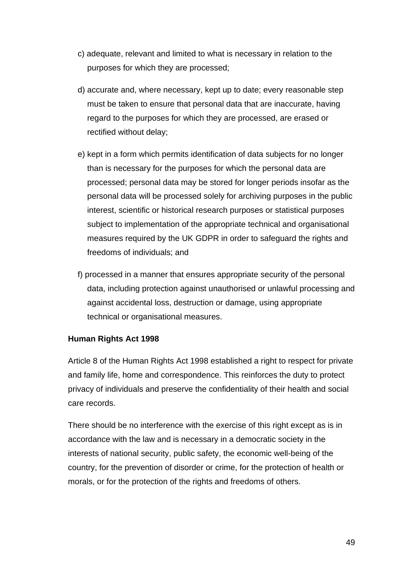- c) adequate, relevant and limited to what is necessary in relation to the purposes for which they are processed;
- d) accurate and, where necessary, kept up to date; every reasonable step must be taken to ensure that personal data that are inaccurate, having regard to the purposes for which they are processed, are erased or rectified without delay;
- e) kept in a form which permits identification of data subjects for no longer than is necessary for the purposes for which the personal data are processed; personal data may be stored for longer periods insofar as the personal data will be processed solely for archiving purposes in the public interest, scientific or historical research purposes or statistical purposes subject to implementation of the appropriate technical and organisational measures required by the UK GDPR in order to safeguard the rights and freedoms of individuals; and
- f) processed in a manner that ensures appropriate security of the personal data, including protection against unauthorised or unlawful processing and against accidental loss, destruction or damage, using appropriate technical or organisational measures.

# **Human Rights Act 1998**

Article 8 of the Human Rights Act 1998 established a right to respect for private and family life, home and correspondence. This reinforces the duty to protect privacy of individuals and preserve the confidentiality of their health and social care records.

There should be no interference with the exercise of this right except as is in accordance with the law and is necessary in a democratic society in the interests of national security, public safety, the economic well-being of the country, for the prevention of disorder or crime, for the protection of health or morals, or for the protection of the rights and freedoms of others.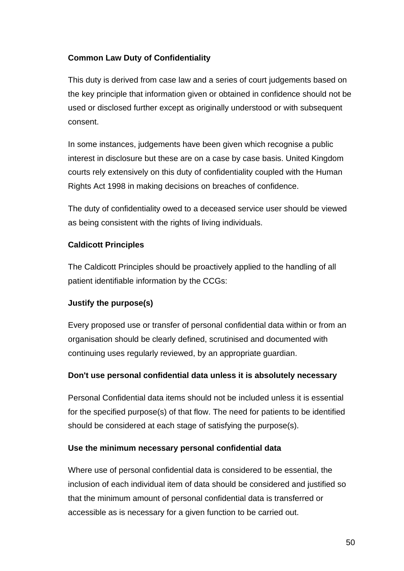# **Common Law Duty of Confidentiality**

This duty is derived from case law and a series of court judgements based on the key principle that information given or obtained in confidence should not be used or disclosed further except as originally understood or with subsequent consent.

In some instances, judgements have been given which recognise a public interest in disclosure but these are on a case by case basis. United Kingdom courts rely extensively on this duty of confidentiality coupled with the Human Rights Act 1998 in making decisions on breaches of confidence.

The duty of confidentiality owed to a deceased service user should be viewed as being consistent with the rights of living individuals.

# **Caldicott Principles**

The Caldicott Principles should be proactively applied to the handling of all patient identifiable information by the CCGs:

# **Justify the purpose(s)**

Every proposed use or transfer of personal confidential data within or from an organisation should be clearly defined, scrutinised and documented with continuing uses regularly reviewed, by an appropriate guardian.

# **Don't use personal confidential data unless it is absolutely necessary**

Personal Confidential data items should not be included unless it is essential for the specified purpose(s) of that flow. The need for patients to be identified should be considered at each stage of satisfying the purpose(s).

# **Use the minimum necessary personal confidential data**

Where use of personal confidential data is considered to be essential, the inclusion of each individual item of data should be considered and justified so that the minimum amount of personal confidential data is transferred or accessible as is necessary for a given function to be carried out.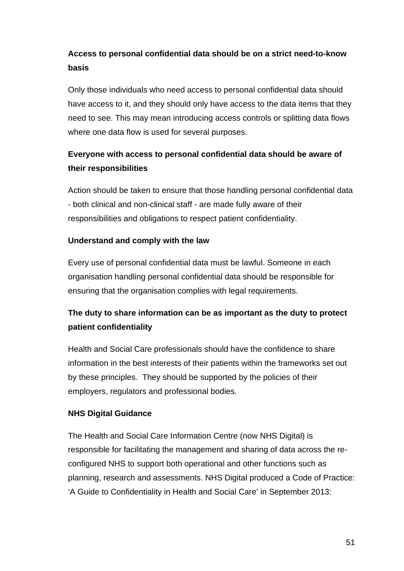# **Access to personal confidential data should be on a strict need-to-know basis**

Only those individuals who need access to personal confidential data should have access to it, and they should only have access to the data items that they need to see. This may mean introducing access controls or splitting data flows where one data flow is used for several purposes.

# **Everyone with access to personal confidential data should be aware of their responsibilities**

Action should be taken to ensure that those handling personal confidential data - both clinical and non-clinical staff - are made fully aware of their responsibilities and obligations to respect patient confidentiality.

# **Understand and comply with the law**

Every use of personal confidential data must be lawful. Someone in each organisation handling personal confidential data should be responsible for ensuring that the organisation complies with legal requirements.

# **The duty to share information can be as important as the duty to protect patient confidentiality**

Health and Social Care professionals should have the confidence to share information in the best interests of their patients within the frameworks set out by these principles. They should be supported by the policies of their employers, regulators and professional bodies.

# **NHS Digital Guidance**

The Health and Social Care Information Centre (now NHS Digital) is responsible for facilitating the management and sharing of data across the reconfigured NHS to support both operational and other functions such as planning, research and assessments. NHS Digital produced a Code of Practice: 'A Guide to Confidentiality in Health and Social Care' in September 2013: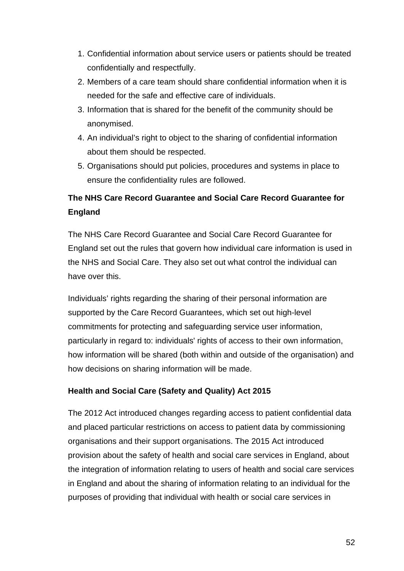- 1. Confidential information about service users or patients should be treated confidentially and respectfully.
- 2. Members of a care team should share confidential information when it is needed for the safe and effective care of individuals.
- 3. Information that is shared for the benefit of the community should be anonymised.
- 4. An individual's right to object to the sharing of confidential information about them should be respected.
- 5. Organisations should put policies, procedures and systems in place to ensure the confidentiality rules are followed.

# **The NHS Care Record Guarantee and Social Care Record Guarantee for England**

The NHS Care Record Guarantee and Social Care Record Guarantee for England set out the rules that govern how individual care information is used in the NHS and Social Care. They also set out what control the individual can have over this.

Individuals' rights regarding the sharing of their personal information are supported by the Care Record Guarantees, which set out high-level commitments for protecting and safeguarding service user information, particularly in regard to: individuals' rights of access to their own information, how information will be shared (both within and outside of the organisation) and how decisions on sharing information will be made.

# **Health and Social Care (Safety and Quality) Act 2015**

The 2012 Act introduced changes regarding access to patient confidential data and placed particular restrictions on access to patient data by commissioning organisations and their support organisations. The 2015 Act introduced provision about the safety of health and social care services in England, about the integration of information relating to users of health and social care services in England and about the sharing of information relating to an individual for the purposes of providing that individual with health or social care services in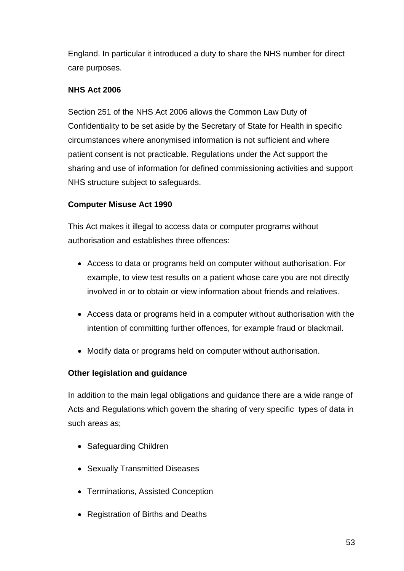England. In particular it introduced a duty to share the NHS number for direct care purposes.

# **NHS Act 2006**

Section 251 of the NHS Act 2006 allows the Common Law Duty of Confidentiality to be set aside by the Secretary of State for Health in specific circumstances where anonymised information is not sufficient and where patient consent is not practicable. Regulations under the Act support the sharing and use of information for defined commissioning activities and support NHS structure subject to safeguards.

# **Computer Misuse Act 1990**

This Act makes it illegal to access data or computer programs without authorisation and establishes three offences:

- Access to data or programs held on computer without authorisation. For example, to view test results on a patient whose care you are not directly involved in or to obtain or view information about friends and relatives.
- Access data or programs held in a computer without authorisation with the intention of committing further offences, for example fraud or blackmail.
- Modify data or programs held on computer without authorisation.

# **Other legislation and guidance**

In addition to the main legal obligations and guidance there are a wide range of Acts and Regulations which govern the sharing of very specific types of data in such areas as;

- Safeguarding Children
- Sexually Transmitted Diseases
- Terminations, Assisted Conception
- Registration of Births and Deaths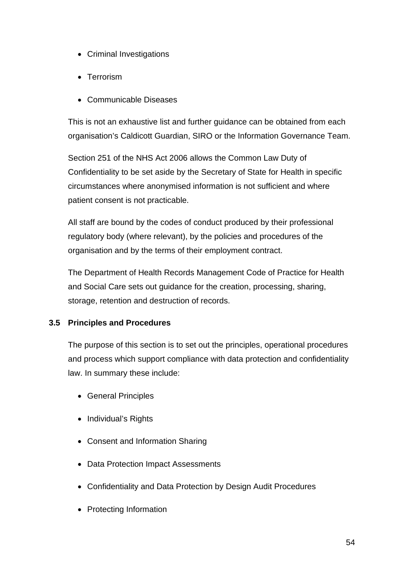- Criminal Investigations
- Terrorism
- Communicable Diseases

This is not an exhaustive list and further guidance can be obtained from each organisation's Caldicott Guardian, SIRO or the Information Governance Team.

Section 251 of the NHS Act 2006 allows the Common Law Duty of Confidentiality to be set aside by the Secretary of State for Health in specific circumstances where anonymised information is not sufficient and where patient consent is not practicable.

All staff are bound by the codes of conduct produced by their professional regulatory body (where relevant), by the policies and procedures of the organisation and by the terms of their employment contract.

The Department of Health Records Management Code of Practice for Health and Social Care sets out guidance for the creation, processing, sharing, storage, retention and destruction of records.

# **3.5 Principles and Procedures**

The purpose of this section is to set out the principles, operational procedures and process which support compliance with data protection and confidentiality law. In summary these include:

- General Principles
- Individual's Rights
- Consent and Information Sharing
- Data Protection Impact Assessments
- Confidentiality and Data Protection by Design Audit Procedures
- Protecting Information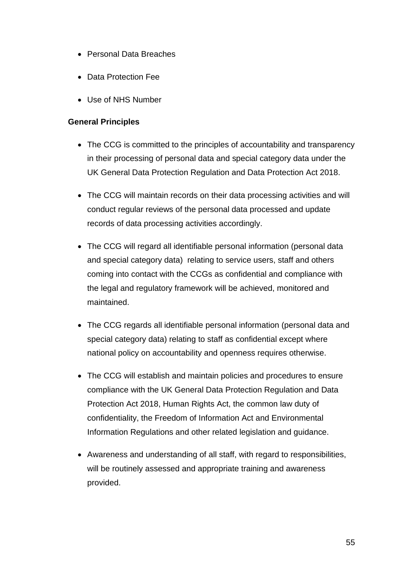- Personal Data Breaches
- Data Protection Fee
- Use of NHS Number

# **General Principles**

- The CCG is committed to the principles of accountability and transparency in their processing of personal data and special category data under the UK General Data Protection Regulation and Data Protection Act 2018.
- The CCG will maintain records on their data processing activities and will conduct regular reviews of the personal data processed and update records of data processing activities accordingly.
- The CCG will regard all identifiable personal information (personal data and special category data) relating to service users, staff and others coming into contact with the CCGs as confidential and compliance with the legal and regulatory framework will be achieved, monitored and maintained.
- The CCG regards all identifiable personal information (personal data and special category data) relating to staff as confidential except where national policy on accountability and openness requires otherwise.
- The CCG will establish and maintain policies and procedures to ensure compliance with the UK General Data Protection Regulation and Data Protection Act 2018, Human Rights Act, the common law duty of confidentiality, the Freedom of Information Act and Environmental Information Regulations and other related legislation and guidance.
- Awareness and understanding of all staff, with regard to responsibilities, will be routinely assessed and appropriate training and awareness provided.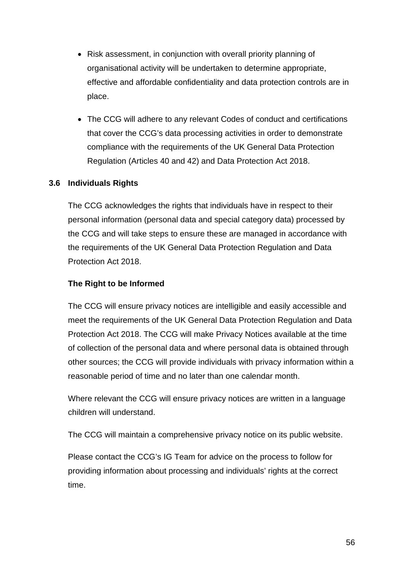- Risk assessment, in conjunction with overall priority planning of organisational activity will be undertaken to determine appropriate, effective and affordable confidentiality and data protection controls are in place.
- The CCG will adhere to any relevant Codes of conduct and certifications that cover the CCG's data processing activities in order to demonstrate compliance with the requirements of the UK General Data Protection Regulation (Articles 40 and 42) and Data Protection Act 2018.

# **3.6 Individuals Rights**

The CCG acknowledges the rights that individuals have in respect to their personal information (personal data and special category data) processed by the CCG and will take steps to ensure these are managed in accordance with the requirements of the UK General Data Protection Regulation and Data Protection Act 2018.

# **The Right to be Informed**

The CCG will ensure privacy notices are intelligible and easily accessible and meet the requirements of the UK General Data Protection Regulation and Data Protection Act 2018. The CCG will make Privacy Notices available at the time of collection of the personal data and where personal data is obtained through other sources; the CCG will provide individuals with privacy information within a reasonable period of time and no later than one calendar month.

Where relevant the CCG will ensure privacy notices are written in a language children will understand.

The CCG will maintain a comprehensive privacy notice on its public website.

Please contact the CCG's IG Team for advice on the process to follow for providing information about processing and individuals' rights at the correct time.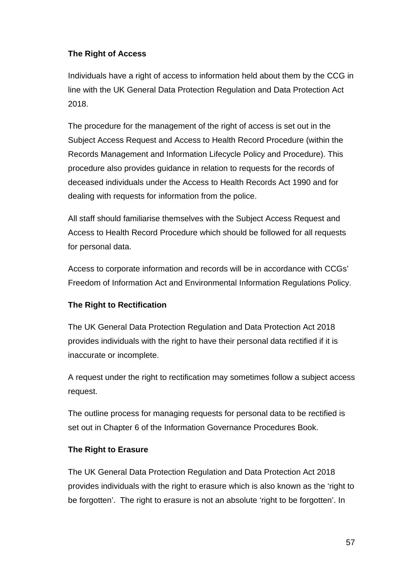# **The Right of Access**

Individuals have a right of access to information held about them by the CCG in line with the UK General Data Protection Regulation and Data Protection Act 2018.

The procedure for the management of the right of access is set out in the Subject Access Request and Access to Health Record Procedure (within the Records Management and Information Lifecycle Policy and Procedure). This procedure also provides guidance in relation to requests for the records of deceased individuals under the Access to Health Records Act 1990 and for dealing with requests for information from the police.

All staff should familiarise themselves with the Subject Access Request and Access to Health Record Procedure which should be followed for all requests for personal data.

Access to corporate information and records will be in accordance with CCGs' Freedom of Information Act and Environmental Information Regulations Policy.

# **The Right to Rectification**

The UK General Data Protection Regulation and Data Protection Act 2018 provides individuals with the right to have their personal data rectified if it is inaccurate or incomplete.

A request under the right to rectification may sometimes follow a subject access request.

The outline process for managing requests for personal data to be rectified is set out in Chapter 6 of the Information Governance Procedures Book.

# **The Right to Erasure**

The UK General Data Protection Regulation and Data Protection Act 2018 provides individuals with the right to erasure which is also known as the 'right to be forgotten'. The right to erasure is not an absolute 'right to be forgotten'. In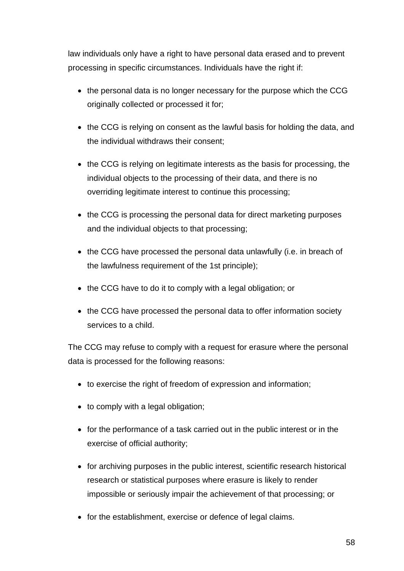law individuals only have a right to have personal data erased and to prevent processing in specific circumstances. Individuals have the right if:

- the personal data is no longer necessary for the purpose which the CCG originally collected or processed it for;
- the CCG is relying on consent as the lawful basis for holding the data, and the individual withdraws their consent;
- the CCG is relying on legitimate interests as the basis for processing, the individual objects to the processing of their data, and there is no overriding legitimate interest to continue this processing;
- the CCG is processing the personal data for direct marketing purposes and the individual objects to that processing;
- the CCG have processed the personal data unlawfully (i.e. in breach of the lawfulness requirement of the 1st principle);
- the CCG have to do it to comply with a legal obligation; or
- the CCG have processed the personal data to offer information society services to a child.

The CCG may refuse to comply with a request for erasure where the personal data is processed for the following reasons:

- to exercise the right of freedom of expression and information;
- to comply with a legal obligation;
- for the performance of a task carried out in the public interest or in the exercise of official authority;
- for archiving purposes in the public interest, scientific research historical research or statistical purposes where erasure is likely to render impossible or seriously impair the achievement of that processing; or
- for the establishment, exercise or defence of legal claims.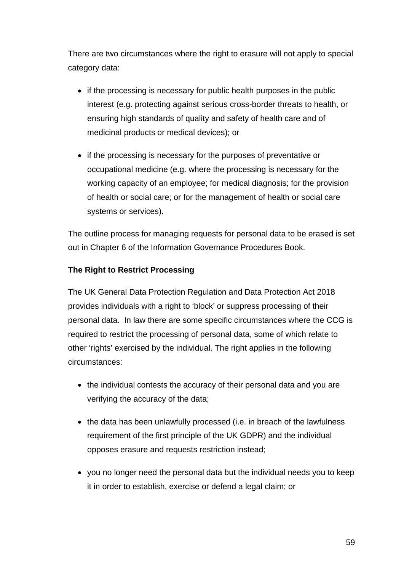There are two circumstances where the right to erasure will not apply to special category data:

- if the processing is necessary for public health purposes in the public interest (e.g. protecting against serious cross-border threats to health, or ensuring high standards of quality and safety of health care and of medicinal products or medical devices); or
- if the processing is necessary for the purposes of preventative or occupational medicine (e.g. where the processing is necessary for the working capacity of an employee; for medical diagnosis; for the provision of health or social care; or for the management of health or social care systems or services).

The outline process for managing requests for personal data to be erased is set out in Chapter 6 of the Information Governance Procedures Book.

# **The Right to Restrict Processing**

The UK General Data Protection Regulation and Data Protection Act 2018 provides individuals with a right to 'block' or suppress processing of their personal data. In law there are some specific circumstances where the CCG is required to restrict the processing of personal data, some of which relate to other 'rights' exercised by the individual. The right applies in the following circumstances:

- the individual contests the accuracy of their personal data and you are verifying the accuracy of the data;
- the data has been unlawfully processed (i.e. in breach of the lawfulness requirement of the first principle of the UK GDPR) and the individual opposes erasure and requests restriction instead;
- you no longer need the personal data but the individual needs you to keep it in order to establish, exercise or defend a legal claim; or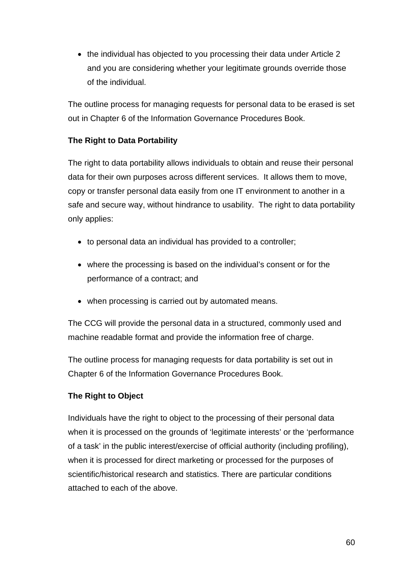• the individual has objected to you processing their data under Article 2 and you are considering whether your legitimate grounds override those of the individual.

The outline process for managing requests for personal data to be erased is set out in Chapter 6 of the Information Governance Procedures Book.

# **The Right to Data Portability**

The right to data portability allows individuals to obtain and reuse their personal data for their own purposes across different services. It allows them to move, copy or transfer personal data easily from one IT environment to another in a safe and secure way, without hindrance to usability. The right to data portability only applies:

- to personal data an individual has provided to a controller;
- where the processing is based on the individual's consent or for the performance of a contract; and
- when processing is carried out by automated means.

The CCG will provide the personal data in a structured, commonly used and machine readable format and provide the information free of charge.

The outline process for managing requests for data portability is set out in Chapter 6 of the Information Governance Procedures Book.

# **The Right to Object**

Individuals have the right to object to the processing of their personal data when it is processed on the grounds of 'legitimate interests' or the 'performance of a task' in the public interest/exercise of official authority (including profiling), when it is processed for direct marketing or processed for the purposes of scientific/historical research and statistics. There are particular conditions attached to each of the above.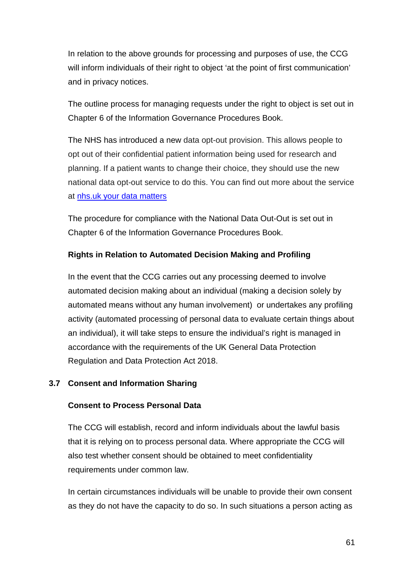In relation to the above grounds for processing and purposes of use, the CCG will inform individuals of their right to object 'at the point of first communication' and in privacy notices.

The outline process for managing requests under the right to object is set out in Chapter 6 of the Information Governance Procedures Book.

The NHS has introduced a new data opt-out provision. This allows people to opt out of their confidential patient information being used for research and planning. If a patient wants to change their choice, they should use the new national data opt-out service to do this. You can find out more about the service at [nhs.uk your data](https://www.nhs.uk/your-nhs-data-matters/) matters

The procedure for compliance with the National Data Out-Out is set out in Chapter 6 of the Information Governance Procedures Book.

# **Rights in Relation to Automated Decision Making and Profiling**

In the event that the CCG carries out any processing deemed to involve automated decision making about an individual (making a decision solely by automated means without any human involvement) or undertakes any profiling activity (automated processing of personal data to evaluate certain things about an individual), it will take steps to ensure the individual's right is managed in accordance with the requirements of the UK General Data Protection Regulation and Data Protection Act 2018.

# **3.7 Consent and Information Sharing**

# **Consent to Process Personal Data**

The CCG will establish, record and inform individuals about the lawful basis that it is relying on to process personal data. Where appropriate the CCG will also test whether consent should be obtained to meet confidentiality requirements under common law.

In certain circumstances individuals will be unable to provide their own consent as they do not have the capacity to do so. In such situations a person acting as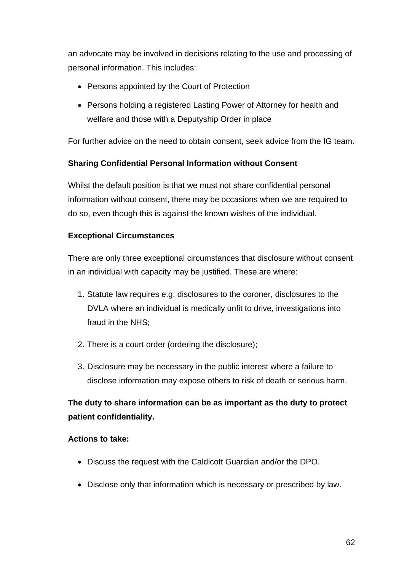an advocate may be involved in decisions relating to the use and processing of personal information. This includes:

- Persons appointed by the Court of Protection
- Persons holding a registered Lasting Power of Attorney for health and welfare and those with a Deputyship Order in place

For further advice on the need to obtain consent, seek advice from the IG team.

# **Sharing Confidential Personal Information without Consent**

Whilst the default position is that we must not share confidential personal information without consent, there may be occasions when we are required to do so, even though this is against the known wishes of the individual.

# **Exceptional Circumstances**

There are only three exceptional circumstances that disclosure without consent in an individual with capacity may be justified. These are where:

- 1. Statute law requires e.g. disclosures to the coroner, disclosures to the DVLA where an individual is medically unfit to drive, investigations into fraud in the NHS;
- 2. There is a court order (ordering the disclosure);
- 3. Disclosure may be necessary in the public interest where a failure to disclose information may expose others to risk of death or serious harm.

# **The duty to share information can be as important as the duty to protect patient confidentiality.**

#### **Actions to take:**

- Discuss the request with the Caldicott Guardian and/or the DPO.
- Disclose only that information which is necessary or prescribed by law.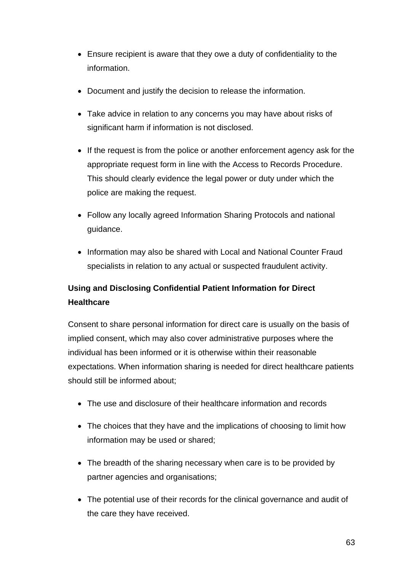- Ensure recipient is aware that they owe a duty of confidentiality to the information.
- Document and justify the decision to release the information.
- Take advice in relation to any concerns you may have about risks of significant harm if information is not disclosed.
- If the request is from the police or another enforcement agency ask for the appropriate request form in line with the Access to Records Procedure. This should clearly evidence the legal power or duty under which the police are making the request.
- Follow any locally agreed Information Sharing Protocols and national guidance.
- Information may also be shared with Local and National Counter Fraud specialists in relation to any actual or suspected fraudulent activity.

# **Using and Disclosing Confidential Patient Information for Direct Healthcare**

Consent to share personal information for direct care is usually on the basis of implied consent, which may also cover administrative purposes where the individual has been informed or it is otherwise within their reasonable expectations. When information sharing is needed for direct healthcare patients should still be informed about;

- The use and disclosure of their healthcare information and records
- The choices that they have and the implications of choosing to limit how information may be used or shared;
- The breadth of the sharing necessary when care is to be provided by partner agencies and organisations;
- The potential use of their records for the clinical governance and audit of the care they have received.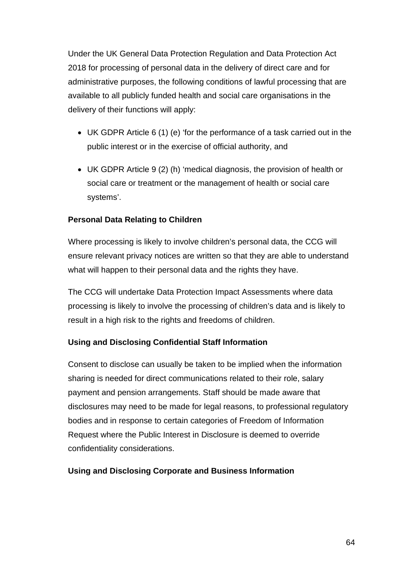Under the UK General Data Protection Regulation and Data Protection Act 2018 for processing of personal data in the delivery of direct care and for administrative purposes, the following conditions of lawful processing that are available to all publicly funded health and social care organisations in the delivery of their functions will apply:

- UK GDPR Article 6 (1) (e) 'for the performance of a task carried out in the public interest or in the exercise of official authority, and
- UK GDPR Article 9 (2) (h) 'medical diagnosis, the provision of health or social care or treatment or the management of health or social care systems'.

# **Personal Data Relating to Children**

Where processing is likely to involve children's personal data, the CCG will ensure relevant privacy notices are written so that they are able to understand what will happen to their personal data and the rights they have.

The CCG will undertake Data Protection Impact Assessments where data processing is likely to involve the processing of children's data and is likely to result in a high risk to the rights and freedoms of children.

# **Using and Disclosing Confidential Staff Information**

Consent to disclose can usually be taken to be implied when the information sharing is needed for direct communications related to their role, salary payment and pension arrangements. Staff should be made aware that disclosures may need to be made for legal reasons, to professional regulatory bodies and in response to certain categories of Freedom of Information Request where the Public Interest in Disclosure is deemed to override confidentiality considerations.

#### **Using and Disclosing Corporate and Business Information**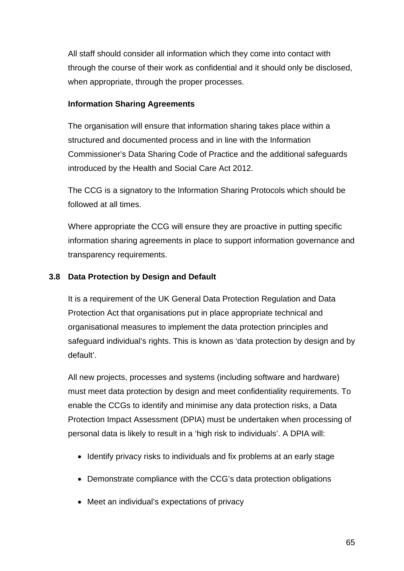All staff should consider all information which they come into contact with through the course of their work as confidential and it should only be disclosed, when appropriate, through the proper processes.

#### **Information Sharing Agreements**

The organisation will ensure that information sharing takes place within a structured and documented process and in line with the Information Commissioner's Data Sharing Code of Practice and the additional safeguards introduced by the Health and Social Care Act 2012.

The CCG is a signatory to the Information Sharing Protocols which should be followed at all times.

Where appropriate the CCG will ensure they are proactive in putting specific information sharing agreements in place to support information governance and transparency requirements.

#### **3.8 Data Protection by Design and Default**

It is a requirement of the UK General Data Protection Regulation and Data Protection Act that organisations put in place appropriate technical and organisational measures to implement the data protection principles and safeguard individual's rights. This is known as 'data protection by design and by default'.

All new projects, processes and systems (including software and hardware) must meet data protection by design and meet confidentiality requirements. To enable the CCGs to identify and minimise any data protection risks, a Data Protection Impact Assessment (DPIA) must be undertaken when processing of personal data is likely to result in a 'high risk to individuals'. A DPIA will:

- Identify privacy risks to individuals and fix problems at an early stage
- Demonstrate compliance with the CCG's data protection obligations
- Meet an individual's expectations of privacy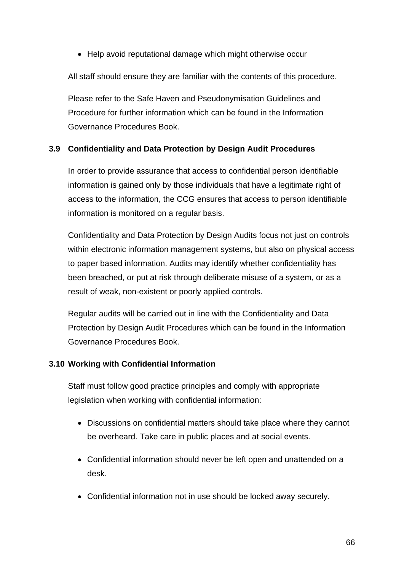• Help avoid reputational damage which might otherwise occur

All staff should ensure they are familiar with the contents of this procedure.

Please refer to the Safe Haven and Pseudonymisation Guidelines and Procedure for further information which can be found in the Information Governance Procedures Book.

# **3.9 Confidentiality and Data Protection by Design Audit Procedures**

In order to provide assurance that access to confidential person identifiable information is gained only by those individuals that have a legitimate right of access to the information, the CCG ensures that access to person identifiable information is monitored on a regular basis.

Confidentiality and Data Protection by Design Audits focus not just on controls within electronic information management systems, but also on physical access to paper based information. Audits may identify whether confidentiality has been breached, or put at risk through deliberate misuse of a system, or as a result of weak, non-existent or poorly applied controls.

Regular audits will be carried out in line with the Confidentiality and Data Protection by Design Audit Procedures which can be found in the Information Governance Procedures Book.

# **3.10 Working with Confidential Information**

Staff must follow good practice principles and comply with appropriate legislation when working with confidential information:

- Discussions on confidential matters should take place where they cannot be overheard. Take care in public places and at social events.
- Confidential information should never be left open and unattended on a desk.
- Confidential information not in use should be locked away securely.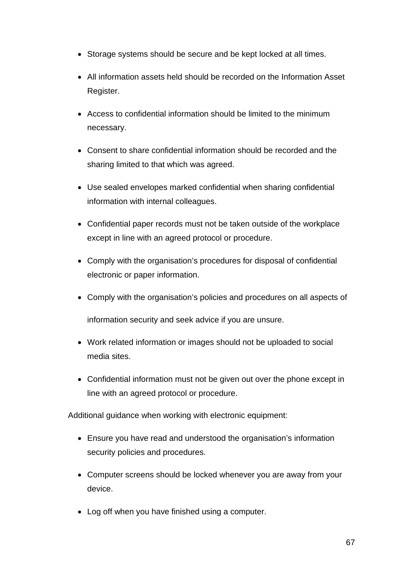- Storage systems should be secure and be kept locked at all times.
- All information assets held should be recorded on the Information Asset Register.
- Access to confidential information should be limited to the minimum necessary.
- Consent to share confidential information should be recorded and the sharing limited to that which was agreed.
- Use sealed envelopes marked confidential when sharing confidential information with internal colleagues.
- Confidential paper records must not be taken outside of the workplace except in line with an agreed protocol or procedure.
- Comply with the organisation's procedures for disposal of confidential electronic or paper information.
- Comply with the organisation's policies and procedures on all aspects of information security and seek advice if you are unsure.
- Work related information or images should not be uploaded to social media sites.
- Confidential information must not be given out over the phone except in line with an agreed protocol or procedure.

Additional guidance when working with electronic equipment:

- Ensure you have read and understood the organisation's information security policies and procedures.
- Computer screens should be locked whenever you are away from your device.
- Log off when you have finished using a computer.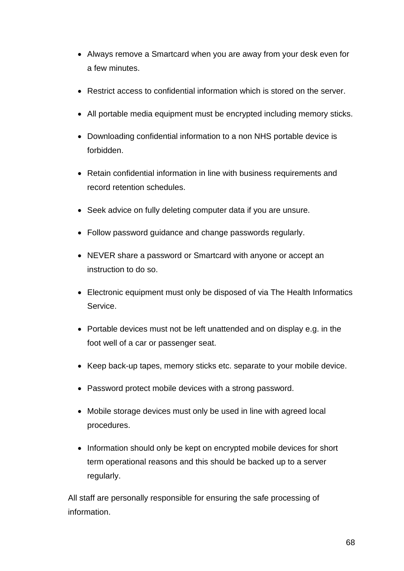- Always remove a Smartcard when you are away from your desk even for a few minutes.
- Restrict access to confidential information which is stored on the server.
- All portable media equipment must be encrypted including memory sticks.
- Downloading confidential information to a non NHS portable device is forbidden.
- Retain confidential information in line with business requirements and record retention schedules.
- Seek advice on fully deleting computer data if you are unsure.
- Follow password guidance and change passwords regularly.
- NEVER share a password or Smartcard with anyone or accept an instruction to do so.
- Electronic equipment must only be disposed of via The Health Informatics Service.
- Portable devices must not be left unattended and on display e.g. in the foot well of a car or passenger seat.
- Keep back-up tapes, memory sticks etc. separate to your mobile device.
- Password protect mobile devices with a strong password.
- Mobile storage devices must only be used in line with agreed local procedures.
- Information should only be kept on encrypted mobile devices for short term operational reasons and this should be backed up to a server regularly.

All staff are personally responsible for ensuring the safe processing of information.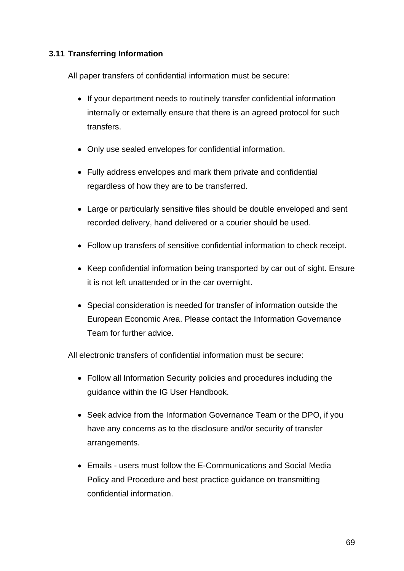# **3.11 Transferring Information**

All paper transfers of confidential information must be secure:

- If your department needs to routinely transfer confidential information internally or externally ensure that there is an agreed protocol for such transfers.
- Only use sealed envelopes for confidential information.
- Fully address envelopes and mark them private and confidential regardless of how they are to be transferred.
- Large or particularly sensitive files should be double enveloped and sent recorded delivery, hand delivered or a courier should be used.
- Follow up transfers of sensitive confidential information to check receipt.
- Keep confidential information being transported by car out of sight. Ensure it is not left unattended or in the car overnight.
- Special consideration is needed for transfer of information outside the European Economic Area. Please contact the Information Governance Team for further advice.

All electronic transfers of confidential information must be secure:

- Follow all Information Security policies and procedures including the guidance within the IG User Handbook.
- Seek advice from the Information Governance Team or the DPO, if you have any concerns as to the disclosure and/or security of transfer arrangements.
- Emails users must follow the E-Communications and Social Media Policy and Procedure and best practice guidance on transmitting confidential information.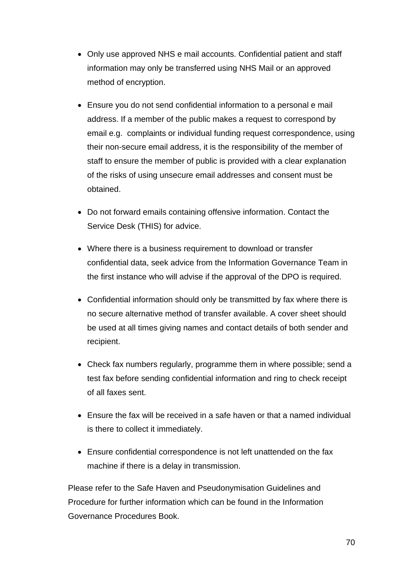- Only use approved NHS e mail accounts. Confidential patient and staff information may only be transferred using NHS Mail or an approved method of encryption.
- Ensure you do not send confidential information to a personal e mail address. If a member of the public makes a request to correspond by email e.g. complaints or individual funding request correspondence, using their non-secure email address, it is the responsibility of the member of staff to ensure the member of public is provided with a clear explanation of the risks of using unsecure email addresses and consent must be obtained.
- Do not forward emails containing offensive information. Contact the Service Desk (THIS) for advice.
- Where there is a business requirement to download or transfer confidential data, seek advice from the Information Governance Team in the first instance who will advise if the approval of the DPO is required.
- Confidential information should only be transmitted by fax where there is no secure alternative method of transfer available. A cover sheet should be used at all times giving names and contact details of both sender and recipient.
- Check fax numbers regularly, programme them in where possible; send a test fax before sending confidential information and ring to check receipt of all faxes sent.
- Ensure the fax will be received in a safe haven or that a named individual is there to collect it immediately.
- Ensure confidential correspondence is not left unattended on the fax machine if there is a delay in transmission.

Please refer to the Safe Haven and Pseudonymisation Guidelines and Procedure for further information which can be found in the Information Governance Procedures Book.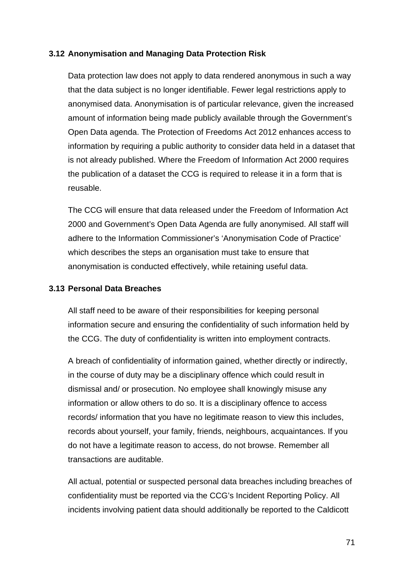#### **3.12 Anonymisation and Managing Data Protection Risk**

Data protection law does not apply to data rendered anonymous in such a way that the data subject is no longer identifiable. Fewer legal restrictions apply to anonymised data. Anonymisation is of particular relevance, given the increased amount of information being made publicly available through the Government's Open Data agenda. The Protection of Freedoms Act 2012 enhances access to information by requiring a public authority to consider data held in a dataset that is not already published. Where the Freedom of Information Act 2000 requires the publication of a dataset the CCG is required to release it in a form that is reusable.

The CCG will ensure that data released under the Freedom of Information Act 2000 and Government's Open Data Agenda are fully anonymised. All staff will adhere to the Information Commissioner's 'Anonymisation Code of Practice' which describes the steps an organisation must take to ensure that anonymisation is conducted effectively, while retaining useful data.

#### **3.13 Personal Data Breaches**

All staff need to be aware of their responsibilities for keeping personal information secure and ensuring the confidentiality of such information held by the CCG. The duty of confidentiality is written into employment contracts.

A breach of confidentiality of information gained, whether directly or indirectly, in the course of duty may be a disciplinary offence which could result in dismissal and/ or prosecution. No employee shall knowingly misuse any information or allow others to do so. It is a disciplinary offence to access records/ information that you have no legitimate reason to view this includes, records about yourself, your family, friends, neighbours, acquaintances. If you do not have a legitimate reason to access, do not browse. Remember all transactions are auditable.

All actual, potential or suspected personal data breaches including breaches of confidentiality must be reported via the CCG's Incident Reporting Policy. All incidents involving patient data should additionally be reported to the Caldicott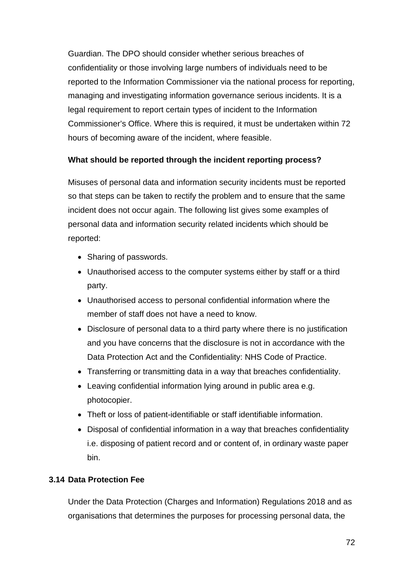Guardian. The DPO should consider whether serious breaches of confidentiality or those involving large numbers of individuals need to be reported to the Information Commissioner via the national process for reporting, managing and investigating information governance serious incidents. It is a legal requirement to report certain types of incident to the Information Commissioner's Office. Where this is required, it must be undertaken within 72 hours of becoming aware of the incident, where feasible.

# **What should be reported through the incident reporting process?**

Misuses of personal data and information security incidents must be reported so that steps can be taken to rectify the problem and to ensure that the same incident does not occur again. The following list gives some examples of personal data and information security related incidents which should be reported:

- Sharing of passwords.
- Unauthorised access to the computer systems either by staff or a third party.
- Unauthorised access to personal confidential information where the member of staff does not have a need to know.
- Disclosure of personal data to a third party where there is no justification and you have concerns that the disclosure is not in accordance with the Data Protection Act and the Confidentiality: NHS Code of Practice.
- Transferring or transmitting data in a way that breaches confidentiality.
- Leaving confidential information lying around in public area e.g. photocopier.
- Theft or loss of patient-identifiable or staff identifiable information.
- Disposal of confidential information in a way that breaches confidentiality i.e. disposing of patient record and or content of, in ordinary waste paper bin.

# **3.14 Data Protection Fee**

Under the Data Protection (Charges and Information) Regulations 2018 and as organisations that determines the purposes for processing personal data, the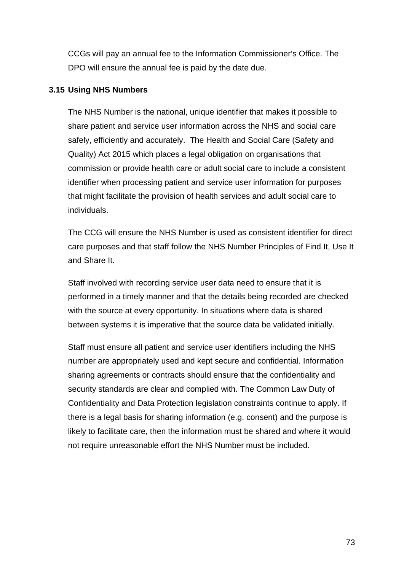CCGs will pay an annual fee to the Information Commissioner's Office. The DPO will ensure the annual fee is paid by the date due.

#### **3.15 Using NHS Numbers**

The NHS Number is the national, unique identifier that makes it possible to share patient and service user information across the NHS and social care safely, efficiently and accurately. The Health and Social Care (Safety and Quality) Act 2015 which places a legal obligation on organisations that commission or provide health care or adult social care to include a consistent identifier when processing patient and service user information for purposes that might facilitate the provision of health services and adult social care to individuals.

The CCG will ensure the NHS Number is used as consistent identifier for direct care purposes and that staff follow the NHS Number Principles of Find It, Use It and Share It.

Staff involved with recording service user data need to ensure that it is performed in a timely manner and that the details being recorded are checked with the source at every opportunity. In situations where data is shared between systems it is imperative that the source data be validated initially.

Staff must ensure all patient and service user identifiers including the NHS number are appropriately used and kept secure and confidential. Information sharing agreements or contracts should ensure that the confidentiality and security standards are clear and complied with. The Common Law Duty of Confidentiality and Data Protection legislation constraints continue to apply. If there is a legal basis for sharing information (e.g. consent) and the purpose is likely to facilitate care, then the information must be shared and where it would not require unreasonable effort the NHS Number must be included.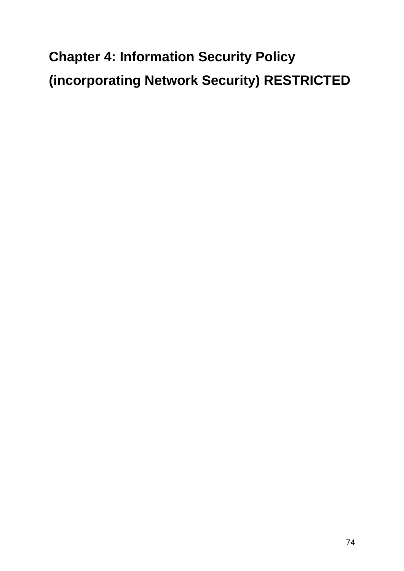# **Chapter 4: Information Security Policy (incorporating Network Security) RESTRICTED**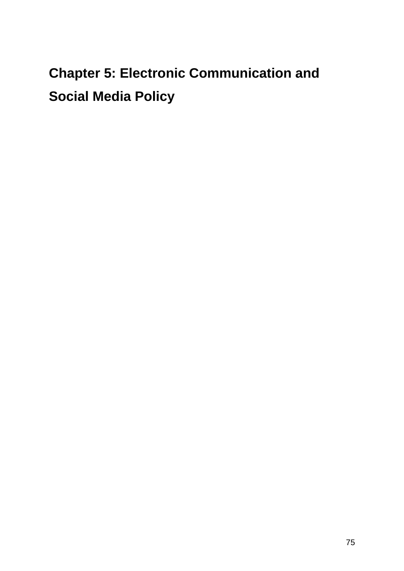# **Chapter 5: Electronic Communication and Social Media Policy**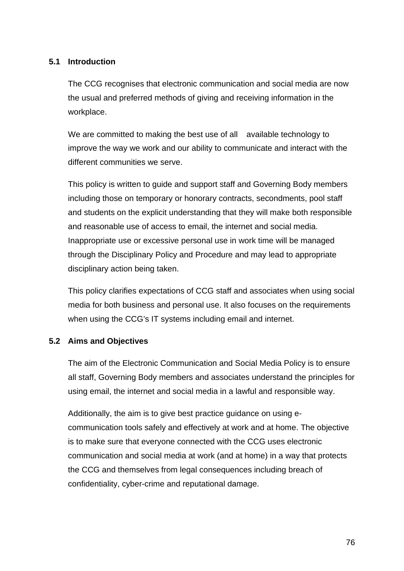#### **5.1 Introduction**

The CCG recognises that electronic communication and social media are now the usual and preferred methods of giving and receiving information in the workplace.

We are committed to making the best use of all available technology to improve the way we work and our ability to communicate and interact with the different communities we serve.

This policy is written to guide and support staff and Governing Body members including those on temporary or honorary contracts, secondments, pool staff and students on the explicit understanding that they will make both responsible and reasonable use of access to email, the internet and social media. Inappropriate use or excessive personal use in work time will be managed through the Disciplinary Policy and Procedure and may lead to appropriate disciplinary action being taken.

This policy clarifies expectations of CCG staff and associates when using social media for both business and personal use. It also focuses on the requirements when using the CCG's IT systems including email and internet.

#### **5.2 Aims and Objectives**

The aim of the Electronic Communication and Social Media Policy is to ensure all staff, Governing Body members and associates understand the principles for using email, the internet and social media in a lawful and responsible way.

Additionally, the aim is to give best practice guidance on using ecommunication tools safely and effectively at work and at home. The objective is to make sure that everyone connected with the CCG uses electronic communication and social media at work (and at home) in a way that protects the CCG and themselves from legal consequences including breach of confidentiality, cyber-crime and reputational damage.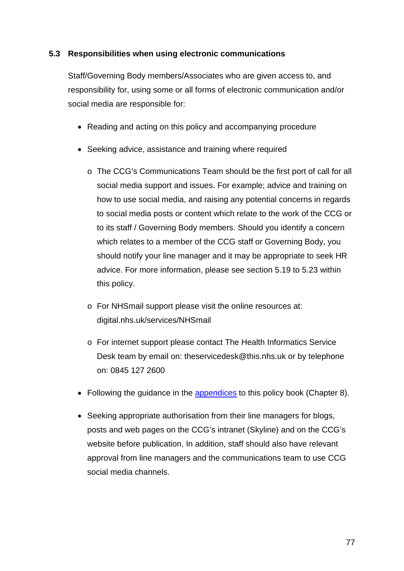#### **5.3 Responsibilities when using electronic communications**

Staff/Governing Body members/Associates who are given access to, and responsibility for, using some or all forms of electronic communication and/or social media are responsible for:

- Reading and acting on this policy and accompanying procedure
- Seeking advice, assistance and training where required
	- o The CCG's Communications Team should be the first port of call for all social media support and issues. For example; advice and training on how to use social media, and raising any potential concerns in regards to social media posts or content which relate to the work of the CCG or to its staff / Governing Body members. Should you identify a concern which relates to a member of the CCG staff or Governing Body, you should notify your line manager and it may be appropriate to seek HR advice. For more information, please see section 5.19 to 5.23 within this policy.
	- o For NHSmail support please visit the online resources at: digital.nhs.uk/services/NHSmail
	- o For internet support please contact The Health Informatics Service Desk team by email on: theservicedesk@this.nhs.uk or by telephone on: 0845 127 2600
- Following the guidance in the [appendices](#page-130-0) to this policy book (Chapter 8).
- Seeking appropriate authorisation from their line managers for blogs, posts and web pages on the CCG's intranet (Skyline) and on the CCG's website before publication. In addition, staff should also have relevant approval from line managers and the communications team to use CCG social media channels.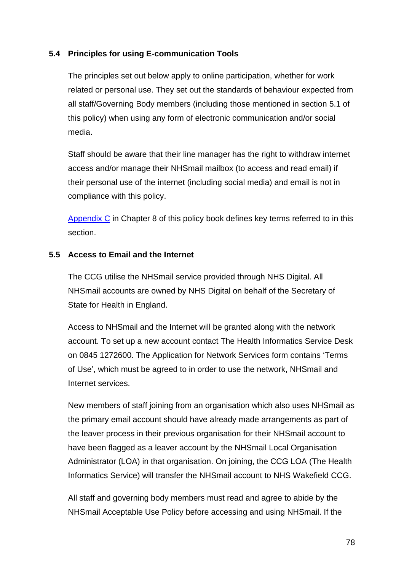#### **5.4 Principles for using E-communication Tools**

The principles set out below apply to online participation, whether for work related or personal use. They set out the standards of behaviour expected from all staff/Governing Body members (including those mentioned in section 5.1 of this policy) when using any form of electronic communication and/or social media.

Staff should be aware that their line manager has the right to withdraw internet access and/or manage their NHSmail mailbox (to access and read email) if their personal use of the internet (including social media) and email is not in compliance with this policy.

[Appendix C](#page-136-0) in Chapter 8 of this policy book defines key terms referred to in this section.

#### **5.5 Access to Email and the Internet**

The CCG utilise the NHSmail service provided through NHS Digital. All NHSmail accounts are owned by NHS Digital on behalf of the Secretary of State for Health in England.

Access to NHSmail and the Internet will be granted along with the network account. To set up a new account contact The Health Informatics Service Desk on 0845 1272600. The Application for Network Services form contains 'Terms of Use', which must be agreed to in order to use the network, NHSmail and Internet services.

New members of staff joining from an organisation which also uses NHSmail as the primary email account should have already made arrangements as part of the leaver process in their previous organisation for their NHSmail account to have been flagged as a leaver account by the NHSmail Local Organisation Administrator (LOA) in that organisation. On joining, the CCG LOA (The Health Informatics Service) will transfer the NHSmail account to NHS Wakefield CCG.

All staff and governing body members must read and agree to abide by the NHSmail Acceptable Use Policy before accessing and using NHSmail. If the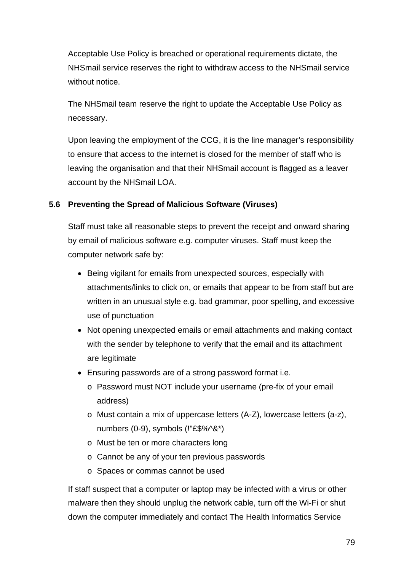Acceptable Use Policy is breached or operational requirements dictate, the NHSmail service reserves the right to withdraw access to the NHSmail service without notice

The NHSmail team reserve the right to update the Acceptable Use Policy as necessary.

Upon leaving the employment of the CCG, it is the line manager's responsibility to ensure that access to the internet is closed for the member of staff who is leaving the organisation and that their NHSmail account is flagged as a leaver account by the NHSmail LOA.

## **5.6 Preventing the Spread of Malicious Software (Viruses)**

Staff must take all reasonable steps to prevent the receipt and onward sharing by email of malicious software e.g. computer viruses. Staff must keep the computer network safe by:

- Being vigilant for emails from unexpected sources, especially with attachments/links to click on, or emails that appear to be from staff but are written in an unusual style e.g. bad grammar, poor spelling, and excessive use of punctuation
- Not opening unexpected emails or email attachments and making contact with the sender by telephone to verify that the email and its attachment are legitimate
- Ensuring passwords are of a strong password format i.e.
	- o Password must NOT include your username (pre-fix of your email address)
	- o Must contain a mix of uppercase letters (A-Z), lowercase letters (a-z), numbers (0-9), symbols (!"£\$%^&\*)
	- o Must be ten or more characters long
	- o Cannot be any of your ten previous passwords
	- o Spaces or commas cannot be used

If staff suspect that a computer or laptop may be infected with a virus or other malware then they should unplug the network cable, turn off the Wi-Fi or shut down the computer immediately and contact The Health Informatics Service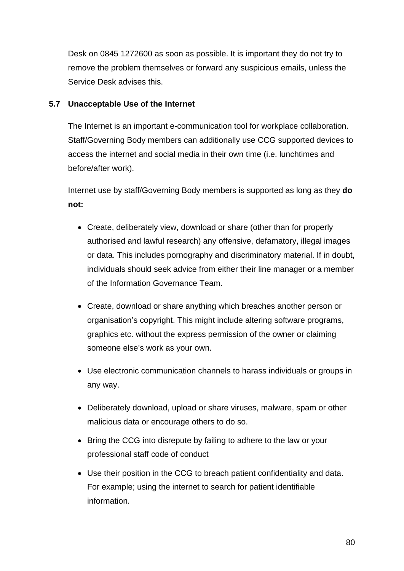Desk on 0845 1272600 as soon as possible. It is important they do not try to remove the problem themselves or forward any suspicious emails, unless the Service Desk advises this.

#### **5.7 Unacceptable Use of the Internet**

The Internet is an important e-communication tool for workplace collaboration. Staff/Governing Body members can additionally use CCG supported devices to access the internet and social media in their own time (i.e. lunchtimes and before/after work).

Internet use by staff/Governing Body members is supported as long as they **do not:** 

- Create, deliberately view, download or share (other than for properly authorised and lawful research) any offensive, defamatory, illegal images or data. This includes pornography and discriminatory material. If in doubt, individuals should seek advice from either their line manager or a member of the Information Governance Team.
- Create, download or share anything which breaches another person or organisation's copyright. This might include altering software programs, graphics etc. without the express permission of the owner or claiming someone else's work as your own.
- Use electronic communication channels to harass individuals or groups in any way.
- Deliberately download, upload or share viruses, malware, spam or other malicious data or encourage others to do so.
- Bring the CCG into disrepute by failing to adhere to the law or your professional staff code of conduct
- Use their position in the CCG to breach patient confidentiality and data. For example; using the internet to search for patient identifiable information.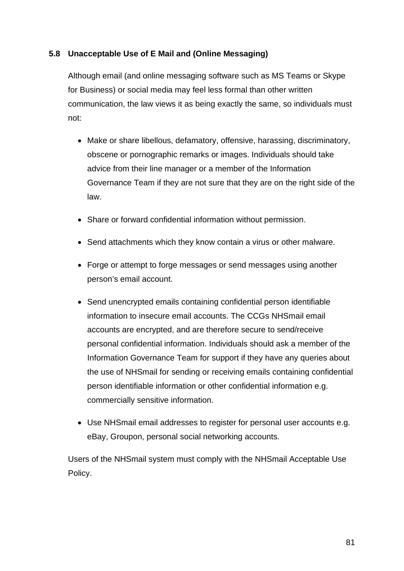#### **5.8 Unacceptable Use of E Mail and (Online Messaging)**

Although email (and online messaging software such as MS Teams or Skype for Business) or social media may feel less formal than other written communication, the law views it as being exactly the same, so individuals must not:

- Make or share libellous, defamatory, offensive, harassing, discriminatory, obscene or pornographic remarks or images. Individuals should take advice from their line manager or a member of the Information Governance Team if they are not sure that they are on the right side of the law.
- Share or forward confidential information without permission.
- Send attachments which they know contain a virus or other malware.
- Forge or attempt to forge messages or send messages using another person's email account.
- Send unencrypted emails containing confidential person identifiable information to insecure email accounts. The CCGs NHSmail email accounts are encrypted, and are therefore secure to send/receive personal confidential information. Individuals should ask a member of the Information Governance Team for support if they have any queries about the use of NHSmail for sending or receiving emails containing confidential person identifiable information or other confidential information e.g. commercially sensitive information.
- Use NHSmail email addresses to register for personal user accounts e.g. eBay, Groupon, personal social networking accounts.

Users of the NHSmail system must comply with the NHSmail Acceptable Use Policy.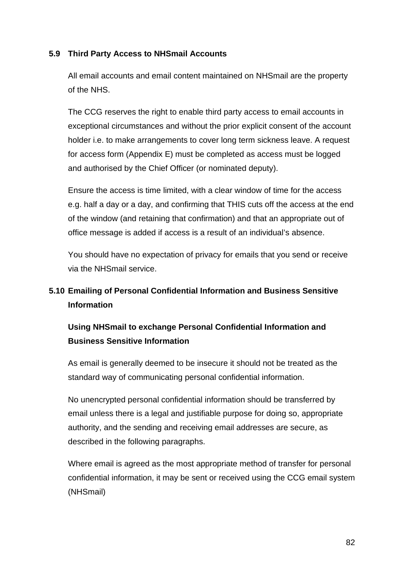#### **5.9 Third Party Access to NHSmail Accounts**

All email accounts and email content maintained on NHSmail are the property of the NHS.

The CCG reserves the right to enable third party access to email accounts in exceptional circumstances and without the prior explicit consent of the account holder i.e. to make arrangements to cover long term sickness leave. A request for access form (Appendix E) must be completed as access must be logged and authorised by the Chief Officer (or nominated deputy).

Ensure the access is time limited, with a clear window of time for the access e.g. half a day or a day, and confirming that THIS cuts off the access at the end of the window (and retaining that confirmation) and that an appropriate out of office message is added if access is a result of an individual's absence.

You should have no expectation of privacy for emails that you send or receive via the NHSmail service.

# **5.10 Emailing of Personal Confidential Information and Business Sensitive Information**

## **Using NHSmail to exchange Personal Confidential Information and Business Sensitive Information**

As email is generally deemed to be insecure it should not be treated as the standard way of communicating personal confidential information.

No unencrypted personal confidential information should be transferred by email unless there is a legal and justifiable purpose for doing so, appropriate authority, and the sending and receiving email addresses are secure, as described in the following paragraphs.

Where email is agreed as the most appropriate method of transfer for personal confidential information, it may be sent or received using the CCG email system (NHSmail)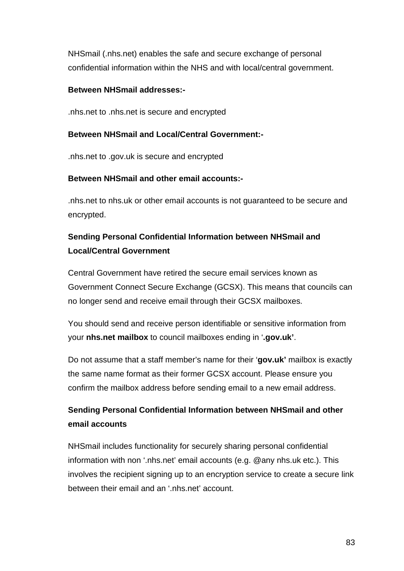NHSmail (.nhs.net) enables the safe and secure exchange of personal confidential information within the NHS and with local/central government.

#### **Between NHSmail addresses:-**

.nhs.net to .nhs.net is secure and encrypted

#### **Between NHSmail and Local/Central Government:-**

.nhs.net to .gov.uk is secure and encrypted

#### **Between NHSmail and other email accounts:-**

.nhs.net to nhs.uk or other email accounts is not guaranteed to be secure and encrypted.

## **Sending Personal Confidential Information between NHSmail and Local/Central Government**

Central Government have retired the secure email services known as Government Connect Secure Exchange (GCSX). This means that councils can no longer send and receive email through their GCSX mailboxes.

You should send and receive person identifiable or sensitive information from your **nhs.net mailbox** to council mailboxes ending in '**.gov.uk'**.

Do not assume that a staff member's name for their '**gov.uk'** mailbox is exactly the same name format as their former GCSX account. Please ensure you confirm the mailbox address before sending email to a new email address.

## **Sending Personal Confidential Information between NHSmail and other email accounts**

NHSmail includes functionality for securely sharing personal confidential information with non '.nhs.net' email accounts (e.g. @any nhs.uk etc.). This involves the recipient signing up to an encryption service to create a secure link between their email and an '.nhs.net' account.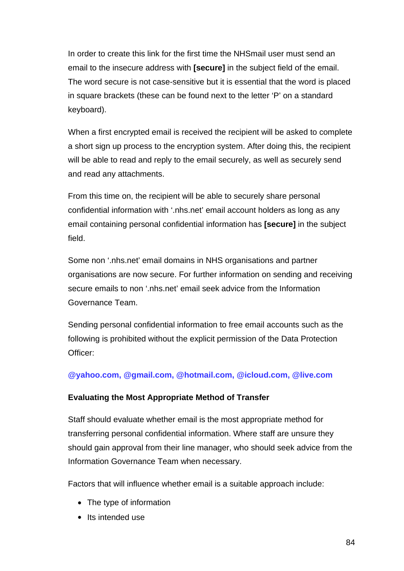In order to create this link for the first time the NHSmail user must send an email to the insecure address with **[secure]** in the subject field of the email. The word secure is not case-sensitive but it is essential that the word is placed in square brackets (these can be found next to the letter 'P' on a standard keyboard).

When a first encrypted email is received the recipient will be asked to complete a short sign up process to the encryption system. After doing this, the recipient will be able to read and reply to the email securely, as well as securely send and read any attachments.

From this time on, the recipient will be able to securely share personal confidential information with '.nhs.net' email account holders as long as any email containing personal confidential information has **[secure]** in the subject field.

Some non '.nhs.net' email domains in NHS organisations and partner organisations are now secure. For further information on sending and receiving secure emails to non '.nhs.net' email seek advice from the Information Governance Team.

Sending personal confidential information to free email accounts such as the following is prohibited without the explicit permission of the Data Protection Officer:

#### **[@yahoo.com, @gmail.com, @hotmail.com, @icloud.com, @live.com](mailto:@live.com)**

#### **Evaluating the Most Appropriate Method of Transfer**

Staff should evaluate whether email is the most appropriate method for transferring personal confidential information. Where staff are unsure they should gain approval from their line manager, who should seek advice from the Information Governance Team when necessary.

Factors that will influence whether email is a suitable approach include:

- The type of information
- Its intended use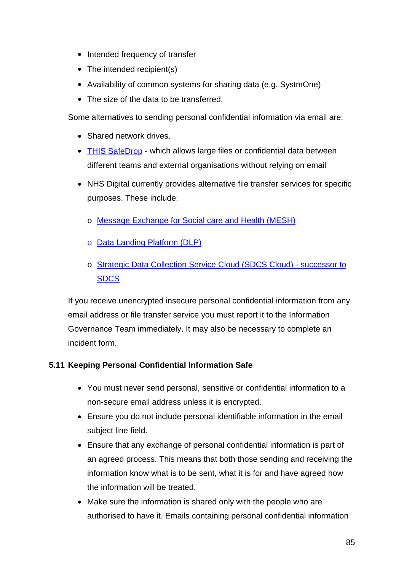- Intended frequency of transfer
- The intended recipient(s)
- Availability of common systems for sharing data (e.g. SystmOne)
- The size of the data to be transferred.

Some alternatives to sending personal confidential information via email are:

- Shared network drives.
- [THIS SafeDrop](https://safedrop.this.nhs.uk/) which allows large files or confidential data between different teams and external organisations without relying on email
- NHS Digital currently provides alternative file transfer services for specific purposes. These include:
	- o [Message Exchange for Social care and Health \(MESH\)](https://digital.nhs.uk/services/message-exchange-for-social-care-and-health-mesh)
	- o [Data Landing Platform \(DLP\)](https://digital.nhs.uk/services/data-landing-portal)
	- o [Strategic Data Collection Service Cloud \(SDCS Cloud\) -](https://digital.nhs.uk/data-and-information/data-collections-and-data-sets/data-collections/strategic-data-collection-service-sdcs) successor to **[SDCS](https://digital.nhs.uk/data-and-information/data-collections-and-data-sets/data-collections/strategic-data-collection-service-sdcs)**

If you receive unencrypted insecure personal confidential information from any email address or file transfer service you must report it to the Information Governance Team immediately. It may also be necessary to complete an incident form.

## **5.11 Keeping Personal Confidential Information Safe**

- You must never send personal, sensitive or confidential information to a non-secure email address unless it is encrypted.
- Ensure you do not include personal identifiable information in the email subject line field.
- Ensure that any exchange of personal confidential information is part of an agreed process. This means that both those sending and receiving the information know what is to be sent, what it is for and have agreed how the information will be treated.
- Make sure the information is shared only with the people who are authorised to have it. Emails containing personal confidential information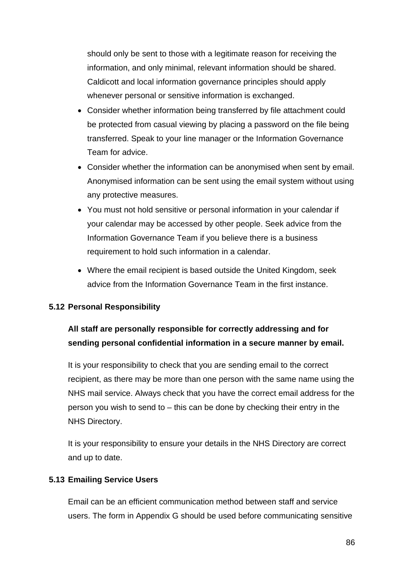should only be sent to those with a legitimate reason for receiving the information, and only minimal, relevant information should be shared. Caldicott and local information governance principles should apply whenever personal or sensitive information is exchanged.

- Consider whether information being transferred by file attachment could be protected from casual viewing by placing a password on the file being transferred. Speak to your line manager or the Information Governance Team for advice.
- Consider whether the information can be anonymised when sent by email. Anonymised information can be sent using the email system without using any protective measures.
- You must not hold sensitive or personal information in your calendar if your calendar may be accessed by other people. Seek advice from the Information Governance Team if you believe there is a business requirement to hold such information in a calendar.
- Where the email recipient is based outside the United Kingdom, seek advice from the Information Governance Team in the first instance.

#### **5.12 Personal Responsibility**

# **All staff are personally responsible for correctly addressing and for sending personal confidential information in a secure manner by email.**

It is your responsibility to check that you are sending email to the correct recipient, as there may be more than one person with the same name using the NHS mail service. Always check that you have the correct email address for the person you wish to send to – this can be done by checking their entry in the NHS Directory.

It is your responsibility to ensure your details in the NHS Directory are correct and up to date.

#### **5.13 Emailing Service Users**

Email can be an efficient communication method between staff and service users. The form in Appendix G should be used before communicating sensitive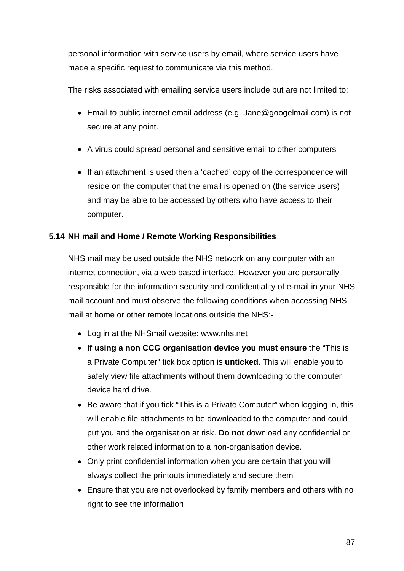personal information with service users by email, where service users have made a specific request to communicate via this method.

The risks associated with emailing service users include but are not limited to:

- Email to public internet email address (e.g. Jane@googelmail.com) is not secure at any point.
- A virus could spread personal and sensitive email to other computers
- If an attachment is used then a 'cached' copy of the correspondence will reside on the computer that the email is opened on (the service users) and may be able to be accessed by others who have access to their computer.

#### **5.14 NH mail and Home / Remote Working Responsibilities**

NHS mail may be used outside the NHS network on any computer with an internet connection, via a web based interface. However you are personally responsible for the information security and confidentiality of e-mail in your NHS mail account and must observe the following conditions when accessing NHS mail at home or other remote locations outside the NHS:-

- Log in at the NHSmail website: www.nhs.net
- **If using a non CCG organisation device you must ensure** the "This is a Private Computer" tick box option is **unticked.** This will enable you to safely view file attachments without them downloading to the computer device hard drive.
- Be aware that if you tick "This is a Private Computer" when logging in, this will enable file attachments to be downloaded to the computer and could put you and the organisation at risk. **Do not** download any confidential or other work related information to a non-organisation device.
- Only print confidential information when you are certain that you will always collect the printouts immediately and secure them
- Ensure that you are not overlooked by family members and others with no right to see the information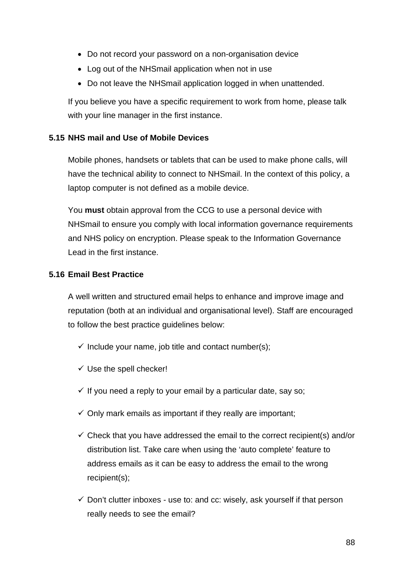- Do not record your password on a non-organisation device
- Log out of the NHSmail application when not in use
- Do not leave the NHSmail application logged in when unattended.

If you believe you have a specific requirement to work from home, please talk with your line manager in the first instance.

#### **5.15 NHS mail and Use of Mobile Devices**

Mobile phones, handsets or tablets that can be used to make phone calls, will have the technical ability to connect to NHSmail. In the context of this policy, a laptop computer is not defined as a mobile device.

You **must** obtain approval from the CCG to use a personal device with NHSmail to ensure you comply with local information governance requirements and NHS policy on encryption. Please speak to the Information Governance Lead in the first instance.

#### **5.16 Email Best Practice**

A well written and structured email helps to enhance and improve image and reputation (both at an individual and organisational level). Staff are encouraged to follow the best practice guidelines below:

- $\checkmark$  Include your name, job title and contact number(s);
- $\checkmark$  Use the spell checker!
- $\checkmark$  If you need a reply to your email by a particular date, say so;
- $\checkmark$  Only mark emails as important if they really are important;
- $\checkmark$  Check that you have addressed the email to the correct recipient(s) and/or distribution list. Take care when using the 'auto complete' feature to address emails as it can be easy to address the email to the wrong recipient(s);
- $\checkmark$  Don't clutter inboxes use to: and cc: wisely, ask yourself if that person really needs to see the email?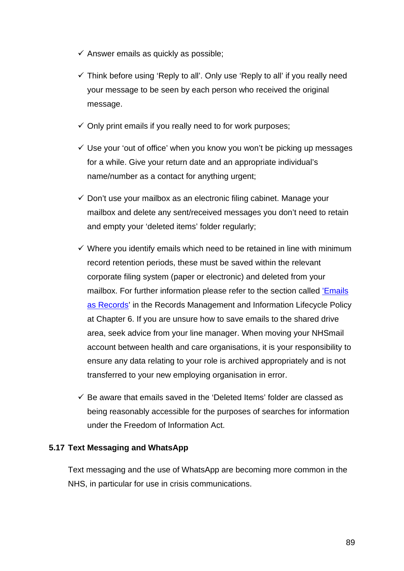- $\checkmark$  Answer emails as quickly as possible;
- $\checkmark$  Think before using 'Reply to all'. Only use 'Reply to all' if you really need your message to be seen by each person who received the original message.
- $\checkmark$  Only print emails if you really need to for work purposes;
- $\checkmark$  Use your 'out of office' when you know you won't be picking up messages for a while. Give your return date and an appropriate individual's name/number as a contact for anything urgent;
- $\checkmark$  Don't use your mailbox as an electronic filing cabinet. Manage your mailbox and delete any sent/received messages you don't need to retain and empty your 'deleted items' folder regularly;
- $\checkmark$  Where you identify emails which need to be retained in line with minimum record retention periods, these must be saved within the relevant corporate filing system (paper or electronic) and deleted from your mailbox. For further information please refer to the section called ['Emails](#page-114-0)  [as Records'](#page-114-0) in the Records Management and Information Lifecycle Policy at Chapter 6. If you are unsure how to save emails to the shared drive area, seek advice from your line manager. When moving your NHSmail account between health and care organisations, it is your responsibility to ensure any data relating to your role is archived appropriately and is not transferred to your new employing organisation in error.
- $\checkmark$  Be aware that emails saved in the 'Deleted Items' folder are classed as being reasonably accessible for the purposes of searches for information under the Freedom of Information Act.

#### **5.17 Text Messaging and WhatsApp**

Text messaging and the use of WhatsApp are becoming more common in the NHS, in particular for use in crisis communications.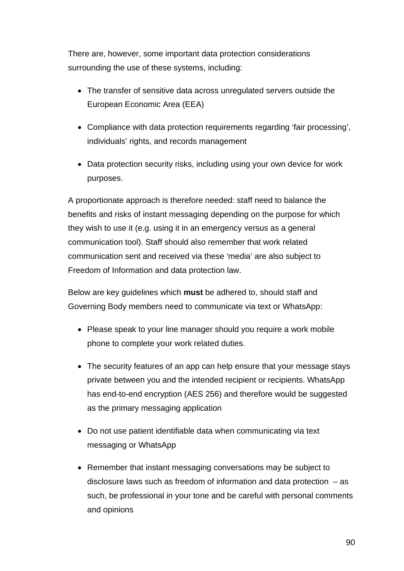There are, however, some important data protection considerations surrounding the use of these systems, including:

- The transfer of sensitive data across unregulated servers outside the European Economic Area (EEA)
- Compliance with data protection requirements regarding 'fair processing', individuals' rights, and records management
- Data protection security risks, including using your own device for work purposes.

A proportionate approach is therefore needed: staff need to balance the benefits and risks of instant messaging depending on the purpose for which they wish to use it (e.g. using it in an emergency versus as a general communication tool). Staff should also remember that work related communication sent and received via these 'media' are also subject to Freedom of Information and data protection law.

Below are key guidelines which **must** be adhered to, should staff and Governing Body members need to communicate via text or WhatsApp:

- Please speak to your line manager should you require a work mobile phone to complete your work related duties.
- The security features of an app can help ensure that your message stays private between you and the intended recipient or recipients. WhatsApp has end-to-end encryption (AES 256) and therefore would be suggested as the primary messaging application
- Do not use patient identifiable data when communicating via text messaging or WhatsApp
- Remember that instant messaging conversations may be subject to disclosure laws such as freedom of information and data protection  $-$  as such, be professional in your tone and be careful with personal comments and opinions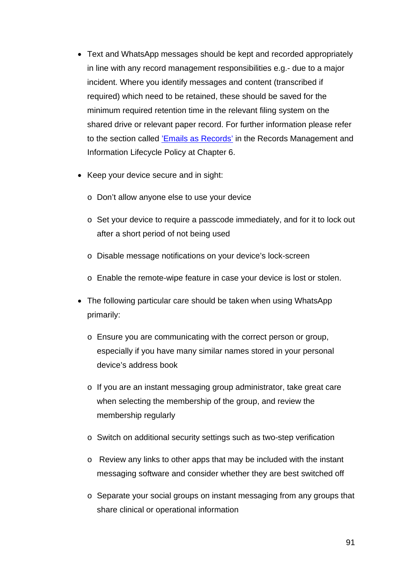- Text and WhatsApp messages should be kept and recorded appropriately in line with any record management responsibilities e.g.- due to a major incident. Where you identify messages and content (transcribed if required) which need to be retained, these should be saved for the minimum required retention time in the relevant filing system on the shared drive or relevant paper record. For further information please refer to the section called ['Emails as Records'](#page-114-0) in the Records Management and Information Lifecycle Policy at Chapter 6.
- Keep your device secure and in sight:
	- o Don't allow anyone else to use your device
	- o Set your device to require a passcode immediately, and for it to lock out after a short period of not being used
	- o Disable message notifications on your device's lock-screen
	- o Enable the remote-wipe feature in case your device is lost or stolen.
- The following particular care should be taken when using WhatsApp primarily:
	- o Ensure you are communicating with the correct person or group, especially if you have many similar names stored in your personal device's address book
	- o If you are an instant messaging group administrator, take great care when selecting the membership of the group, and review the membership regularly
	- o Switch on additional security settings such as two-step verification
	- o Review any links to other apps that may be included with the instant messaging software and consider whether they are best switched off
	- $\circ$  Separate your social groups on instant messaging from any groups that share clinical or operational information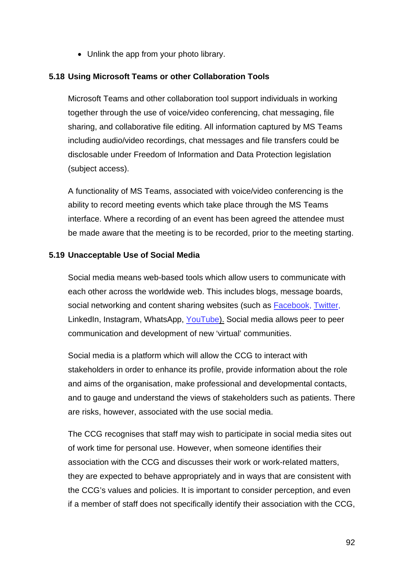• Unlink the app from your photo library.

#### **5.18 Using Microsoft Teams or other Collaboration Tools**

Microsoft Teams and other collaboration tool support individuals in working together through the use of voice/video conferencing, chat messaging, file sharing, and collaborative file editing. All information captured by MS Teams including audio/video recordings, chat messages and file transfers could be disclosable under Freedom of Information and Data Protection legislation (subject access).

A functionality of MS Teams, associated with voice/video conferencing is the ability to record meeting events which take place through the MS Teams interface. Where a recording of an event has been agreed the attendee must be made aware that the meeting is to be recorded, prior to the meeting starting.

#### **5.19 Unacceptable Use of Social Media**

Social media means web-based tools which allow users to communicate with each other across the worldwide web. This includes blogs, message boards, social networking and content sharing websites (such as [Facebook,](http://www.facebook.com/) [Twitter,](http://twitter.com/) LinkedIn, Instagram, WhatsApp, [YouTube\)](http://www.youtube.com/). Social media allows peer to peer communication and development of new 'virtual' communities.

Social media is a platform which will allow the CCG to interact with stakeholders in order to enhance its profile, provide information about the role and aims of the organisation, make professional and developmental contacts, and to gauge and understand the views of stakeholders such as patients. There are risks, however, associated with the use social media.

The CCG recognises that staff may wish to participate in social media sites out of work time for personal use. However, when someone identifies their association with the CCG and discusses their work or work-related matters, they are expected to behave appropriately and in ways that are consistent with the CCG's values and policies. It is important to consider perception, and even if a member of staff does not specifically identify their association with the CCG,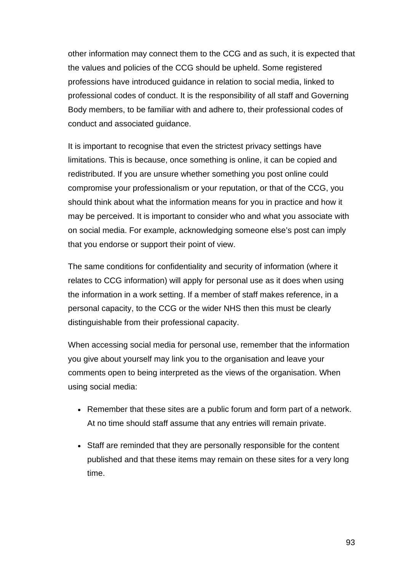other information may connect them to the CCG and as such, it is expected that the values and policies of the CCG should be upheld. Some registered professions have introduced guidance in relation to social media, linked to professional codes of conduct. It is the responsibility of all staff and Governing Body members, to be familiar with and adhere to, their professional codes of conduct and associated guidance.

It is important to recognise that even the strictest privacy settings have limitations. This is because, once something is online, it can be copied and redistributed. If you are unsure whether something you post online could compromise your professionalism or your reputation, or that of the CCG, you should think about what the information means for you in practice and how it may be perceived. It is important to consider who and what you associate with on social media. For example, acknowledging someone else's post can imply that you endorse or support their point of view.

The same conditions for confidentiality and security of information (where it relates to CCG information) will apply for personal use as it does when using the information in a work setting. If a member of staff makes reference, in a personal capacity, to the CCG or the wider NHS then this must be clearly distinguishable from their professional capacity.

When accessing social media for personal use, remember that the information you give about yourself may link you to the organisation and leave your comments open to being interpreted as the views of the organisation. When using social media:

- Remember that these sites are a public forum and form part of a network. At no time should staff assume that any entries will remain private.
- Staff are reminded that they are personally responsible for the content published and that these items may remain on these sites for a very long time.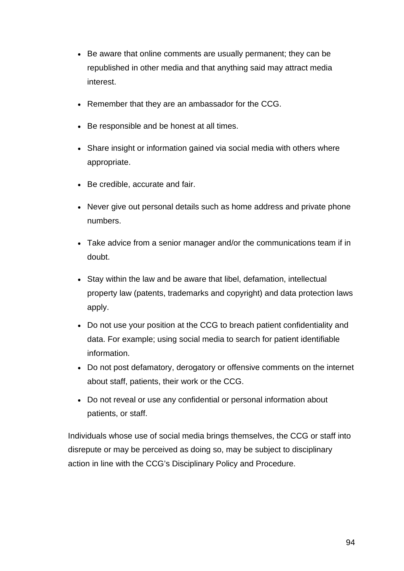- Be aware that online comments are usually permanent; they can be republished in other media and that anything said may attract media interest.
- Remember that they are an ambassador for the CCG.
- Be responsible and be honest at all times.
- Share insight or information gained via social media with others where appropriate.
- Be credible, accurate and fair.
- Never give out personal details such as home address and private phone numbers.
- Take advice from a senior manager and/or the communications team if in doubt.
- Stay within the law and be aware that libel, defamation, intellectual property law (patents, trademarks and copyright) and [data protection laws](http://www.ico.gov.uk/what_we_cover/data_protection.aspx) apply.
- Do not use your position at the CCG to breach patient confidentiality and data. For example; using social media to search for patient identifiable information.
- Do not post defamatory, derogatory or offensive comments on the internet about staff, patients, their work or the CCG.
- Do not reveal or use any confidential or personal information about patients, or staff.

Individuals whose use of social media brings themselves, the CCG or staff into disrepute or may be perceived as doing so, may be subject to disciplinary action in line with the CCG's Disciplinary Policy and Procedure.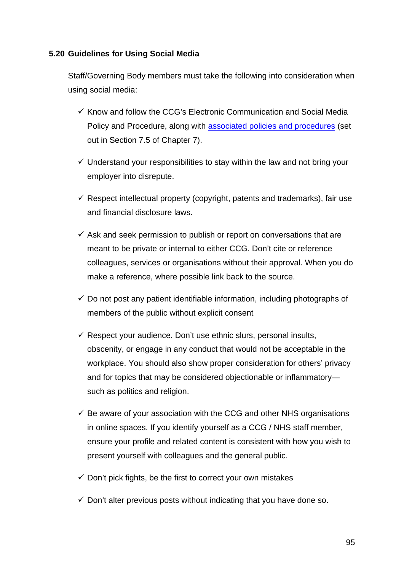#### **5.20 Guidelines for Using Social Media**

Staff/Governing Body members must take the following into consideration when using social media:

- $\checkmark$  Know and follow the CCG's Electronic Communication and Social Media Policy and Procedure, along with [associated policies and procedures](#page-124-0) (set out in Section 7.5 of Chapter 7).
- $\checkmark$  Understand your responsibilities to stay within the law and not bring your employer into disrepute.
- $\checkmark$  Respect intellectual property (copyright, patents and trademarks), fair use and financial disclosure laws.
- $\checkmark$  Ask and seek permission to publish or report on conversations that are meant to be private or internal to either CCG. Don't cite or reference colleagues, services or organisations without their approval. When you do make a reference, where possible link back to the source.
- $\checkmark$  Do not post any patient identifiable information, including photographs of members of the public without explicit consent
- $\checkmark$  Respect your audience. Don't use ethnic slurs, personal insults, obscenity, or engage in any conduct that would not be acceptable in the workplace. You should also show proper consideration for others' privacy and for topics that may be considered objectionable or inflammatory such as politics and religion.
- $\checkmark$  Be aware of your association with the CCG and other NHS organisations in online spaces. If you identify yourself as a CCG / NHS staff member, ensure your profile and related content is consistent with how you wish to present yourself with colleagues and the general public.
- $\checkmark$  Don't pick fights, be the first to correct your own mistakes
- $\checkmark$  Don't alter previous posts without indicating that you have done so.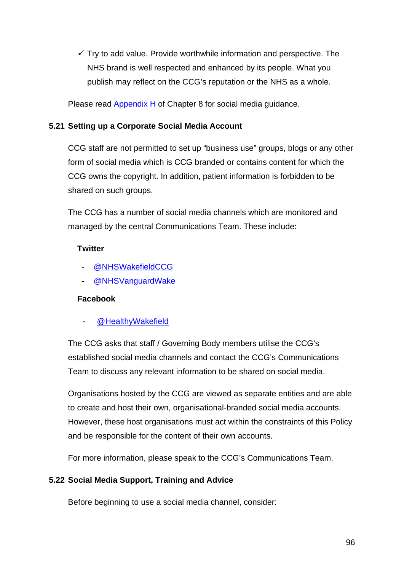$\checkmark$  Try to add value. Provide worthwhile information and perspective. The NHS brand is well respected and enhanced by its people. What you publish may reflect on the CCG's reputation or the NHS as a whole.

Please read [Appendix H](#page-147-0) of Chapter 8 for social media guidance.

#### **5.21 Setting up a Corporate Social Media Account**

CCG staff are not permitted to set up "business use" groups, blogs or any other form of social media which is CCG branded or contains content for which the CCG owns the copyright. In addition, patient information is forbidden to be shared on such groups.

The CCG has a number of social media channels which are monitored and managed by the central Communications Team. These include:

#### **Twitter**

- [@NHSWakefieldCCG](https://twitter.com/NHSWakefieldCCG?ref_src=twsrc%5Egoogle%7Ctwcamp%5Eserp%7Ctwgr%5Eauthor)
- [@NHSVanguardWake](https://twitter.com/nhsvanguardwake?lang=en)

#### **Facebook**

[@HealthyWakefield](https://www.facebook.com/HealthyWakefield)

The CCG asks that staff / Governing Body members utilise the CCG's established social media channels and contact the CCG's Communications Team to discuss any relevant information to be shared on social media.

Organisations hosted by the CCG are viewed as separate entities and are able to create and host their own, organisational-branded social media accounts. However, these host organisations must act within the constraints of this Policy and be responsible for the content of their own accounts.

For more information, please speak to the CCG's Communications Team.

## **5.22 Social Media Support, Training and Advice**

Before beginning to use a social media channel, consider: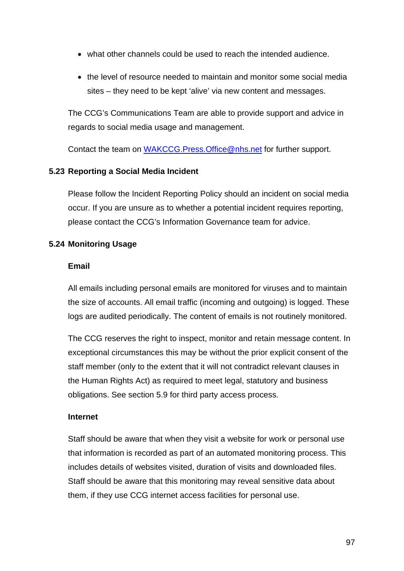- what other channels could be used to reach the intended audience.
- the level of resource needed to maintain and monitor some social media sites – they need to be kept 'alive' via new content and messages.

The CCG's Communications Team are able to provide support and advice in regards to social media usage and management.

Contact the team on [WAKCCG.Press.Office@nhs.net](mailto:WAKCCG.Press.Office@nhs.net) for further support.

#### **5.23 Reporting a Social Media Incident**

Please follow the Incident Reporting Policy should an incident on social media occur. If you are unsure as to whether a potential incident requires reporting, please contact the CCG's Information Governance team for advice.

#### **5.24 Monitoring Usage**

#### **Email**

All emails including personal emails are monitored for viruses and to maintain the size of accounts. All email traffic (incoming and outgoing) is logged. These logs are audited periodically. The content of emails is not routinely monitored.

The CCG reserves the right to inspect, monitor and retain message content. In exceptional circumstances this may be without the prior explicit consent of the staff member (only to the extent that it will not contradict relevant clauses in the Human Rights Act) as required to meet legal, statutory and business obligations. See section 5.9 for third party access process.

#### **Internet**

Staff should be aware that when they visit a website for work or personal use that information is recorded as part of an automated monitoring process. This includes details of websites visited, duration of visits and downloaded files. Staff should be aware that this monitoring may reveal sensitive data about them, if they use CCG internet access facilities for personal use.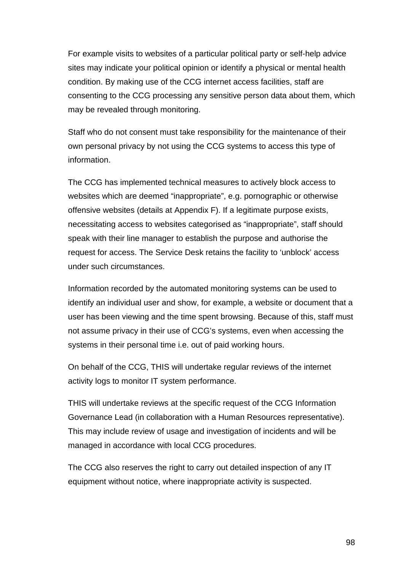For example visits to websites of a particular political party or self-help advice sites may indicate your political opinion or identify a physical or mental health condition. By making use of the CCG internet access facilities, staff are consenting to the CCG processing any sensitive person data about them, which may be revealed through monitoring.

Staff who do not consent must take responsibility for the maintenance of their own personal privacy by not using the CCG systems to access this type of information.

The CCG has implemented technical measures to actively block access to websites which are deemed "inappropriate", e.g. pornographic or otherwise offensive websites (details at Appendix F). If a legitimate purpose exists, necessitating access to websites categorised as "inappropriate", staff should speak with their line manager to establish the purpose and authorise the request for access. The Service Desk retains the facility to 'unblock' access under such circumstances.

Information recorded by the automated monitoring systems can be used to identify an individual user and show, for example, a website or document that a user has been viewing and the time spent browsing. Because of this, staff must not assume privacy in their use of CCG's systems, even when accessing the systems in their personal time i.e. out of paid working hours.

On behalf of the CCG, THIS will undertake regular reviews of the internet activity logs to monitor IT system performance.

THIS will undertake reviews at the specific request of the CCG Information Governance Lead (in collaboration with a Human Resources representative). This may include review of usage and investigation of incidents and will be managed in accordance with local CCG procedures.

The CCG also reserves the right to carry out detailed inspection of any IT equipment without notice, where inappropriate activity is suspected.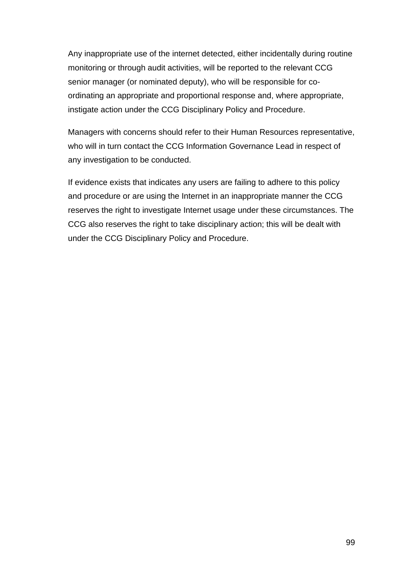Any inappropriate use of the internet detected, either incidentally during routine monitoring or through audit activities, will be reported to the relevant CCG senior manager (or nominated deputy), who will be responsible for coordinating an appropriate and proportional response and, where appropriate, instigate action under the CCG Disciplinary Policy and Procedure.

Managers with concerns should refer to their Human Resources representative, who will in turn contact the CCG Information Governance Lead in respect of any investigation to be conducted.

If evidence exists that indicates any users are failing to adhere to this policy and procedure or are using the Internet in an inappropriate manner the CCG reserves the right to investigate Internet usage under these circumstances. The CCG also reserves the right to take disciplinary action; this will be dealt with under the CCG Disciplinary Policy and Procedure.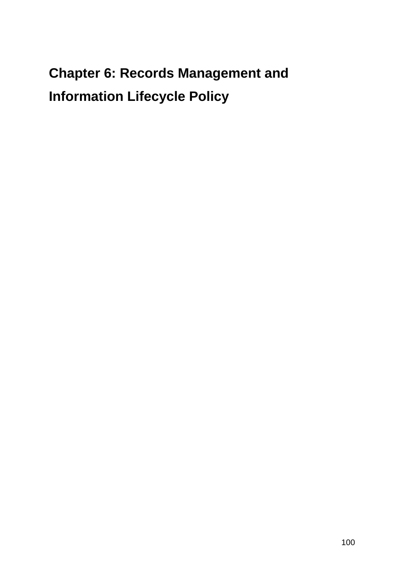# **Chapter 6: Records Management and Information Lifecycle Policy**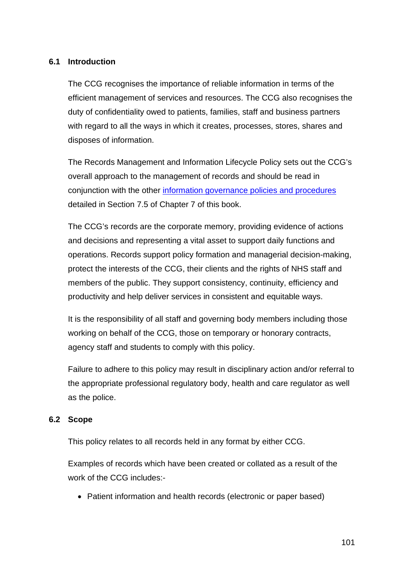#### **6.1 Introduction**

The CCG recognises the importance of reliable information in terms of the efficient management of services and resources. The CCG also recognises the duty of confidentiality owed to patients, families, staff and business partners with regard to all the ways in which it creates, processes, stores, shares and disposes of information.

The Records Management and Information Lifecycle Policy sets out the CCG's overall approach to the management of records and should be read in conjunction with the other [information governance policies and procedures](#page-124-0) detailed in Section 7.5 of Chapter 7 of this book.

The CCG's records are the corporate memory, providing evidence of actions and decisions and representing a vital asset to support daily functions and operations. Records support policy formation and managerial decision-making, protect the interests of the CCG, their clients and the rights of NHS staff and members of the public. They support consistency, continuity, efficiency and productivity and help deliver services in consistent and equitable ways.

It is the responsibility of all staff and governing body members including those working on behalf of the CCG, those on temporary or honorary contracts, agency staff and students to comply with this policy.

Failure to adhere to this policy may result in disciplinary action and/or referral to the appropriate professional regulatory body, health and care regulator as well as the police.

#### **6.2 Scope**

This policy relates to all records held in any format by either CCG.

Examples of records which have been created or collated as a result of the work of the CCG includes:-

• Patient information and health records (electronic or paper based)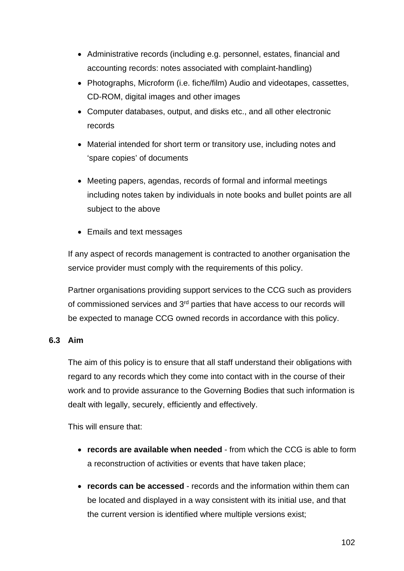- Administrative records (including e.g. personnel, estates, financial and accounting records: notes associated with complaint-handling)
- Photographs, Microform (i.e. fiche/film) Audio and videotapes, cassettes, CD-ROM, digital images and other images
- Computer databases, output, and disks etc., and all other electronic records
- Material intended for short term or transitory use, including notes and 'spare copies' of documents
- Meeting papers, agendas, records of formal and informal meetings including notes taken by individuals in note books and bullet points are all subject to the above
- Emails and text messages

If any aspect of records management is contracted to another organisation the service provider must comply with the requirements of this policy.

Partner organisations providing support services to the CCG such as providers of commissioned services and 3<sup>rd</sup> parties that have access to our records will be expected to manage CCG owned records in accordance with this policy.

#### **6.3 Aim**

The aim of this policy is to ensure that all staff understand their obligations with regard to any records which they come into contact with in the course of their work and to provide assurance to the Governing Bodies that such information is dealt with legally, securely, efficiently and effectively.

This will ensure that:

- **records are available when needed** from which the CCG is able to form a reconstruction of activities or events that have taken place;
- **records can be accessed** records and the information within them can be located and displayed in a way consistent with its initial use, and that the current version is identified where multiple versions exist;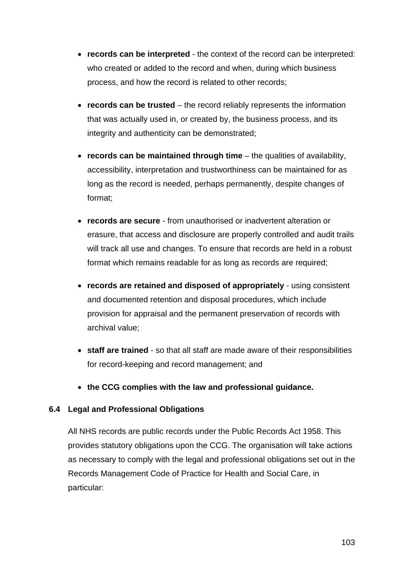- **records can be interpreted** the context of the record can be interpreted: who created or added to the record and when, during which business process, and how the record is related to other records;
- **records can be trusted** the record reliably represents the information that was actually used in, or created by, the business process, and its integrity and authenticity can be demonstrated;
- **records can be maintained through time** the qualities of availability, accessibility, interpretation and trustworthiness can be maintained for as long as the record is needed, perhaps permanently, despite changes of format;
- **records are secure** from unauthorised or inadvertent alteration or erasure, that access and disclosure are properly controlled and audit trails will track all use and changes. To ensure that records are held in a robust format which remains readable for as long as records are required;
- **records are retained and disposed of appropriately** using consistent and documented retention and disposal procedures, which include provision for appraisal and the permanent preservation of records with archival value;
- **staff are trained** so that all staff are made aware of their responsibilities for record-keeping and record management; and
- **the CCG complies with the law and professional guidance.**

#### **6.4 Legal and Professional Obligations**

All NHS records are public records under the Public Records Act 1958. This provides statutory obligations upon the CCG. The organisation will take actions as necessary to comply with the legal and professional obligations set out in the Records Management Code of Practice for Health and Social Care, in particular: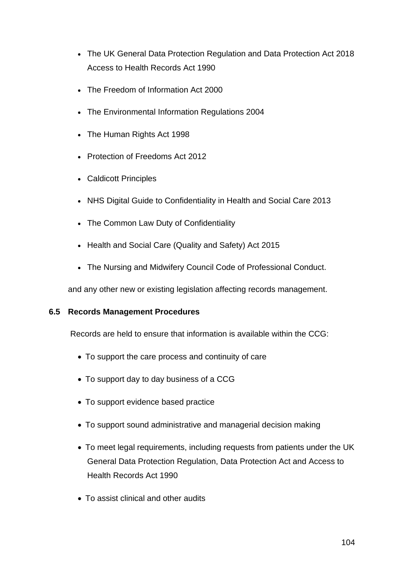- The UK General Data Protection Regulation and Data Protection Act 2018 Access to Health Records Act 1990
- The Freedom of Information Act 2000
- The Environmental Information Regulations 2004
- The Human Rights Act 1998
- Protection of Freedoms Act 2012
- Caldicott Principles
- NHS Digital Guide to Confidentiality in Health and Social Care 2013
- The Common Law Duty of Confidentiality
- Health and Social Care (Quality and Safety) Act 2015
- The Nursing and Midwifery Council Code of Professional Conduct.

and any other new or existing legislation affecting records management.

#### **6.5 Records Management Procedures**

Records are held to ensure that information is available within the CCG:

- To support the care process and continuity of care
- To support day to day business of a CCG
- To support evidence based practice
- To support sound administrative and managerial decision making
- To meet legal requirements, including requests from patients under the UK General Data Protection Regulation, Data Protection Act and Access to Health Records Act 1990
- To assist clinical and other audits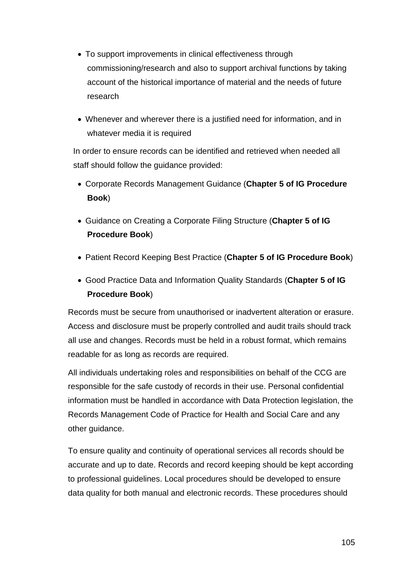- To support improvements in clinical effectiveness through commissioning/research and also to support archival functions by taking account of the historical importance of material and the needs of future research
- Whenever and wherever there is a justified need for information, and in whatever media it is required

In order to ensure records can be identified and retrieved when needed all staff should follow the guidance provided:

- Corporate Records Management Guidance (**Chapter 5 of IG Procedure Book**)
- Guidance on Creating a Corporate Filing Structure (**Chapter 5 of IG Procedure Book**)
- Patient Record Keeping Best Practice (**Chapter 5 of IG Procedure Book**)
- Good Practice Data and Information Quality Standards (**Chapter 5 of IG Procedure Book**)

Records must be secure from unauthorised or inadvertent alteration or erasure. Access and disclosure must be properly controlled and audit trails should track all use and changes. Records must be held in a robust format, which remains readable for as long as records are required.

All individuals undertaking roles and responsibilities on behalf of the CCG are responsible for the safe custody of records in their use. Personal confidential information must be handled in accordance with Data Protection legislation, the Records Management Code of Practice for Health and Social Care and any other guidance.

To ensure quality and continuity of operational services all records should be accurate and up to date. Records and record keeping should be kept according to professional guidelines. Local procedures should be developed to ensure data quality for both manual and electronic records. These procedures should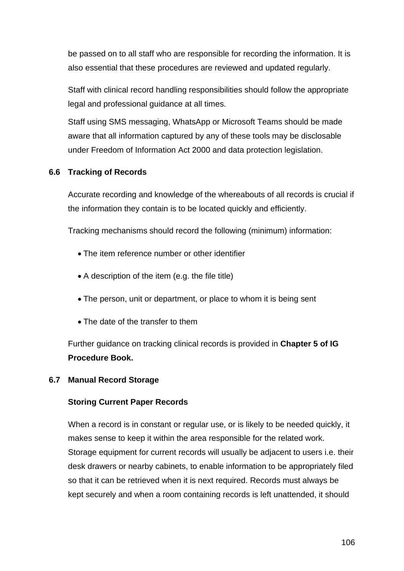be passed on to all staff who are responsible for recording the information. It is also essential that these procedures are reviewed and updated regularly.

Staff with clinical record handling responsibilities should follow the appropriate legal and professional guidance at all times.

Staff using SMS messaging, WhatsApp or Microsoft Teams should be made aware that all information captured by any of these tools may be disclosable under Freedom of Information Act 2000 and data protection legislation.

#### **6.6 Tracking of Records**

Accurate recording and knowledge of the whereabouts of all records is crucial if the information they contain is to be located quickly and efficiently.

Tracking mechanisms should record the following (minimum) information:

- The item reference number or other identifier
- A description of the item (e.g. the file title)
- The person, unit or department, or place to whom it is being sent
- The date of the transfer to them

Further guidance on tracking clinical records is provided in **Chapter 5 of IG Procedure Book.**

#### **6.7 Manual Record Storage**

#### **Storing Current Paper Records**

When a record is in constant or regular use, or is likely to be needed quickly, it makes sense to keep it within the area responsible for the related work. Storage equipment for current records will usually be adjacent to users i.e. their desk drawers or nearby cabinets, to enable information to be appropriately filed so that it can be retrieved when it is next required. Records must always be kept securely and when a room containing records is left unattended, it should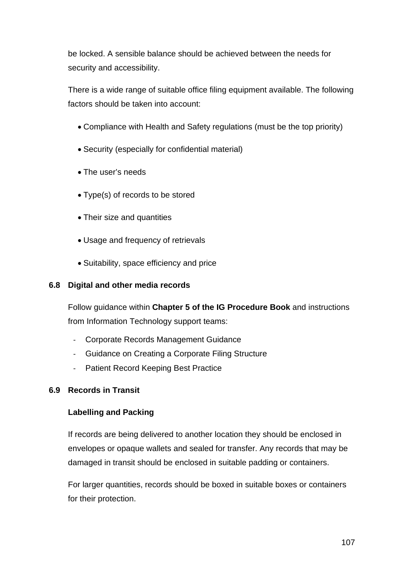be locked. A sensible balance should be achieved between the needs for security and accessibility.

There is a wide range of suitable office filing equipment available. The following factors should be taken into account:

- Compliance with Health and Safety regulations (must be the top priority)
- Security (especially for confidential material)
- The user's needs
- Type(s) of records to be stored
- Their size and quantities
- Usage and frequency of retrievals
- Suitability, space efficiency and price

#### **6.8 Digital and other media records**

Follow guidance within **Chapter 5 of the IG Procedure Book** and instructions from Information Technology support teams:

- Corporate Records Management Guidance
- Guidance on Creating a Corporate Filing Structure
- Patient Record Keeping Best Practice

#### **6.9 Records in Transit**

#### **Labelling and Packing**

If records are being delivered to another location they should be enclosed in envelopes or opaque wallets and sealed for transfer. Any records that may be damaged in transit should be enclosed in suitable padding or containers.

For larger quantities, records should be boxed in suitable boxes or containers for their protection.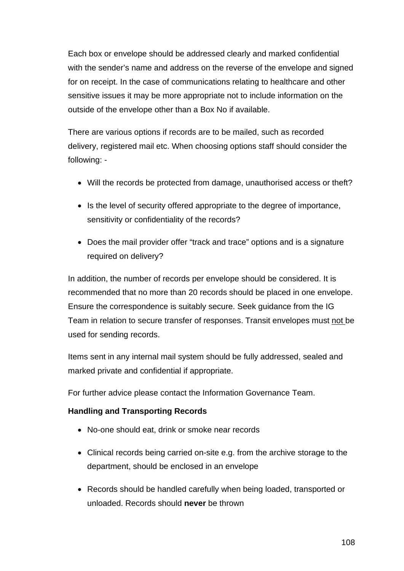Each box or envelope should be addressed clearly and marked confidential with the sender's name and address on the reverse of the envelope and signed for on receipt. In the case of communications relating to healthcare and other sensitive issues it may be more appropriate not to include information on the outside of the envelope other than a Box No if available.

There are various options if records are to be mailed, such as recorded delivery, registered mail etc. When choosing options staff should consider the following: -

- Will the records be protected from damage, unauthorised access or theft?
- Is the level of security offered appropriate to the degree of importance, sensitivity or confidentiality of the records?
- Does the mail provider offer "track and trace" options and is a signature required on delivery?

In addition, the number of records per envelope should be considered. It is recommended that no more than 20 records should be placed in one envelope. Ensure the correspondence is suitably secure. Seek guidance from the IG Team in relation to secure transfer of responses. Transit envelopes must not be used for sending records.

Items sent in any internal mail system should be fully addressed, sealed and marked private and confidential if appropriate.

For further advice please contact the Information Governance Team.

## **Handling and Transporting Records**

- No-one should eat, drink or smoke near records
- Clinical records being carried on-site e.g. from the archive storage to the department, should be enclosed in an envelope
- Records should be handled carefully when being loaded, transported or unloaded. Records should **never** be thrown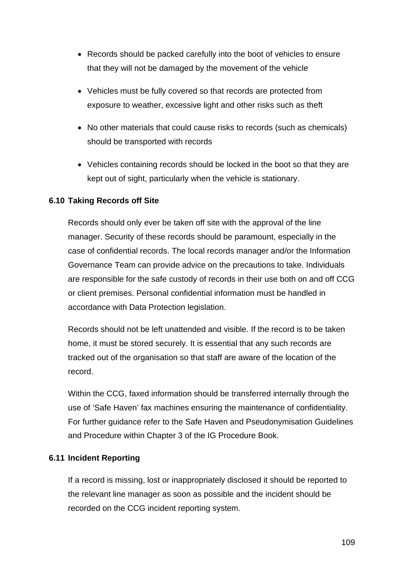- Records should be packed carefully into the boot of vehicles to ensure that they will not be damaged by the movement of the vehicle
- Vehicles must be fully covered so that records are protected from exposure to weather, excessive light and other risks such as theft
- No other materials that could cause risks to records (such as chemicals) should be transported with records
- Vehicles containing records should be locked in the boot so that they are kept out of sight, particularly when the vehicle is stationary.

# **6.10 Taking Records off Site**

Records should only ever be taken off site with the approval of the line manager. Security of these records should be paramount, especially in the case of confidential records. The local records manager and/or the Information Governance Team can provide advice on the precautions to take. Individuals are responsible for the safe custody of records in their use both on and off CCG or client premises. Personal confidential information must be handled in accordance with Data Protection legislation.

Records should not be left unattended and visible. If the record is to be taken home, it must be stored securely. It is essential that any such records are tracked out of the organisation so that staff are aware of the location of the record.

Within the CCG, faxed information should be transferred internally through the use of 'Safe Haven' fax machines ensuring the maintenance of confidentiality. For further guidance refer to the Safe Haven and Pseudonymisation Guidelines and Procedure within Chapter 3 of the IG Procedure Book.

# **6.11 Incident Reporting**

If a record is missing, lost or inappropriately disclosed it should be reported to the relevant line manager as soon as possible and the incident should be recorded on the CCG incident reporting system.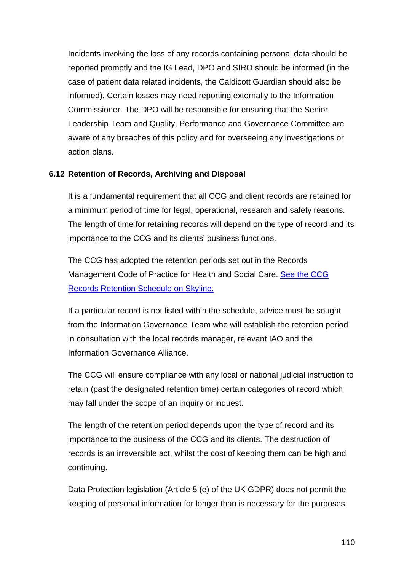Incidents involving the loss of any records containing personal data should be reported promptly and the IG Lead, DPO and SIRO should be informed (in the case of patient data related incidents, the Caldicott Guardian should also be informed). Certain losses may need reporting externally to the Information Commissioner. The DPO will be responsible for ensuring that the Senior Leadership Team and Quality, Performance and Governance Committee are aware of any breaches of this policy and for overseeing any investigations or action plans.

# **6.12 Retention of Records, Archiving and Disposal**

It is a fundamental requirement that all CCG and client records are retained for a minimum period of time for legal, operational, research and safety reasons. The length of time for retaining records will depend on the type of record and its importance to the CCG and its clients' business functions.

The CCG has adopted the retention periods set out in the Records Management Code of Practice for Health and Social Care. See the CCG [Records Retention Schedule on Skyline.](http://skyline.wakefieldccg.nhs.uk/Interact/Pages/Content/Document.aspx?id=7837)

If a particular record is not listed within the schedule, advice must be sought from the Information Governance Team who will establish the retention period in consultation with the local records manager, relevant IAO and the Information Governance Alliance.

The CCG will ensure compliance with any local or national judicial instruction to retain (past the designated retention time) certain categories of record which may fall under the scope of an inquiry or inquest.

The length of the retention period depends upon the type of record and its importance to the business of the CCG and its clients. The destruction of records is an irreversible act, whilst the cost of keeping them can be high and continuing.

Data Protection legislation (Article 5 (e) of the UK GDPR) does not permit the keeping of personal information for longer than is necessary for the purposes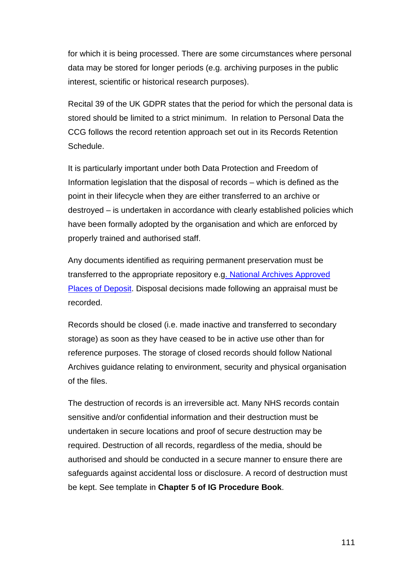for which it is being processed. There are some circumstances where personal data may be stored for longer periods (e.g. archiving purposes in the public interest, scientific or historical research purposes).

Recital 39 of the UK GDPR states that the period for which the personal data is stored should be limited to a strict minimum. In relation to Personal Data the CCG follows the record retention approach set out in its Records Retention Schedule.

It is particularly important under both Data Protection and Freedom of Information legislation that the disposal of records – which is defined as the point in their lifecycle when they are either transferred to an archive or destroyed – is undertaken in accordance with clearly established policies which have been formally adopted by the organisation and which are enforced by properly trained and authorised staff.

Any documents identified as requiring permanent preservation must be transferred to the appropriate repository e.[g. National Archives Approved](https://www.nationalarchives.gov.uk/archives-sector/legislation/approved-places-of-deposit/)  [Places of Deposit.](https://www.nationalarchives.gov.uk/archives-sector/legislation/approved-places-of-deposit/) Disposal decisions made following an appraisal must be recorded.

Records should be closed (i.e. made inactive and transferred to secondary storage) as soon as they have ceased to be in active use other than for reference purposes. The storage of closed records should follow National Archives guidance relating to environment, security and physical organisation of the files.

The destruction of records is an irreversible act. Many NHS records contain sensitive and/or confidential information and their destruction must be undertaken in secure locations and proof of secure destruction may be required. Destruction of all records, regardless of the media, should be authorised and should be conducted in a secure manner to ensure there are safeguards against accidental loss or disclosure. A record of destruction must be kept. See template in **Chapter 5 of IG Procedure Book**.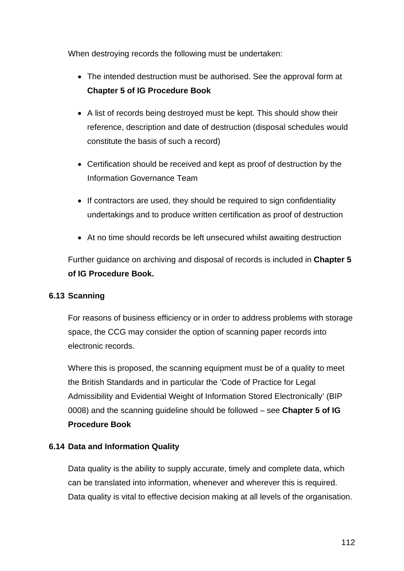When destroying records the following must be undertaken:

- The intended destruction must be authorised. See the approval form at **Chapter 5 of IG Procedure Book**
- A list of records being destroyed must be kept. This should show their reference, description and date of destruction (disposal schedules would constitute the basis of such a record)
- Certification should be received and kept as proof of destruction by the Information Governance Team
- If contractors are used, they should be required to sign confidentiality undertakings and to produce written certification as proof of destruction
- At no time should records be left unsecured whilst awaiting destruction

Further guidance on archiving and disposal of records is included in **Chapter 5 of IG Procedure Book.**

# **6.13 Scanning**

For reasons of business efficiency or in order to address problems with storage space, the CCG may consider the option of scanning paper records into electronic records.

Where this is proposed, the scanning equipment must be of a quality to meet the British Standards and in particular the 'Code of Practice for Legal Admissibility and Evidential Weight of Information Stored Electronically' (BIP 0008) and the scanning guideline should be followed – see **Chapter 5 of IG Procedure Book**

# **6.14 Data and Information Quality**

Data quality is the ability to supply accurate, timely and complete data, which can be translated into information, whenever and wherever this is required. Data quality is vital to effective decision making at all levels of the organisation.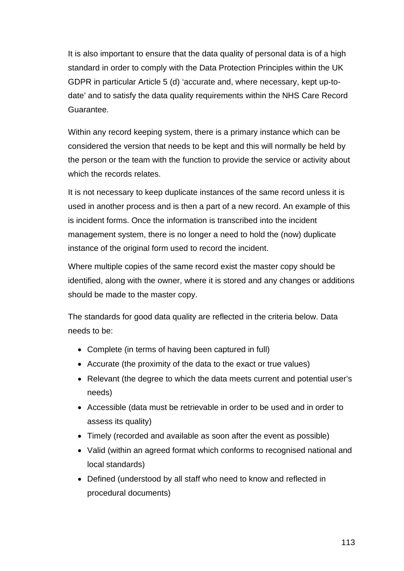It is also important to ensure that the data quality of personal data is of a high standard in order to comply with the Data Protection Principles within the UK GDPR in particular Article 5 (d) 'accurate and, where necessary, kept up-todate' and to satisfy the data quality requirements within the NHS Care Record Guarantee.

Within any record keeping system, there is a primary instance which can be considered the version that needs to be kept and this will normally be held by the person or the team with the function to provide the service or activity about which the records relates.

It is not necessary to keep duplicate instances of the same record unless it is used in another process and is then a part of a new record. An example of this is incident forms. Once the information is transcribed into the incident management system, there is no longer a need to hold the (now) duplicate instance of the original form used to record the incident.

Where multiple copies of the same record exist the master copy should be identified, along with the owner, where it is stored and any changes or additions should be made to the master copy.

The standards for good data quality are reflected in the criteria below. Data needs to be:

- Complete (in terms of having been captured in full)
- Accurate (the proximity of the data to the exact or true values)
- Relevant (the degree to which the data meets current and potential user's needs)
- Accessible (data must be retrievable in order to be used and in order to assess its quality)
- Timely (recorded and available as soon after the event as possible)
- Valid (within an agreed format which conforms to recognised national and local standards)
- Defined (understood by all staff who need to know and reflected in procedural documents)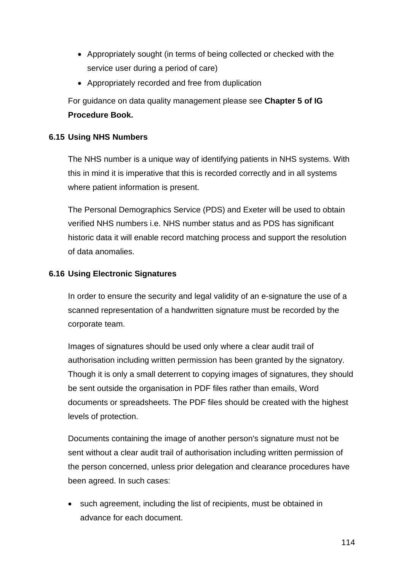- Appropriately sought (in terms of being collected or checked with the service user during a period of care)
- Appropriately recorded and free from duplication

For guidance on data quality management please see **Chapter 5 of IG Procedure Book.**

# **6.15 Using NHS Numbers**

The NHS number is a unique way of identifying patients in NHS systems. With this in mind it is imperative that this is recorded correctly and in all systems where patient information is present.

The Personal Demographics Service (PDS) and Exeter will be used to obtain verified NHS numbers i.e. NHS number status and as PDS has significant historic data it will enable record matching process and support the resolution of data anomalies.

# **6.16 Using Electronic Signatures**

In order to ensure the security and legal validity of an e-signature the use of a scanned representation of a handwritten signature must be recorded by the corporate team.

Images of signatures should be used only where a clear audit trail of authorisation including written permission has been granted by the signatory. Though it is only a small deterrent to copying images of signatures, they should be sent outside the organisation in PDF files rather than emails, Word documents or spreadsheets. The PDF files should be created with the highest levels of protection.

Documents containing the image of another person's signature must not be sent without a clear audit trail of authorisation including written permission of the person concerned, unless prior delegation and clearance procedures have been agreed. In such cases:

• such agreement, including the list of recipients, must be obtained in advance for each document.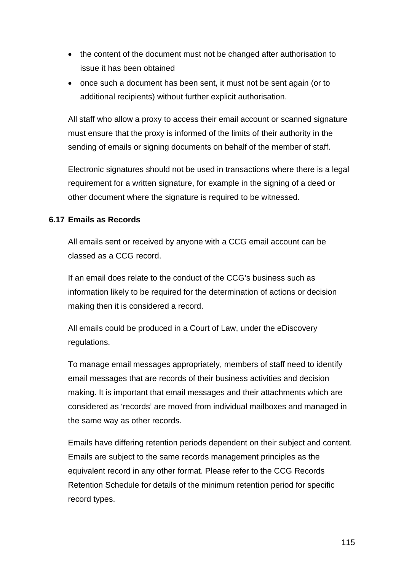- the content of the document must not be changed after authorisation to issue it has been obtained
- once such a document has been sent, it must not be sent again (or to additional recipients) without further explicit authorisation.

All staff who allow a proxy to access their email account or scanned signature must ensure that the proxy is informed of the limits of their authority in the sending of emails or signing documents on behalf of the member of staff.

Electronic signatures should not be used in transactions where there is a legal requirement for a written signature, for example in the signing of a deed or other document where the signature is required to be witnessed.

# **6.17 Emails as Records**

All emails sent or received by anyone with a CCG email account can be classed as a CCG record.

If an email does relate to the conduct of the CCG's business such as information likely to be required for the determination of actions or decision making then it is considered a record.

All emails could be produced in a Court of Law, under the eDiscovery regulations.

To manage email messages appropriately, members of staff need to identify email messages that are records of their business activities and decision making. It is important that email messages and their attachments which are considered as 'records' are moved from individual mailboxes and managed in the same way as other records.

Emails have differing retention periods dependent on their subject and content. Emails are subject to the same records management principles as the equivalent record in any other format. Please refer to the CCG Records Retention Schedule for details of the minimum retention period for specific record types.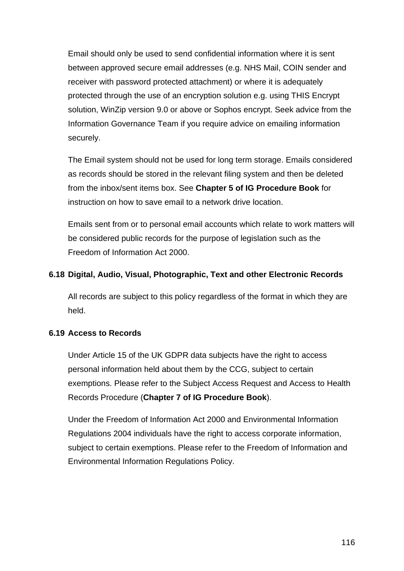Email should only be used to send confidential information where it is sent between approved secure email addresses (e.g. NHS Mail, COIN sender and receiver with password protected attachment) or where it is adequately protected through the use of an encryption solution e.g. using THIS Encrypt solution, WinZip version 9.0 or above or Sophos encrypt. Seek advice from the Information Governance Team if you require advice on emailing information securely.

The Email system should not be used for long term storage. Emails considered as records should be stored in the relevant filing system and then be deleted from the inbox/sent items box. See **Chapter 5 of IG Procedure Book** for instruction on how to save email to a network drive location.

Emails sent from or to personal email accounts which relate to work matters will be considered public records for the purpose of legislation such as the Freedom of Information Act 2000.

# **6.18 Digital, Audio, Visual, Photographic, Text and other Electronic Records**

All records are subject to this policy regardless of the format in which they are held.

# **6.19 Access to Records**

Under Article 15 of the UK GDPR data subjects have the right to access personal information held about them by the CCG, subject to certain exemptions. Please refer to the Subject Access Request and Access to Health Records Procedure (**Chapter 7 of IG Procedure Book**).

Under the Freedom of Information Act 2000 and Environmental Information Regulations 2004 individuals have the right to access corporate information, subject to certain exemptions. Please refer to the Freedom of Information and Environmental Information Regulations Policy.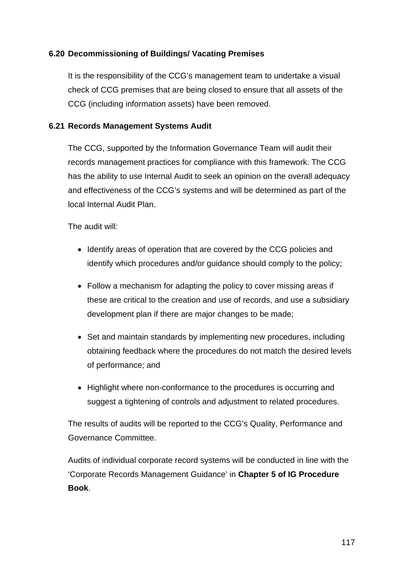# **6.20 Decommissioning of Buildings/ Vacating Premises**

It is the responsibility of the CCG's management team to undertake a visual check of CCG premises that are being closed to ensure that all assets of the CCG (including information assets) have been removed.

# **6.21 Records Management Systems Audit**

The CCG, supported by the Information Governance Team will audit their records management practices for compliance with this framework. The CCG has the ability to use Internal Audit to seek an opinion on the overall adequacy and effectiveness of the CCG's systems and will be determined as part of the local Internal Audit Plan.

The audit will:

- Identify areas of operation that are covered by the CCG policies and identify which procedures and/or guidance should comply to the policy;
- Follow a mechanism for adapting the policy to cover missing areas if these are critical to the creation and use of records, and use a subsidiary development plan if there are major changes to be made;
- Set and maintain standards by implementing new procedures, including obtaining feedback where the procedures do not match the desired levels of performance; and
- Highlight where non-conformance to the procedures is occurring and suggest a tightening of controls and adjustment to related procedures.

The results of audits will be reported to the CCG's Quality, Performance and Governance Committee.

Audits of individual corporate record systems will be conducted in line with the 'Corporate Records Management Guidance' in **Chapter 5 of IG Procedure Book**.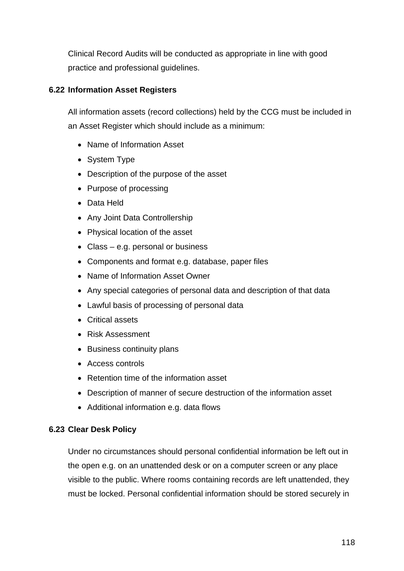Clinical Record Audits will be conducted as appropriate in line with good practice and professional guidelines.

# **6.22 Information Asset Registers**

All information assets (record collections) held by the CCG must be included in an Asset Register which should include as a minimum:

- Name of Information Asset
- System Type
- Description of the purpose of the asset
- Purpose of processing
- Data Held
- Any Joint Data Controllership
- Physical location of the asset
- Class e.g. personal or business
- Components and format e.g. database, paper files
- Name of Information Asset Owner
- Any special categories of personal data and description of that data
- Lawful basis of processing of personal data
- Critical assets
- Risk Assessment
- Business continuity plans
- Access controls
- Retention time of the information asset
- Description of manner of secure destruction of the information asset
- Additional information e.g. data flows

# **6.23 Clear Desk Policy**

Under no circumstances should personal confidential information be left out in the open e.g. on an unattended desk or on a computer screen or any place visible to the public. Where rooms containing records are left unattended, they must be locked. Personal confidential information should be stored securely in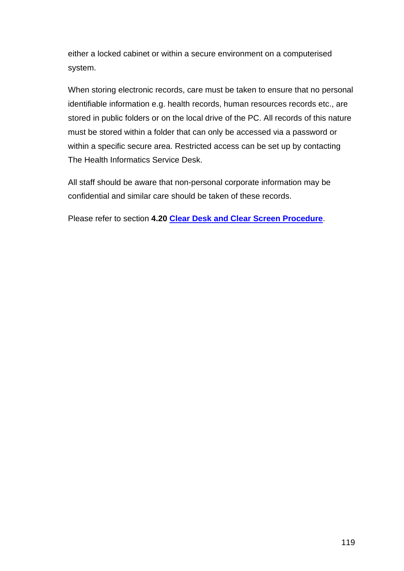either a locked cabinet or within a secure environment on a computerised system.

When storing electronic records, care must be taken to ensure that no personal identifiable information e.g. health records, human resources records etc., are stored in public folders or on the local drive of the PC. All records of this nature must be stored within a folder that can only be accessed via a password or within a specific secure area. Restricted access can be set up by contacting The Health Informatics Service Desk.

All staff should be aware that non-personal corporate information may be confidential and similar care should be taken of these records.

Please refer to section **4.20 Clear Desk and Clear Screen Procedure**.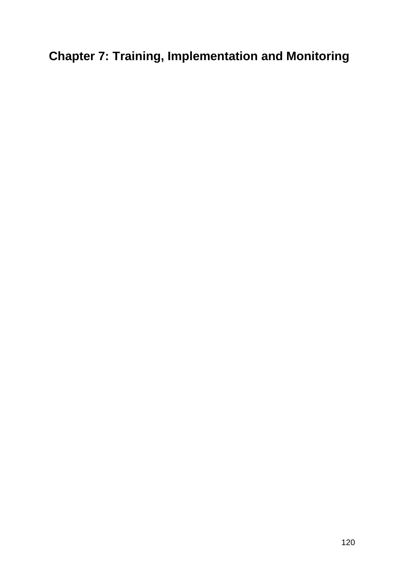# **Chapter 7: Training, Implementation and Monitoring**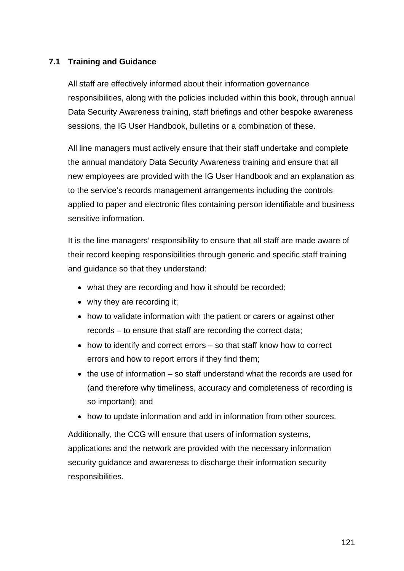# **7.1 Training and Guidance**

All staff are effectively informed about their information governance responsibilities, along with the policies included within this book, through annual Data Security Awareness training, staff briefings and other bespoke awareness sessions, the IG User Handbook, bulletins or a combination of these.

All line managers must actively ensure that their staff undertake and complete the annual mandatory Data Security Awareness training and ensure that all new employees are provided with the IG User Handbook and an explanation as to the service's records management arrangements including the controls applied to paper and electronic files containing person identifiable and business sensitive information.

It is the line managers' responsibility to ensure that all staff are made aware of their record keeping responsibilities through generic and specific staff training and guidance so that they understand:

- what they are recording and how it should be recorded;
- why they are recording it:
- how to validate information with the patient or carers or against other records – to ensure that staff are recording the correct data;
- how to identify and correct errors so that staff know how to correct errors and how to report errors if they find them;
- the use of information so staff understand what the records are used for (and therefore why timeliness, accuracy and completeness of recording is so important); and
- how to update information and add in information from other sources.

Additionally, the CCG will ensure that users of information systems, applications and the network are provided with the necessary information security guidance and awareness to discharge their information security responsibilities.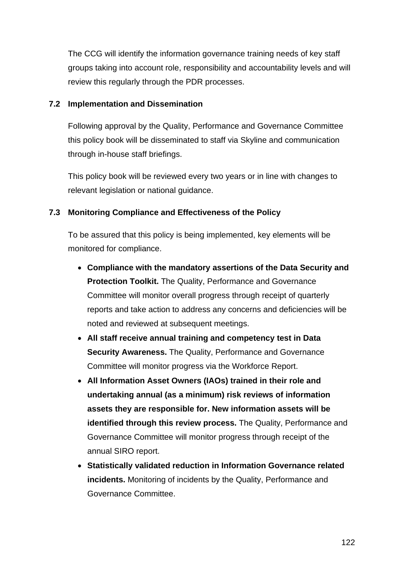The CCG will identify the information governance training needs of key staff groups taking into account role, responsibility and accountability levels and will review this regularly through the PDR processes.

#### **7.2 Implementation and Dissemination**

Following approval by the Quality, Performance and Governance Committee this policy book will be disseminated to staff via Skyline and communication through in-house staff briefings.

This policy book will be reviewed every two years or in line with changes to relevant legislation or national guidance.

# **7.3 Monitoring Compliance and Effectiveness of the Policy**

To be assured that this policy is being implemented, key elements will be monitored for compliance.

- **Compliance with the mandatory assertions of the Data Security and Protection Toolkit.** The Quality, Performance and Governance Committee will monitor overall progress through receipt of quarterly reports and take action to address any concerns and deficiencies will be noted and reviewed at subsequent meetings.
- **All staff receive annual training and competency test in Data Security Awareness.** The Quality, Performance and Governance Committee will monitor progress via the Workforce Report.
- **All Information Asset Owners (IAOs) trained in their role and undertaking annual (as a minimum) risk reviews of information assets they are responsible for. New information assets will be identified through this review process.** The Quality, Performance and Governance Committee will monitor progress through receipt of the annual SIRO report.
- **Statistically validated reduction in Information Governance related incidents.** Monitoring of incidents by the Quality, Performance and Governance Committee.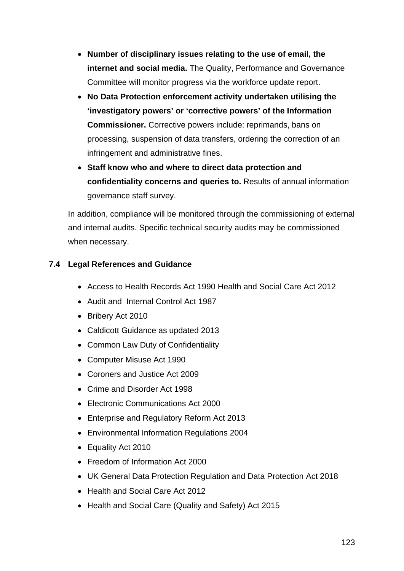- **Number of disciplinary issues relating to the use of email, the internet and social media.** The Quality, Performance and Governance Committee will monitor progress via the workforce update report.
- **No Data Protection enforcement activity undertaken utilising the 'investigatory powers' or 'corrective powers' of the Information Commissioner.** Corrective powers include: reprimands, bans on processing, suspension of data transfers, ordering the correction of an infringement and administrative fines.
- **Staff know who and where to direct data protection and confidentiality concerns and queries to.** Results of annual information governance staff survey.

In addition, compliance will be monitored through the commissioning of external and internal audits. Specific technical security audits may be commissioned when necessary.

# **7.4 Legal References and Guidance**

- Access to Health Records Act 1990 Health and Social Care Act 2012
- Audit and Internal Control Act 1987
- Bribery Act 2010
- Caldicott Guidance as updated 2013
- Common Law Duty of Confidentiality
- Computer Misuse Act 1990
- Coroners and Justice Act 2009
- Crime and Disorder Act 1998
- Electronic Communications Act 2000
- Enterprise and Regulatory Reform Act 2013
- Environmental Information Regulations 2004
- Equality Act 2010
- Freedom of Information Act 2000
- UK General Data Protection Regulation and Data Protection Act 2018
- Health and Social Care Act 2012
- Health and Social Care (Quality and Safety) Act 2015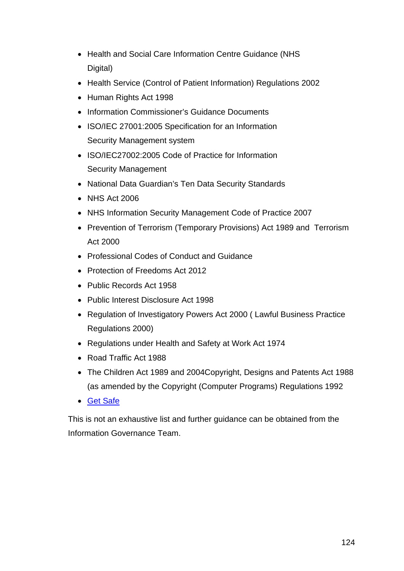- Health and Social Care Information Centre Guidance (NHS Digital)
- Health Service (Control of Patient Information) Regulations 2002
- Human Rights Act 1998
- Information Commissioner's Guidance Documents
- ISO/IEC 27001:2005 Specification for an Information Security Management system
- ISO/IEC27002:2005 Code of Practice for Information Security Management
- National Data Guardian's Ten Data Security Standards
- NHS Act 2006
- NHS Information Security Management Code of Practice 2007
- Prevention of Terrorism (Temporary Provisions) Act 1989 and Terrorism Act 2000
- Professional Codes of Conduct and Guidance
- Protection of Freedoms Act 2012
- Public Records Act 1958
- Public Interest Disclosure Act 1998
- Regulation of Investigatory Powers Act 2000 ( Lawful Business Practice Regulations 2000)
- Regulations under Health and Safety at Work Act 1974
- Road Traffic Act 1988
- The Children Act 1989 and 2004Copyright, Designs and Patents Act 1988 (as amended by the Copyright (Computer Programs) Regulations 1992
- [Get Safe](http://www.getsafeonline.org/)

This is not an exhaustive list and further guidance can be obtained from the Information Governance Team.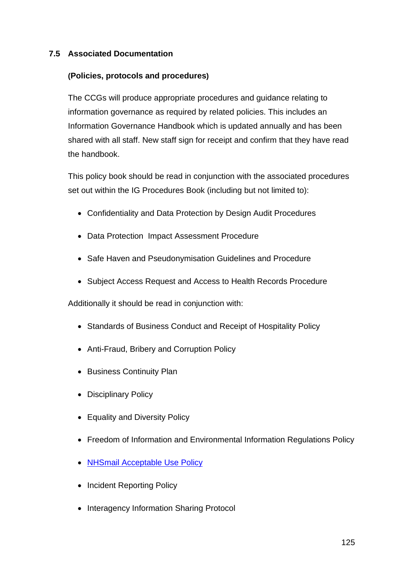# **7.5 Associated Documentation**

# **(Policies, protocols and procedures)**

The CCGs will produce appropriate procedures and guidance relating to information governance as required by related policies. This includes an Information Governance Handbook which is updated annually and has been shared with all staff. New staff sign for receipt and confirm that they have read the handbook.

This policy book should be read in conjunction with the associated procedures set out within the IG Procedures Book (including but not limited to):

- Confidentiality and Data Protection by Design Audit Procedures
- Data Protection Impact Assessment Procedure
- Safe Haven and Pseudonymisation Guidelines and Procedure
- Subject Access Request and Access to Health Records Procedure

Additionally it should be read in conjunction with:

- Standards of Business Conduct and Receipt of Hospitality Policy
- Anti-Fraud, Bribery and Corruption Policy
- Business Continuity Plan
- Disciplinary Policy
- Equality and Diversity Policy
- Freedom of Information and Environmental Information Regulations Policy
- [NHSmail Acceptable Use Policy](https://digital.nhs.uk/services/nhsmail/nhsmail-policies)
- Incident Reporting Policy
- Interagency Information Sharing Protocol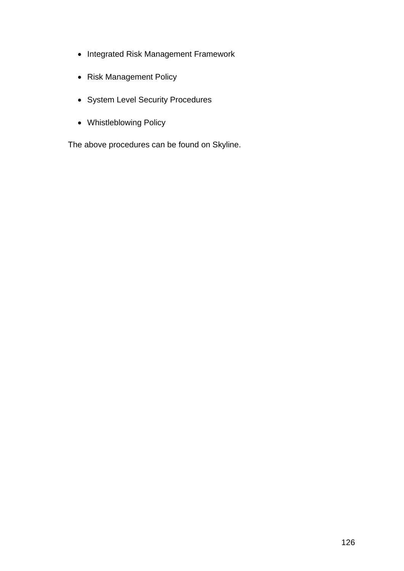- Integrated Risk Management Framework
- Risk Management Policy
- System Level Security Procedures
- Whistleblowing Policy

The above procedures can be found on Skyline.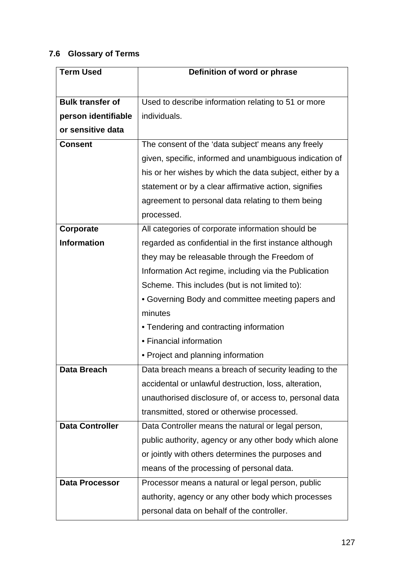# **7.6 Glossary of Terms**

| <b>Term Used</b>        | Definition of word or phrase                             |  |
|-------------------------|----------------------------------------------------------|--|
|                         |                                                          |  |
| <b>Bulk transfer of</b> | Used to describe information relating to 51 or more      |  |
| person identifiable     | individuals.                                             |  |
| or sensitive data       |                                                          |  |
| <b>Consent</b>          | The consent of the 'data subject' means any freely       |  |
|                         | given, specific, informed and unambiguous indication of  |  |
|                         | his or her wishes by which the data subject, either by a |  |
|                         | statement or by a clear affirmative action, signifies    |  |
|                         | agreement to personal data relating to them being        |  |
|                         | processed.                                               |  |
| Corporate               | All categories of corporate information should be        |  |
| <b>Information</b>      | regarded as confidential in the first instance although  |  |
|                         | they may be releasable through the Freedom of            |  |
|                         | Information Act regime, including via the Publication    |  |
|                         | Scheme. This includes (but is not limited to):           |  |
|                         | • Governing Body and committee meeting papers and        |  |
|                         | minutes                                                  |  |
|                         | • Tendering and contracting information                  |  |
|                         | • Financial information                                  |  |
|                         | • Project and planning information                       |  |
| <b>Data Breach</b>      | Data breach means a breach of security leading to the    |  |
|                         | accidental or unlawful destruction, loss, alteration,    |  |
|                         | unauthorised disclosure of, or access to, personal data  |  |
|                         | transmitted, stored or otherwise processed.              |  |
| <b>Data Controller</b>  | Data Controller means the natural or legal person,       |  |
|                         | public authority, agency or any other body which alone   |  |
|                         | or jointly with others determines the purposes and       |  |
|                         | means of the processing of personal data.                |  |
| <b>Data Processor</b>   | Processor means a natural or legal person, public        |  |
|                         | authority, agency or any other body which processes      |  |
|                         | personal data on behalf of the controller.               |  |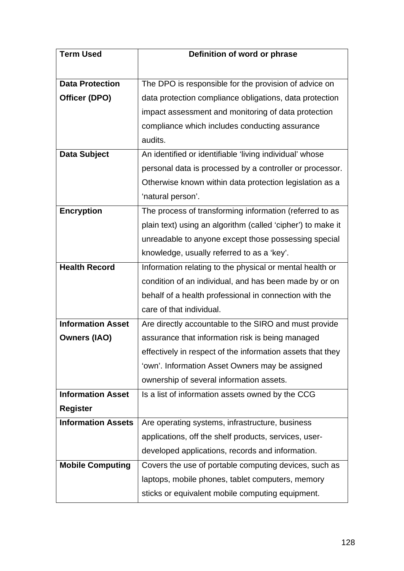| <b>Term Used</b>          | Definition of word or phrase                                |  |
|---------------------------|-------------------------------------------------------------|--|
|                           |                                                             |  |
| <b>Data Protection</b>    | The DPO is responsible for the provision of advice on       |  |
| Officer (DPO)             | data protection compliance obligations, data protection     |  |
|                           | impact assessment and monitoring of data protection         |  |
|                           | compliance which includes conducting assurance              |  |
|                           | audits.                                                     |  |
| <b>Data Subject</b>       | An identified or identifiable 'living individual' whose     |  |
|                           | personal data is processed by a controller or processor.    |  |
|                           | Otherwise known within data protection legislation as a     |  |
|                           | 'natural person'.                                           |  |
| <b>Encryption</b>         | The process of transforming information (referred to as     |  |
|                           | plain text) using an algorithm (called 'cipher') to make it |  |
|                           | unreadable to anyone except those possessing special        |  |
|                           | knowledge, usually referred to as a 'key'.                  |  |
| <b>Health Record</b>      | Information relating to the physical or mental health or    |  |
|                           | condition of an individual, and has been made by or on      |  |
|                           | behalf of a health professional in connection with the      |  |
|                           | care of that individual.                                    |  |
| <b>Information Asset</b>  | Are directly accountable to the SIRO and must provide       |  |
| <b>Owners (IAO)</b>       | assurance that information risk is being managed            |  |
|                           | effectively in respect of the information assets that they  |  |
|                           | 'own'. Information Asset Owners may be assigned             |  |
|                           | ownership of several information assets.                    |  |
| <b>Information Asset</b>  | Is a list of information assets owned by the CCG            |  |
| <b>Register</b>           |                                                             |  |
| <b>Information Assets</b> | Are operating systems, infrastructure, business             |  |
|                           | applications, off the shelf products, services, user-       |  |
|                           | developed applications, records and information.            |  |
| <b>Mobile Computing</b>   | Covers the use of portable computing devices, such as       |  |
|                           | laptops, mobile phones, tablet computers, memory            |  |
|                           | sticks or equivalent mobile computing equipment.            |  |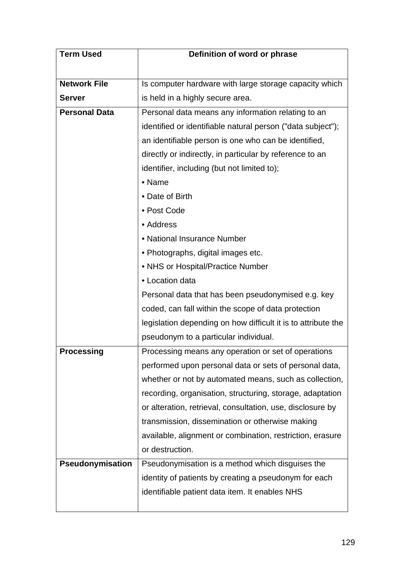| <b>Term Used</b>     | Definition of word or phrase                                  |  |
|----------------------|---------------------------------------------------------------|--|
|                      |                                                               |  |
| <b>Network File</b>  | Is computer hardware with large storage capacity which        |  |
| <b>Server</b>        | is held in a highly secure area.                              |  |
| <b>Personal Data</b> | Personal data means any information relating to an            |  |
|                      | identified or identifiable natural person ("data subject");   |  |
|                      | an identifiable person is one who can be identified,          |  |
|                      | directly or indirectly, in particular by reference to an      |  |
|                      | identifier, including (but not limited to);                   |  |
|                      | • Name                                                        |  |
|                      | • Date of Birth                                               |  |
|                      | • Post Code                                                   |  |
|                      | • Address                                                     |  |
|                      | • National Insurance Number                                   |  |
|                      | • Photographs, digital images etc.                            |  |
|                      | • NHS or Hospital/Practice Number                             |  |
|                      | • Location data                                               |  |
|                      | Personal data that has been pseudonymised e.g. key            |  |
|                      | coded, can fall within the scope of data protection           |  |
|                      | legislation depending on how difficult it is to attribute the |  |
|                      | pseudonym to a particular individual.                         |  |
| <b>Processing</b>    | Processing means any operation or set of operations           |  |
|                      | performed upon personal data or sets of personal data,        |  |
|                      | whether or not by automated means, such as collection,        |  |
|                      | recording, organisation, structuring, storage, adaptation     |  |
|                      | or alteration, retrieval, consultation, use, disclosure by    |  |
|                      | transmission, dissemination or otherwise making               |  |
|                      | available, alignment or combination, restriction, erasure     |  |
|                      | or destruction.                                               |  |
| Pseudonymisation     | Pseudonymisation is a method which disguises the              |  |
|                      | identity of patients by creating a pseudonym for each         |  |
|                      | identifiable patient data item. It enables NHS                |  |
|                      |                                                               |  |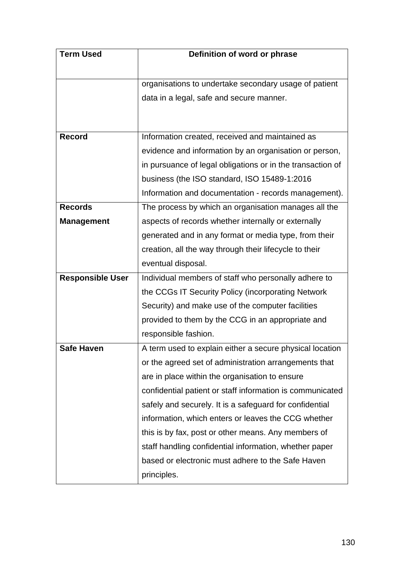| <b>Term Used</b>        | Definition of word or phrase                               |  |
|-------------------------|------------------------------------------------------------|--|
|                         |                                                            |  |
|                         | organisations to undertake secondary usage of patient      |  |
|                         | data in a legal, safe and secure manner.                   |  |
|                         |                                                            |  |
|                         |                                                            |  |
| Record                  | Information created, received and maintained as            |  |
|                         | evidence and information by an organisation or person,     |  |
|                         | in pursuance of legal obligations or in the transaction of |  |
|                         | business (the ISO standard, ISO 15489-1:2016               |  |
|                         | Information and documentation - records management).       |  |
| <b>Records</b>          | The process by which an organisation manages all the       |  |
| <b>Management</b>       | aspects of records whether internally or externally        |  |
|                         | generated and in any format or media type, from their      |  |
|                         | creation, all the way through their lifecycle to their     |  |
|                         | eventual disposal.                                         |  |
| <b>Responsible User</b> | Individual members of staff who personally adhere to       |  |
|                         | the CCGs IT Security Policy (incorporating Network         |  |
|                         | Security) and make use of the computer facilities          |  |
|                         | provided to them by the CCG in an appropriate and          |  |
|                         | responsible fashion.                                       |  |
| <b>Safe Haven</b>       | A term used to explain either a secure physical location   |  |
|                         | or the agreed set of administration arrangements that      |  |
|                         | are in place within the organisation to ensure             |  |
|                         | confidential patient or staff information is communicated  |  |
|                         | safely and securely. It is a safeguard for confidential    |  |
|                         | information, which enters or leaves the CCG whether        |  |
|                         | this is by fax, post or other means. Any members of        |  |
|                         | staff handling confidential information, whether paper     |  |
|                         | based or electronic must adhere to the Safe Haven          |  |
|                         | principles.                                                |  |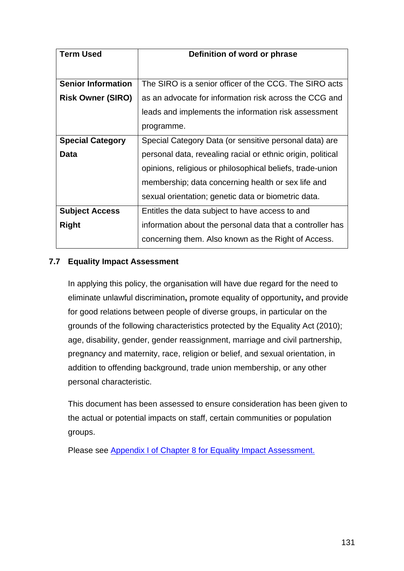| <b>Term Used</b>          | Definition of word or phrase                                |  |
|---------------------------|-------------------------------------------------------------|--|
|                           |                                                             |  |
| <b>Senior Information</b> | The SIRO is a senior officer of the CCG. The SIRO acts      |  |
| <b>Risk Owner (SIRO)</b>  | as an advocate for information risk across the CCG and      |  |
|                           | leads and implements the information risk assessment        |  |
|                           | programme.                                                  |  |
| <b>Special Category</b>   | Special Category Data (or sensitive personal data) are      |  |
| Data                      | personal data, revealing racial or ethnic origin, political |  |
|                           | opinions, religious or philosophical beliefs, trade-union   |  |
|                           | membership; data concerning health or sex life and          |  |
|                           | sexual orientation; genetic data or biometric data.         |  |
| <b>Subject Access</b>     | Entitles the data subject to have access to and             |  |
| <b>Right</b>              | information about the personal data that a controller has   |  |
|                           | concerning them. Also known as the Right of Access.         |  |

# **7.7 Equality Impact Assessment**

In applying this policy, the organisation will have due regard for the need to eliminate unlawful discrimination**,** promote equality of opportunity**,** and provide for good relations between people of diverse groups, in particular on the grounds of the following characteristics protected by the Equality Act (2010); age, disability, gender, gender reassignment, marriage and civil partnership, pregnancy and maternity, race, religion or belief, and sexual orientation, in addition to offending background, trade union membership, or any other personal characteristic.

This document has been assessed to ensure consideration has been given to the actual or potential impacts on staff, certain communities or population groups.

Please see Appendix I [of Chapter 8 for Equality Impact Assessment.](#page-150-0)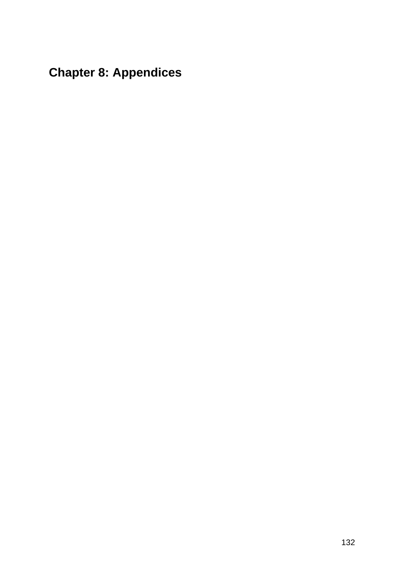# **Chapter 8: Appendices**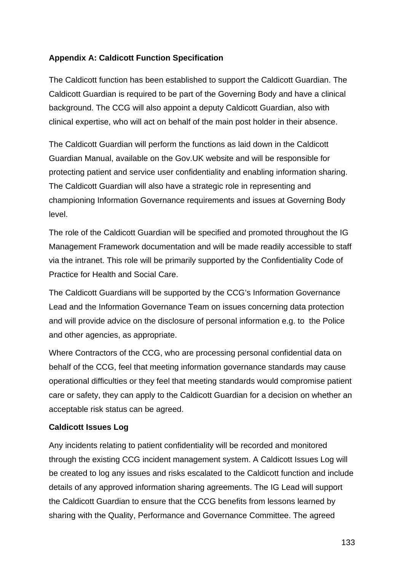# **Appendix A: Caldicott Function Specification**

The Caldicott function has been established to support the Caldicott Guardian. The Caldicott Guardian is required to be part of the Governing Body and have a clinical background. The CCG will also appoint a deputy Caldicott Guardian, also with clinical expertise, who will act on behalf of the main post holder in their absence.

The Caldicott Guardian will perform the functions as laid down in the Caldicott Guardian Manual, available on the Gov.UK website and will be responsible for protecting patient and service user confidentiality and enabling information sharing. The Caldicott Guardian will also have a strategic role in representing and championing Information Governance requirements and issues at Governing Body level.

The role of the Caldicott Guardian will be specified and promoted throughout the IG Management Framework documentation and will be made readily accessible to staff via the intranet. This role will be primarily supported by the Confidentiality Code of Practice for Health and Social Care.

The Caldicott Guardians will be supported by the CCG's Information Governance Lead and the Information Governance Team on issues concerning data protection and will provide advice on the disclosure of personal information e.g. to the Police and other agencies, as appropriate.

Where Contractors of the CCG, who are processing personal confidential data on behalf of the CCG, feel that meeting information governance standards may cause operational difficulties or they feel that meeting standards would compromise patient care or safety, they can apply to the Caldicott Guardian for a decision on whether an acceptable risk status can be agreed.

# **Caldicott Issues Log**

Any incidents relating to patient confidentiality will be recorded and monitored through the existing CCG incident management system. A Caldicott Issues Log will be created to log any issues and risks escalated to the Caldicott function and include details of any approved information sharing agreements. The IG Lead will support the Caldicott Guardian to ensure that the CCG benefits from lessons learned by sharing with the Quality, Performance and Governance Committee. The agreed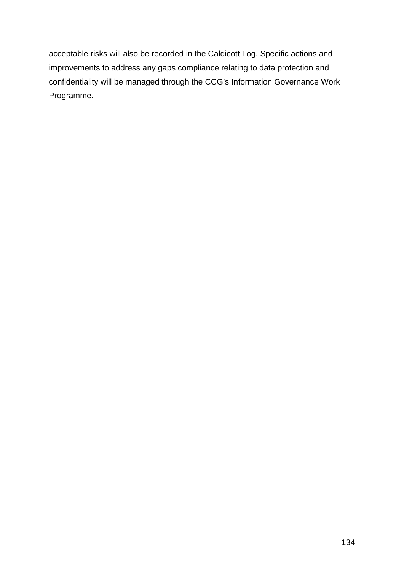acceptable risks will also be recorded in the Caldicott Log. Specific actions and improvements to address any gaps compliance relating to data protection and confidentiality will be managed through the CCG's Information Governance Work Programme.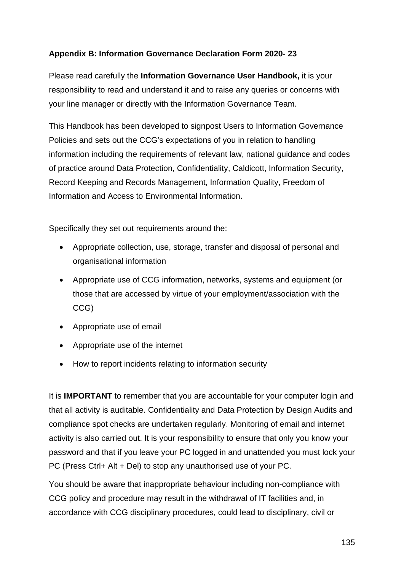# **Appendix B: Information Governance Declaration Form 2020- 23**

Please read carefully the **Information Governance User Handbook,** it is your responsibility to read and understand it and to raise any queries or concerns with your line manager or directly with the Information Governance Team.

This Handbook has been developed to signpost Users to Information Governance Policies and sets out the CCG's expectations of you in relation to handling information including the requirements of relevant law, national guidance and codes of practice around Data Protection, Confidentiality, Caldicott, Information Security, Record Keeping and Records Management, Information Quality, Freedom of Information and Access to Environmental Information.

Specifically they set out requirements around the:

- Appropriate collection, use, storage, transfer and disposal of personal and organisational information
- Appropriate use of CCG information, networks, systems and equipment (or those that are accessed by virtue of your employment/association with the CCG)
- Appropriate use of email
- Appropriate use of the internet
- How to report incidents relating to information security

It is **IMPORTANT** to remember that you are accountable for your computer login and that all activity is auditable. Confidentiality and Data Protection by Design Audits and compliance spot checks are undertaken regularly. Monitoring of email and internet activity is also carried out. It is your responsibility to ensure that only you know your password and that if you leave your PC logged in and unattended you must lock your PC (Press Ctrl+ Alt + Del) to stop any unauthorised use of your PC.

You should be aware that inappropriate behaviour including non-compliance with CCG policy and procedure may result in the withdrawal of IT facilities and, in accordance with CCG disciplinary procedures, could lead to disciplinary, civil or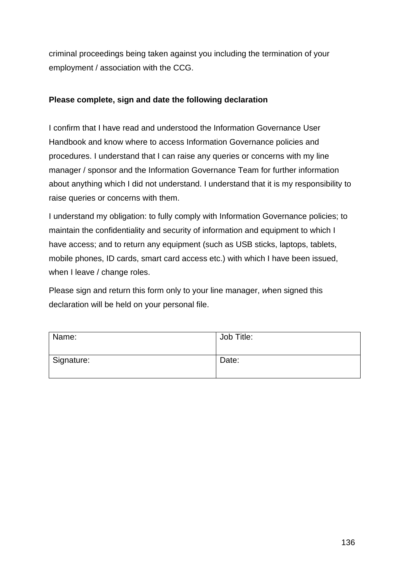criminal proceedings being taken against you including the termination of your employment / association with the CCG.

# **Please complete, sign and date the following declaration**

I confirm that I have read and understood the Information Governance User Handbook and know where to access Information Governance policies and procedures. I understand that I can raise any queries or concerns with my line manager / sponsor and the Information Governance Team for further information about anything which I did not understand. I understand that it is my responsibility to raise queries or concerns with them.

I understand my obligation: to fully comply with Information Governance policies; to maintain the confidentiality and security of information and equipment to which I have access; and to return any equipment (such as USB sticks, laptops, tablets, mobile phones, ID cards, smart card access etc.) with which I have been issued, when I leave / change roles.

Please sign and return this form only to your line manager, *w*hen signed this declaration will be held on your personal file.

| Name:      | Job Title: |
|------------|------------|
| Signature: | Date:      |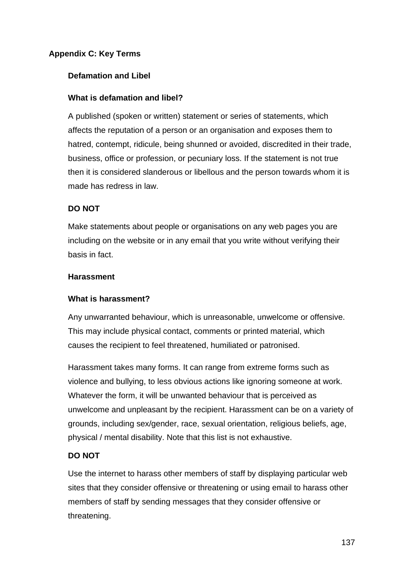# **Appendix C: Key Terms**

# **Defamation and Libel**

#### **What is defamation and libel?**

A published (spoken or written) statement or series of statements, which affects the reputation of a person or an organisation and exposes them to hatred, contempt, ridicule, being shunned or avoided, discredited in their trade, business, office or profession, or pecuniary loss. If the statement is not true then it is considered slanderous or libellous and the person towards whom it is made has redress in law.

# **DO NOT**

Make statements about people or organisations on any web pages you are including on the website or in any email that you write without verifying their basis in fact.

#### **Harassment**

# **What is harassment?**

Any unwarranted behaviour, which is unreasonable, unwelcome or offensive. This may include physical contact, comments or printed material, which causes the recipient to feel threatened, humiliated or patronised.

Harassment takes many forms. It can range from extreme forms such as violence and bullying, to less obvious actions like ignoring someone at work. Whatever the form, it will be unwanted behaviour that is perceived as unwelcome and unpleasant by the recipient. Harassment can be on a variety of grounds, including sex/gender, race, sexual orientation, religious beliefs, age, physical / mental disability. Note that this list is not exhaustive.

# **DO NOT**

Use the internet to harass other members of staff by displaying particular web sites that they consider offensive or threatening or using email to harass other members of staff by sending messages that they consider offensive or threatening.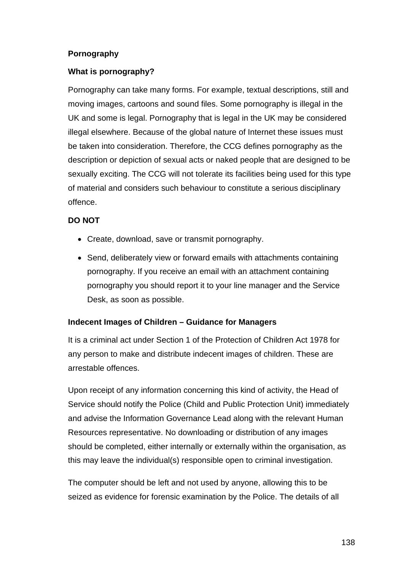# **Pornography**

# **What is pornography?**

Pornography can take many forms. For example, textual descriptions, still and moving images, cartoons and sound files. Some pornography is illegal in the UK and some is legal. Pornography that is legal in the UK may be considered illegal elsewhere. Because of the global nature of Internet these issues must be taken into consideration. Therefore, the CCG defines pornography as the description or depiction of sexual acts or naked people that are designed to be sexually exciting. The CCG will not tolerate its facilities being used for this type of material and considers such behaviour to constitute a serious disciplinary offence.

# **DO NOT**

- Create, download, save or transmit pornography.
- Send, deliberately view or forward emails with attachments containing pornography. If you receive an email with an attachment containing pornography you should report it to your line manager and the Service Desk, as soon as possible.

# **Indecent Images of Children – Guidance for Managers**

It is a criminal act under Section 1 of the Protection of Children Act 1978 for any person to make and distribute indecent images of children. These are arrestable offences.

Upon receipt of any information concerning this kind of activity, the Head of Service should notify the Police (Child and Public Protection Unit) immediately and advise the Information Governance Lead along with the relevant Human Resources representative. No downloading or distribution of any images should be completed, either internally or externally within the organisation, as this may leave the individual(s) responsible open to criminal investigation.

The computer should be left and not used by anyone, allowing this to be seized as evidence for forensic examination by the Police. The details of all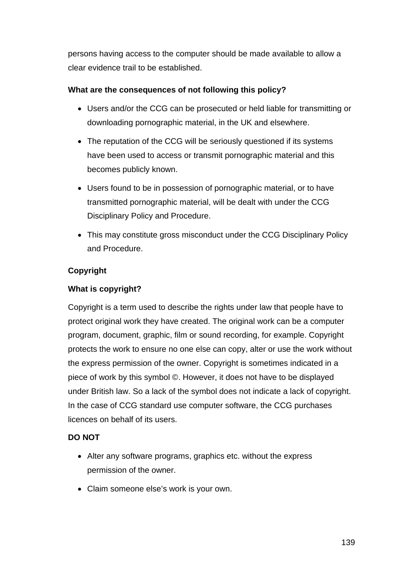persons having access to the computer should be made available to allow a clear evidence trail to be established.

# **What are the consequences of not following this policy?**

- Users and/or the CCG can be prosecuted or held liable for transmitting or downloading pornographic material, in the UK and elsewhere.
- The reputation of the CCG will be seriously questioned if its systems have been used to access or transmit pornographic material and this becomes publicly known.
- Users found to be in possession of pornographic material, or to have transmitted pornographic material, will be dealt with under the CCG Disciplinary Policy and Procedure.
- This may constitute gross misconduct under the CCG Disciplinary Policy and Procedure.

# **Copyright**

# **What is copyright?**

Copyright is a term used to describe the rights under law that people have to protect original work they have created. The original work can be a computer program, document, graphic, film or sound recording, for example. Copyright protects the work to ensure no one else can copy, alter or use the work without the express permission of the owner. Copyright is sometimes indicated in a piece of work by this symbol ©. However, it does not have to be displayed under British law. So a lack of the symbol does not indicate a lack of copyright. In the case of CCG standard use computer software, the CCG purchases licences on behalf of its users.

# **DO NOT**

- Alter any software programs, graphics etc. without the express permission of the owner.
- Claim someone else's work is your own.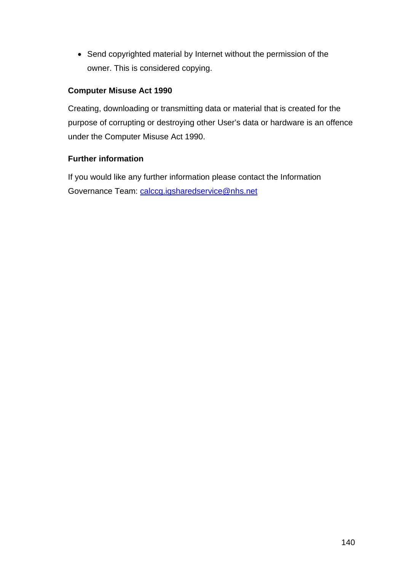• Send copyrighted material by Internet without the permission of the owner. This is considered copying.

# **Computer Misuse Act 1990**

Creating, downloading or transmitting data or material that is created for the purpose of corrupting or destroying other User's data or hardware is an offence under the Computer Misuse Act 1990.

# **Further information**

If you would like any further information please contact the Information Governance Team: [calccg.igsharedservice@nhs.net](mailto:calccg.igsharedservice@nhs.net)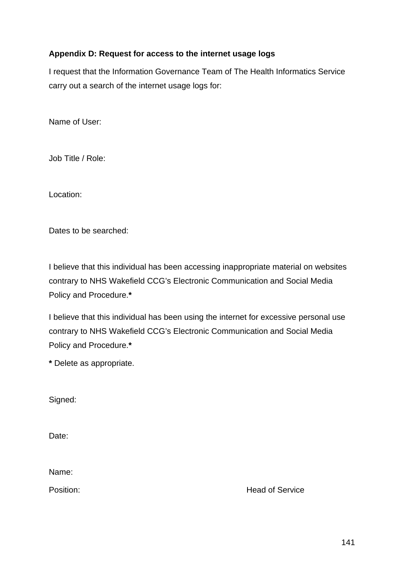# **Appendix D: Request for access to the internet usage logs**

I request that the Information Governance Team of The Health Informatics Service carry out a search of the internet usage logs for:

Name of User:

Job Title / Role:

Location:

Dates to be searched:

I believe that this individual has been accessing inappropriate material on websites contrary to NHS Wakefield CCG's Electronic Communication and Social Media Policy and Procedure.**\***

I believe that this individual has been using the internet for excessive personal use contrary to NHS Wakefield CCG's Electronic Communication and Social Media Policy and Procedure.**\***

**\*** Delete as appropriate.

Signed:

Date:

Name:

Position: Nead of Service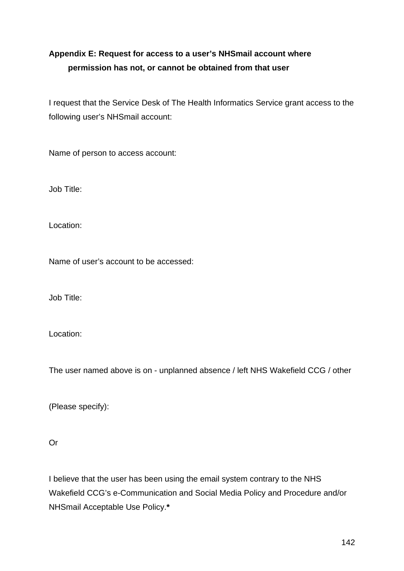# **Appendix E: Request for access to a user's NHSmail account where permission has not, or cannot be obtained from that user**

I request that the Service Desk of The Health Informatics Service grant access to the following user's NHSmail account:

Name of person to access account:

Job Title:

Location:

Name of user's account to be accessed:

Job Title:

Location:

The user named above is on - unplanned absence / left NHS Wakefield CCG / other

(Please specify):

Or

I believe that the user has been using the email system contrary to the NHS Wakefield CCG's e-Communication and Social Media Policy and Procedure and/or NHSmail Acceptable Use Policy.**\***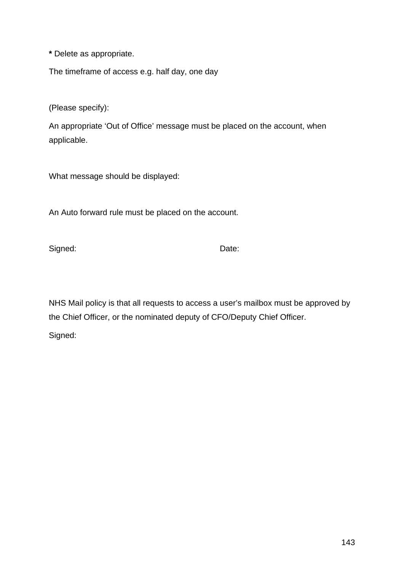**\*** Delete as appropriate.

The timeframe of access e.g. half day, one day

(Please specify):

An appropriate 'Out of Office' message must be placed on the account, when applicable.

What message should be displayed:

An Auto forward rule must be placed on the account.

Signed: Date:

NHS Mail policy is that all requests to access a user's mailbox must be approved by the Chief Officer, or the nominated deputy of CFO/Deputy Chief Officer.

Signed: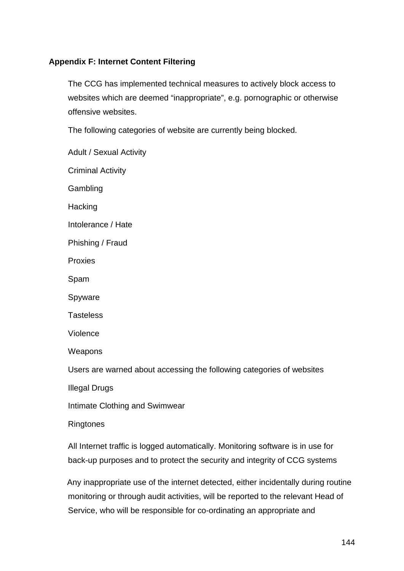# **Appendix F: Internet Content Filtering**

The CCG has implemented technical measures to actively block access to websites which are deemed "inappropriate", e.g. pornographic or otherwise offensive websites.

The following categories of website are currently being blocked.

Adult / Sexual Activity Criminal Activity **Gambling Hacking** Intolerance / Hate Phishing / Fraud Proxies Spam Spyware **Tasteless** Violence Weapons Users are warned about accessing the following categories of websites Illegal Drugs Intimate Clothing and Swimwear Ringtones

All Internet traffic is logged automatically. Monitoring software is in use for back-up purposes and to protect the security and integrity of CCG systems

Any inappropriate use of the internet detected, either incidentally during routine monitoring or through audit activities, will be reported to the relevant Head of Service, who will be responsible for co-ordinating an appropriate and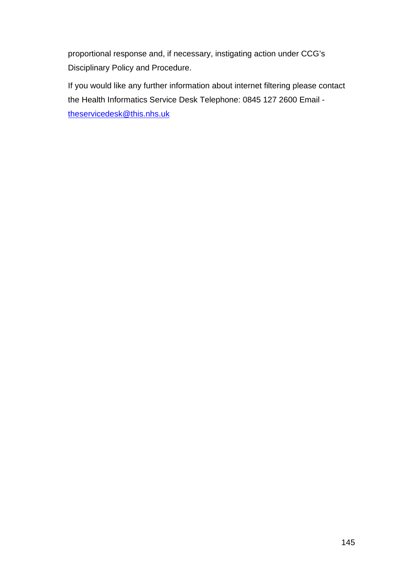proportional response and, if necessary, instigating action under CCG's Disciplinary Policy and Procedure.

If you would like any further information about internet filtering please contact the Health Informatics Service Desk Telephone: 0845 127 2600 Email [theservicedesk@this.nhs.uk](mailto:theservicedesk@this.nhs.uk)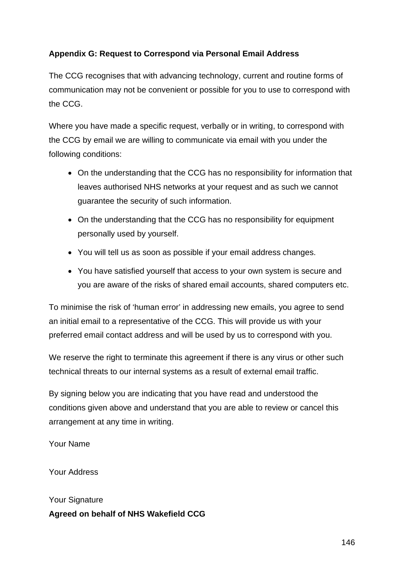# **Appendix G: Request to Correspond via Personal Email Address**

The CCG recognises that with advancing technology, current and routine forms of communication may not be convenient or possible for you to use to correspond with the CCG.

Where you have made a specific request, verbally or in writing, to correspond with the CCG by email we are willing to communicate via email with you under the following conditions:

- On the understanding that the CCG has no responsibility for information that leaves authorised NHS networks at your request and as such we cannot guarantee the security of such information.
- On the understanding that the CCG has no responsibility for equipment personally used by yourself.
- You will tell us as soon as possible if your email address changes.
- You have satisfied yourself that access to your own system is secure and you are aware of the risks of shared email accounts, shared computers etc.

To minimise the risk of 'human error' in addressing new emails, you agree to send an initial email to a representative of the CCG. This will provide us with your preferred email contact address and will be used by us to correspond with you.

We reserve the right to terminate this agreement if there is any virus or other such technical threats to our internal systems as a result of external email traffic.

By signing below you are indicating that you have read and understood the conditions given above and understand that you are able to review or cancel this arrangement at any time in writing.

Your Name

Your Address

Your Signature **Agreed on behalf of NHS Wakefield CCG**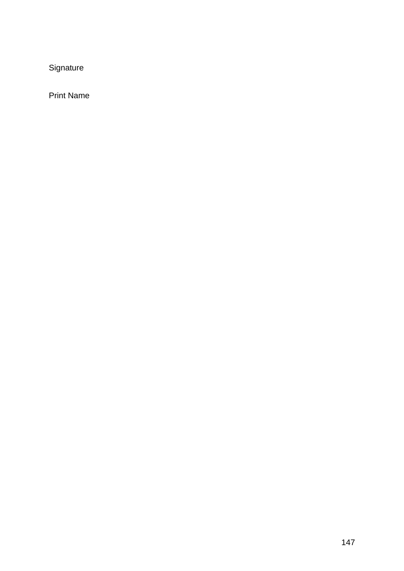Signature

Print Name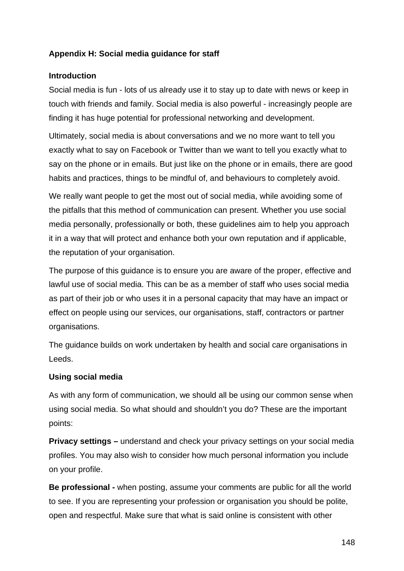## **Appendix H: Social media guidance for staff**

### **Introduction**

Social media is fun - lots of us already use it to stay up to date with news or keep in touch with friends and family. Social media is also powerful - increasingly people are finding it has huge potential for professional networking and development.

Ultimately, social media is about conversations and we no more want to tell you exactly what to say on Facebook or Twitter than we want to tell you exactly what to say on the phone or in emails. But just like on the phone or in emails, there are good habits and practices, things to be mindful of, and behaviours to completely avoid.

We really want people to get the most out of social media, while avoiding some of the pitfalls that this method of communication can present. Whether you use social media personally, professionally or both, these guidelines aim to help you approach it in a way that will protect and enhance both your own reputation and if applicable, the reputation of your organisation.

The purpose of this guidance is to ensure you are aware of the proper, effective and lawful use of social media. This can be as a member of staff who uses social media as part of their job or who uses it in a personal capacity that may have an impact or effect on people using our services, our organisations, staff, contractors or partner organisations.

The guidance builds on work undertaken by health and social care organisations in Leeds.

#### **Using social media**

As with any form of communication, we should all be using our common sense when using social media. So what should and shouldn't you do? These are the important points:

**Privacy settings –** understand and check your privacy settings on your social media profiles. You may also wish to consider how much personal information you include on your profile.

**Be professional -** when posting, assume your comments are public for all the world to see. If you are representing your profession or organisation you should be polite, open and respectful. Make sure that what is said online is consistent with other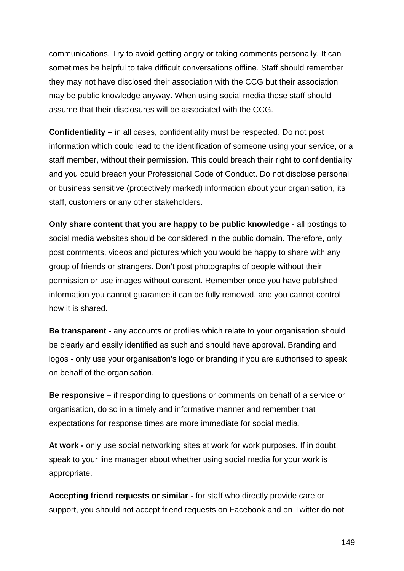communications. Try to avoid getting angry or taking comments personally. It can sometimes be helpful to take difficult conversations offline. Staff should remember they may not have disclosed their association with the CCG but their association may be public knowledge anyway. When using social media these staff should assume that their disclosures will be associated with the CCG.

**Confidentiality –** in all cases, confidentiality must be respected. Do not post information which could lead to the identification of someone using your service, or a staff member, without their permission. This could breach their right to confidentiality and you could breach your Professional Code of Conduct. Do not disclose personal or business sensitive (protectively marked) information about your organisation, its staff, customers or any other stakeholders.

**Only share content that you are happy to be public knowledge -** all postings to social media websites should be considered in the public domain. Therefore, only post comments, videos and pictures which you would be happy to share with any group of friends or strangers. Don't post photographs of people without their permission or use images without consent. Remember once you have published information you cannot guarantee it can be fully removed, and you cannot control how it is shared.

**Be transparent -** any accounts or profiles which relate to your organisation should be clearly and easily identified as such and should have approval. Branding and logos - only use your organisation's logo or branding if you are authorised to speak on behalf of the organisation.

**Be responsive –** if responding to questions or comments on behalf of a service or organisation, do so in a timely and informative manner and remember that expectations for response times are more immediate for social media.

**At work -** only use social networking sites at work for work purposes. If in doubt, speak to your line manager about whether using social media for your work is appropriate.

**Accepting friend requests or similar -** for staff who directly provide care or support, you should not accept friend requests on Facebook and on Twitter do not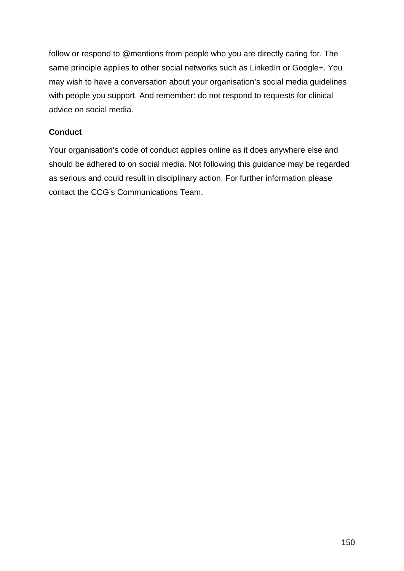follow or respond to @mentions from people who you are directly caring for. The same principle applies to other social networks such as LinkedIn or Google+. You may wish to have a conversation about your organisation's social media guidelines with people you support. And remember: do not respond to requests for clinical advice on social media.

## **Conduct**

Your organisation's code of conduct applies online as it does anywhere else and should be adhered to on social media. Not following this guidance may be regarded as serious and could result in disciplinary action. For further information please contact the CCG's Communications Team.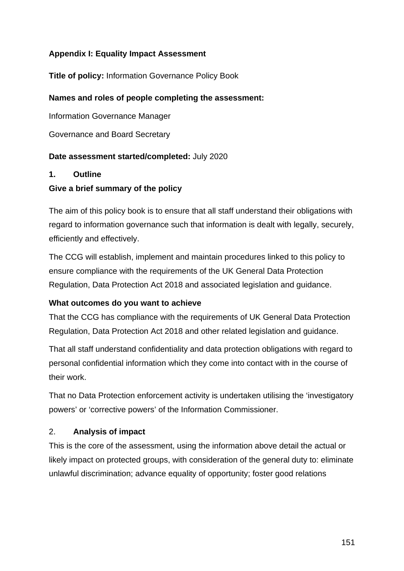## **Appendix I: Equality Impact Assessment**

**Title of policy:** Information Governance Policy Book

### **Names and roles of people completing the assessment:**

Information Governance Manager

Governance and Board Secretary

#### **Date assessment started/completed:** July 2020

#### **1. Outline**

#### **Give a brief summary of the policy**

The aim of this policy book is to ensure that all staff understand their obligations with regard to information governance such that information is dealt with legally, securely, efficiently and effectively.

The CCG will establish, implement and maintain procedures linked to this policy to ensure compliance with the requirements of the UK General Data Protection Regulation, Data Protection Act 2018 and associated legislation and guidance.

#### **What outcomes do you want to achieve**

That the CCG has compliance with the requirements of UK General Data Protection Regulation, Data Protection Act 2018 and other related legislation and guidance.

That all staff understand confidentiality and data protection obligations with regard to personal confidential information which they come into contact with in the course of their work.

That no Data Protection enforcement activity is undertaken utilising the 'investigatory powers' or 'corrective powers' of the Information Commissioner.

#### 2. **Analysis of impact**

This is the core of the assessment, using the information above detail the actual or likely impact on protected groups, with consideration of the general duty to: eliminate unlawful discrimination; advance equality of opportunity; foster good relations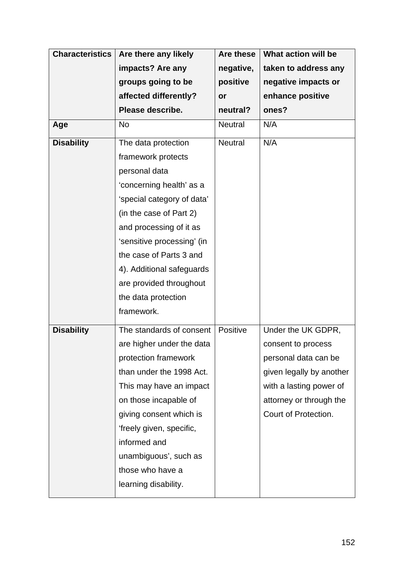| <b>Characteristics</b> | Are there any likely       | Are these      | What action will be      |
|------------------------|----------------------------|----------------|--------------------------|
|                        | impacts? Are any           | negative,      | taken to address any     |
|                        | groups going to be         | positive       | negative impacts or      |
|                        | affected differently?      | or             | enhance positive         |
|                        | Please describe.           | neutral?       | ones?                    |
| Age                    | <b>No</b>                  | <b>Neutral</b> | N/A                      |
| <b>Disability</b>      | The data protection        | <b>Neutral</b> | N/A                      |
|                        | framework protects         |                |                          |
|                        | personal data              |                |                          |
|                        | 'concerning health' as a   |                |                          |
|                        | 'special category of data' |                |                          |
|                        | (in the case of Part 2)    |                |                          |
|                        | and processing of it as    |                |                          |
|                        | 'sensitive processing' (in |                |                          |
|                        | the case of Parts 3 and    |                |                          |
|                        | 4). Additional safeguards  |                |                          |
|                        | are provided throughout    |                |                          |
|                        | the data protection        |                |                          |
|                        | framework.                 |                |                          |
| <b>Disability</b>      | The standards of consent   | Positive       | Under the UK GDPR,       |
|                        | are higher under the data  |                | consent to process       |
|                        | protection framework       |                | personal data can be     |
|                        | than under the 1998 Act.   |                | given legally by another |
|                        | This may have an impact    |                | with a lasting power of  |
|                        | on those incapable of      |                | attorney or through the  |
|                        | giving consent which is    |                | Court of Protection.     |
|                        | 'freely given, specific,   |                |                          |
|                        | informed and               |                |                          |
|                        | unambiguous', such as      |                |                          |
|                        | those who have a           |                |                          |
|                        | learning disability.       |                |                          |
|                        |                            |                |                          |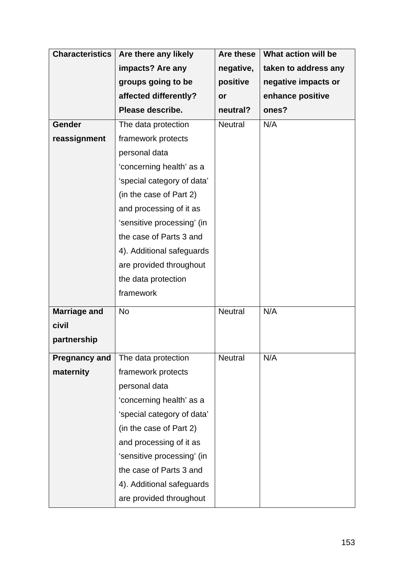| <b>Characteristics</b> | Are there any likely       | Are these      | What action will be  |
|------------------------|----------------------------|----------------|----------------------|
|                        | impacts? Are any           | negative,      | taken to address any |
|                        | groups going to be         | positive       | negative impacts or  |
|                        | affected differently?      | or             | enhance positive     |
|                        | Please describe.           | neutral?       | ones?                |
| <b>Gender</b>          | The data protection        | <b>Neutral</b> | N/A                  |
| reassignment           | framework protects         |                |                      |
|                        | personal data              |                |                      |
|                        | 'concerning health' as a   |                |                      |
|                        | 'special category of data' |                |                      |
|                        | (in the case of Part 2)    |                |                      |
|                        | and processing of it as    |                |                      |
|                        | 'sensitive processing' (in |                |                      |
|                        | the case of Parts 3 and    |                |                      |
|                        | 4). Additional safeguards  |                |                      |
|                        | are provided throughout    |                |                      |
|                        | the data protection        |                |                      |
|                        | framework                  |                |                      |
| <b>Marriage and</b>    | <b>No</b>                  | <b>Neutral</b> | N/A                  |
| civil                  |                            |                |                      |
| partnership            |                            |                |                      |
| <b>Pregnancy and</b>   | The data protection        | <b>Neutral</b> | N/A                  |
| maternity              | framework protects         |                |                      |
|                        | personal data              |                |                      |
|                        | 'concerning health' as a   |                |                      |
|                        | 'special category of data' |                |                      |
|                        | (in the case of Part 2)    |                |                      |
|                        | and processing of it as    |                |                      |
|                        | 'sensitive processing' (in |                |                      |
|                        | the case of Parts 3 and    |                |                      |
|                        | 4). Additional safeguards  |                |                      |
|                        | are provided throughout    |                |                      |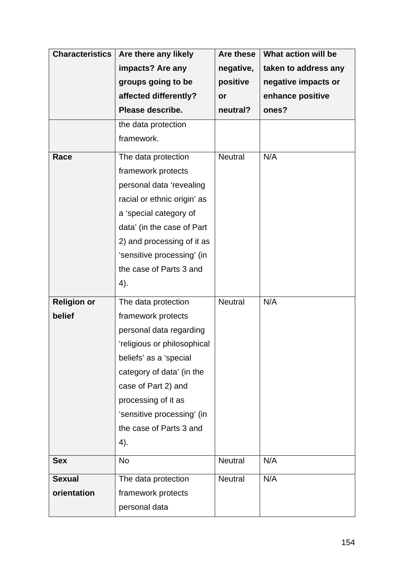| <b>Characteristics</b> | Are there any likely        | <b>Are these</b> | What action will be  |
|------------------------|-----------------------------|------------------|----------------------|
|                        | impacts? Are any            | negative,        | taken to address any |
|                        | groups going to be          | positive         | negative impacts or  |
|                        | affected differently?       | or               | enhance positive     |
|                        | Please describe.            | neutral?         | ones?                |
|                        | the data protection         |                  |                      |
|                        | framework.                  |                  |                      |
| Race                   | The data protection         | <b>Neutral</b>   | N/A                  |
|                        | framework protects          |                  |                      |
|                        | personal data 'revealing    |                  |                      |
|                        | racial or ethnic origin' as |                  |                      |
|                        | a 'special category of      |                  |                      |
|                        | data' (in the case of Part  |                  |                      |
|                        | 2) and processing of it as  |                  |                      |
|                        | 'sensitive processing' (in  |                  |                      |
|                        | the case of Parts 3 and     |                  |                      |
|                        | 4).                         |                  |                      |
| <b>Religion or</b>     | The data protection         | <b>Neutral</b>   | N/A                  |
| belief                 | framework protects          |                  |                      |
|                        | personal data regarding     |                  |                      |
|                        | 'religious or philosophical |                  |                      |
|                        | beliefs' as a 'special      |                  |                      |
|                        | category of data' (in the   |                  |                      |
|                        | case of Part 2) and         |                  |                      |
|                        | processing of it as         |                  |                      |
|                        | 'sensitive processing' (in  |                  |                      |
|                        | the case of Parts 3 and     |                  |                      |
|                        | 4).                         |                  |                      |
| <b>Sex</b>             | <b>No</b>                   | <b>Neutral</b>   | N/A                  |
| <b>Sexual</b>          | The data protection         | <b>Neutral</b>   | N/A                  |
| orientation            | framework protects          |                  |                      |
|                        | personal data               |                  |                      |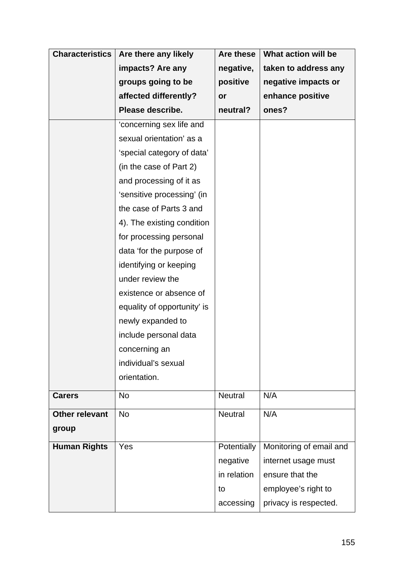| <b>Characteristics</b> | Are there any likely        | Are these      | What action will be     |
|------------------------|-----------------------------|----------------|-------------------------|
|                        | impacts? Are any            | negative,      | taken to address any    |
|                        | groups going to be          | positive       | negative impacts or     |
|                        | affected differently?       | or             | enhance positive        |
|                        | Please describe.            | neutral?       | ones?                   |
|                        | 'concerning sex life and    |                |                         |
|                        | sexual orientation' as a    |                |                         |
|                        | 'special category of data'  |                |                         |
|                        | (in the case of Part 2)     |                |                         |
|                        | and processing of it as     |                |                         |
|                        | 'sensitive processing' (in  |                |                         |
|                        | the case of Parts 3 and     |                |                         |
|                        | 4). The existing condition  |                |                         |
|                        | for processing personal     |                |                         |
|                        | data 'for the purpose of    |                |                         |
|                        | identifying or keeping      |                |                         |
|                        | under review the            |                |                         |
|                        | existence or absence of     |                |                         |
|                        | equality of opportunity' is |                |                         |
|                        | newly expanded to           |                |                         |
|                        | include personal data       |                |                         |
|                        | concerning an               |                |                         |
|                        | individual's sexual         |                |                         |
|                        | orientation.                |                |                         |
| <b>Carers</b>          | <b>No</b>                   | <b>Neutral</b> | N/A                     |
| <b>Other relevant</b>  | <b>No</b>                   | <b>Neutral</b> | N/A                     |
| group                  |                             |                |                         |
| <b>Human Rights</b>    | Yes                         | Potentially    | Monitoring of email and |
|                        |                             | negative       | internet usage must     |
|                        |                             | in relation    | ensure that the         |
|                        |                             | to             | employee's right to     |
|                        |                             | accessing      | privacy is respected.   |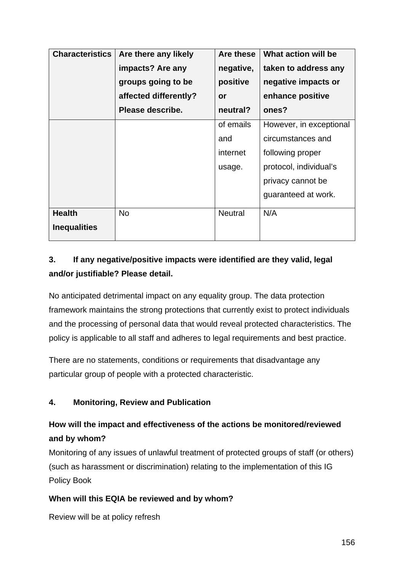| <b>Characteristics</b> | Are there any likely  | Are these      | What action will be     |
|------------------------|-----------------------|----------------|-------------------------|
|                        | impacts? Are any      | negative,      | taken to address any    |
|                        | groups going to be    | positive       | negative impacts or     |
|                        | affected differently? | or             | enhance positive        |
|                        | Please describe.      | neutral?       | ones?                   |
|                        |                       | of emails      | However, in exceptional |
|                        |                       | and            | circumstances and       |
|                        |                       | internet       | following proper        |
|                        |                       | usage.         | protocol, individual's  |
|                        |                       |                | privacy cannot be       |
|                        |                       |                | guaranteed at work.     |
| <b>Health</b>          | <b>No</b>             | <b>Neutral</b> | N/A                     |
| <b>Inequalities</b>    |                       |                |                         |

# **3. If any negative/positive impacts were identified are they valid, legal and/or justifiable? Please detail.**

No anticipated detrimental impact on any equality group. The data protection framework maintains the strong protections that currently exist to protect individuals and the processing of personal data that would reveal protected characteristics. The policy is applicable to all staff and adheres to legal requirements and best practice.

There are no statements, conditions or requirements that disadvantage any particular group of people with a protected characteristic.

## **4. Monitoring, Review and Publication**

# **How will the impact and effectiveness of the actions be monitored/reviewed and by whom?**

Monitoring of any issues of unlawful treatment of protected groups of staff (or others) (such as harassment or discrimination) relating to the implementation of this IG Policy Book

## **When will this EQIA be reviewed and by whom?**

Review will be at policy refresh